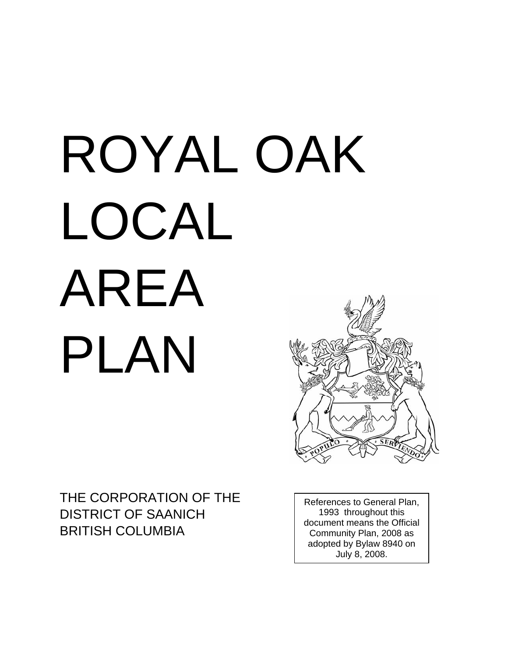# ROYAL OAK LOCAL AREA PLAN



THE CORPORATION OF THE DISTRICT OF SAANICH BRITISH COLUMBIA

References to General Plan, 1993 throughout this document means the Official Community Plan, 2008 as adopted by Bylaw 8940 on July 8, 2008.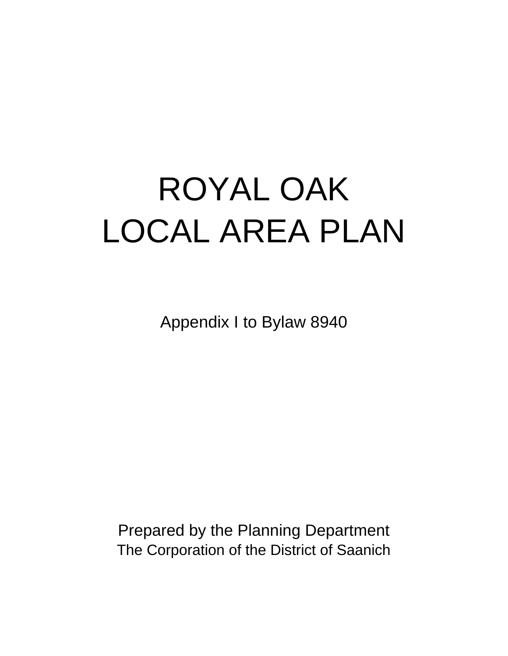# ROYAL OAK LOCAL AREA PLAN

Appendix I to Bylaw 8940

Prepared by the Planning Department The Corporation of the District of Saanich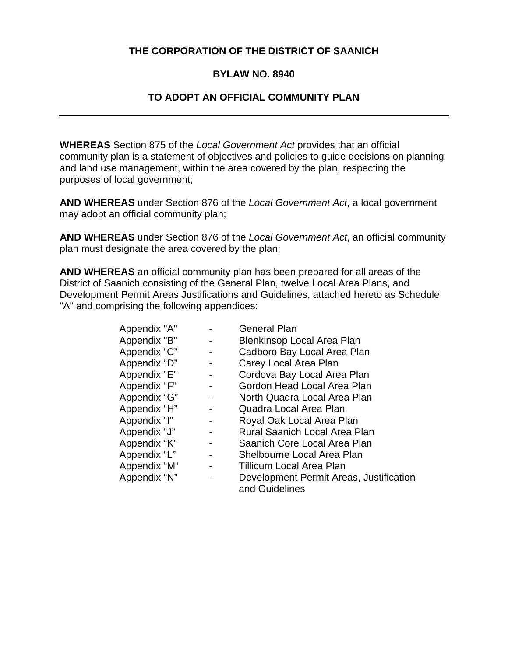#### **THE CORPORATION OF THE DISTRICT OF SAANICH**

#### **BYLAW NO. 8940**

#### **TO ADOPT AN OFFICIAL COMMUNITY PLAN**

**WHEREAS** Section 875 of the *Local Government Act* provides that an official community plan is a statement of objectives and policies to guide decisions on planning and land use management, within the area covered by the plan, respecting the purposes of local government;

**AND WHEREAS** under Section 876 of the *Local Government Act*, a local government may adopt an official community plan;

**AND WHEREAS** under Section 876 of the *Local Government Act*, an official community plan must designate the area covered by the plan;

**AND WHEREAS** an official community plan has been prepared for all areas of the District of Saanich consisting of the General Plan, twelve Local Area Plans, and Development Permit Areas Justifications and Guidelines, attached hereto as Schedule "A" and comprising the following appendices:

| Appendix "A" |   | <b>General Plan</b>                     |
|--------------|---|-----------------------------------------|
| Appendix "B" | - | <b>Blenkinsop Local Area Plan</b>       |
| Appendix "C" | - | Cadboro Bay Local Area Plan             |
| Appendix "D" | ۰ | Carey Local Area Plan                   |
| Appendix "E" |   | Cordova Bay Local Area Plan             |
| Appendix "F" | - | Gordon Head Local Area Plan             |
| Appendix "G" | - | North Quadra Local Area Plan            |
| Appendix "H" | - | Quadra Local Area Plan                  |
| Appendix "I" | - | Royal Oak Local Area Plan               |
| Appendix "J" | - | <b>Rural Saanich Local Area Plan</b>    |
| Appendix "K" | - | Saanich Core Local Area Plan            |
| Appendix "L" | - | Shelbourne Local Area Plan              |
| Appendix "M" | - | Tillicum Local Area Plan                |
| Appendix "N" |   | Development Permit Areas, Justification |
|              |   | and Guidelines                          |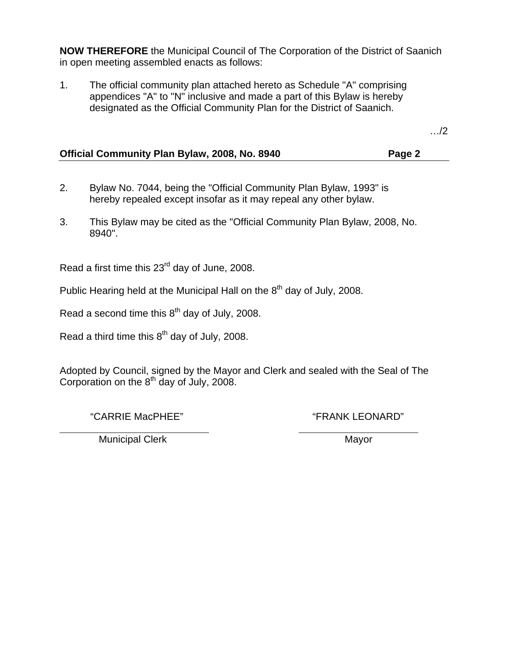**NOW THEREFORE** the Municipal Council of The Corporation of the District of Saanich in open meeting assembled enacts as follows:

1. The official community plan attached hereto as Schedule "A" comprising appendices "A" to "N" inclusive and made a part of this Bylaw is hereby designated as the Official Community Plan for the District of Saanich.

…/2

| Official Community Plan Bylaw, 2008, No. 8940 |  | Page 2 |
|-----------------------------------------------|--|--------|
|                                               |  |        |

- 2. Bylaw No. 7044, being the "Official Community Plan Bylaw, 1993" is hereby repealed except insofar as it may repeal any other bylaw.
- 3. This Bylaw may be cited as the "Official Community Plan Bylaw, 2008, No. 8940".

Read a first time this 23<sup>rd</sup> day of June, 2008.

Public Hearing held at the Municipal Hall on the  $8<sup>th</sup>$  day of July, 2008.

Read a second time this  $8<sup>th</sup>$  day of July, 2008.

Read a third time this  $8<sup>th</sup>$  day of July, 2008.

Adopted by Council, signed by the Mayor and Clerk and sealed with the Seal of The Corporation on the  $8<sup>th</sup>$  day of July, 2008.

"CARRIE MacPHEE" "FRANK LEONARD"

Municipal Clerk and the Mayor Mayor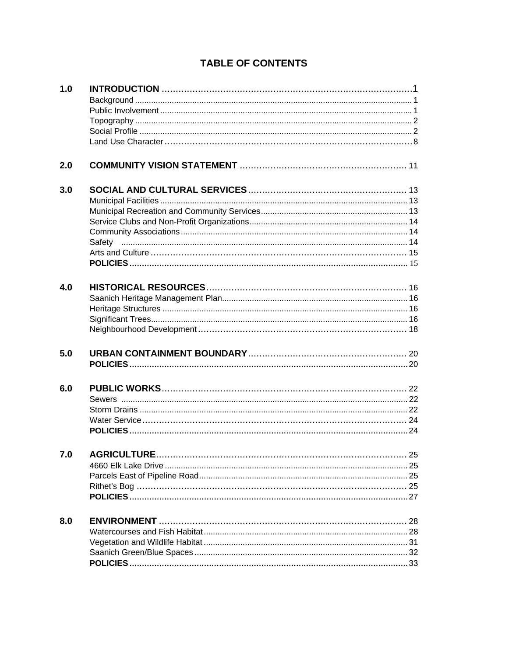## **TABLE OF CONTENTS**

| 1.0 |    |
|-----|----|
|     |    |
|     |    |
|     |    |
|     |    |
|     |    |
|     |    |
| 2.0 |    |
| 3.0 |    |
|     |    |
|     |    |
|     |    |
|     |    |
|     |    |
|     |    |
|     |    |
|     |    |
| 4.0 |    |
|     |    |
|     |    |
|     |    |
|     |    |
|     |    |
|     |    |
|     |    |
| 5.0 |    |
|     |    |
|     |    |
| 6.0 |    |
|     |    |
|     |    |
|     |    |
|     |    |
|     |    |
| 7.0 | 25 |
|     |    |
|     |    |
|     |    |
|     |    |
|     |    |
| 8.0 |    |
|     |    |
|     |    |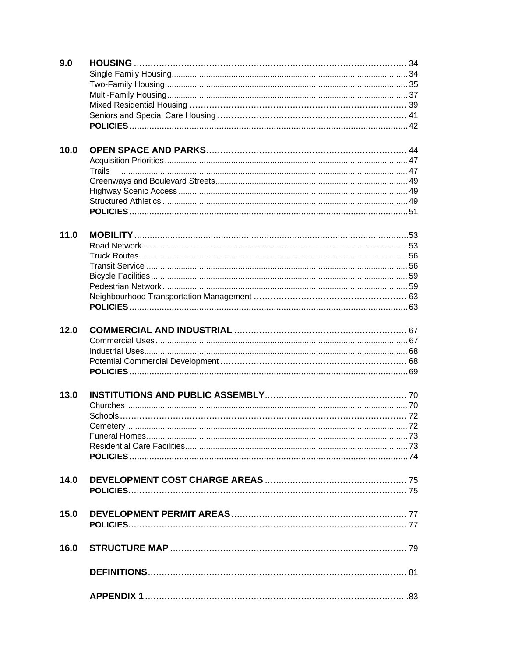| 9.0  |        |  |
|------|--------|--|
|      |        |  |
|      |        |  |
|      |        |  |
|      |        |  |
|      |        |  |
|      |        |  |
|      |        |  |
| 10.0 |        |  |
|      |        |  |
|      | Trails |  |
|      |        |  |
|      |        |  |
|      |        |  |
|      |        |  |
|      |        |  |
|      |        |  |
| 11.0 |        |  |
|      |        |  |
|      |        |  |
|      |        |  |
|      |        |  |
|      |        |  |
|      |        |  |
|      |        |  |
|      |        |  |
|      |        |  |
| 12.0 |        |  |
|      |        |  |
|      |        |  |
|      |        |  |
|      |        |  |
|      |        |  |
| 13.0 |        |  |
|      |        |  |
|      |        |  |
|      |        |  |
|      |        |  |
|      |        |  |
|      |        |  |
|      |        |  |
|      |        |  |
| 14.0 |        |  |
|      |        |  |
|      |        |  |
| 15.0 |        |  |
|      |        |  |
|      |        |  |
|      |        |  |
| 16.0 |        |  |
|      |        |  |
|      |        |  |
|      |        |  |
|      |        |  |
|      |        |  |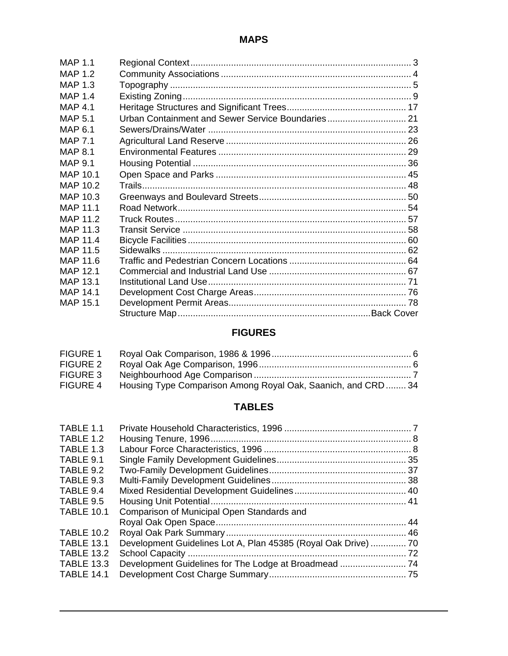| <b>MAP 1.1</b>  |                                                   |  |
|-----------------|---------------------------------------------------|--|
| MAP $1.2$       |                                                   |  |
| MAP 1.3         |                                                   |  |
| <b>MAP 1.4</b>  |                                                   |  |
| <b>MAP 4.1</b>  |                                                   |  |
| MAP 5.1         | Urban Containment and Sewer Service Boundaries 21 |  |
| MAP 6.1         |                                                   |  |
| MAP 7.1         |                                                   |  |
| <b>MAP 8.1</b>  |                                                   |  |
| MAP 9.1         |                                                   |  |
| MAP 10.1        |                                                   |  |
| MAP 10.2        |                                                   |  |
| MAP 10.3        |                                                   |  |
| MAP 11.1        |                                                   |  |
| <b>MAP 11.2</b> |                                                   |  |
| MAP 11.3        |                                                   |  |
| <b>MAP 11.4</b> |                                                   |  |
| MAP 11.5        |                                                   |  |
| MAP 11.6        |                                                   |  |
| <b>MAP 12.1</b> |                                                   |  |
| MAP 13.1        |                                                   |  |
| MAP 14.1        |                                                   |  |
| <b>MAP 15.1</b> |                                                   |  |
|                 |                                                   |  |

# **FIGURES**

| FIGURE 1        |                                                                        |  |
|-----------------|------------------------------------------------------------------------|--|
| <b>FIGURE 2</b> |                                                                        |  |
| <b>FIGURE 3</b> |                                                                        |  |
|                 | FIGURE 4 Housing Type Comparison Among Royal Oak, Saanich, and CRD  34 |  |

# **TABLES**

| TABLE 1.1<br>TABLE 1.2 |                                                                |  |
|------------------------|----------------------------------------------------------------|--|
| TABLE 1.3              |                                                                |  |
| TABLE 9.1              |                                                                |  |
| TABLE 9.2              |                                                                |  |
| TABLE 9.3              |                                                                |  |
| TABLE 9.4              |                                                                |  |
| TABLE 9.5              |                                                                |  |
| <b>TABLE 10.1</b>      | Comparison of Municipal Open Standards and                     |  |
|                        |                                                                |  |
| <b>TABLE 10.2</b>      |                                                                |  |
| <b>TABLE 13.1</b>      | Development Guidelines Lot A, Plan 45385 (Royal Oak Drive)  70 |  |
| <b>TABLE 13.2</b>      |                                                                |  |
| <b>TABLE 13.3</b>      |                                                                |  |
| <b>TABLE 14.1</b>      |                                                                |  |
|                        |                                                                |  |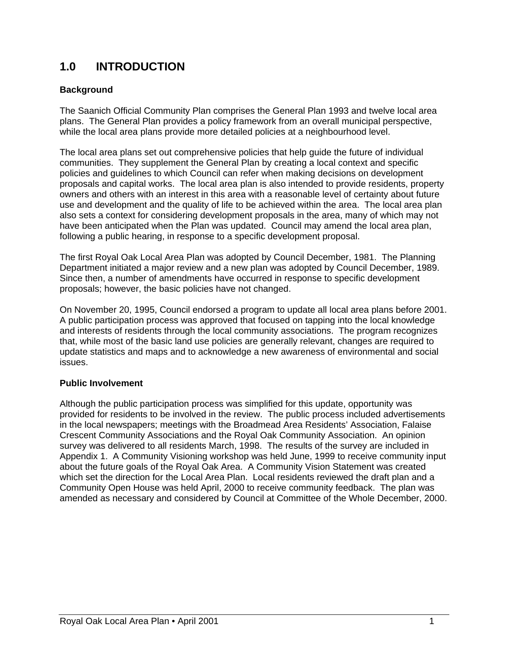# **1.0 INTRODUCTION**

#### **Background**

The Saanich Official Community Plan comprises the General Plan 1993 and twelve local area plans. The General Plan provides a policy framework from an overall municipal perspective, while the local area plans provide more detailed policies at a neighbourhood level.

The local area plans set out comprehensive policies that help guide the future of individual communities. They supplement the General Plan by creating a local context and specific policies and guidelines to which Council can refer when making decisions on development proposals and capital works. The local area plan is also intended to provide residents, property owners and others with an interest in this area with a reasonable level of certainty about future use and development and the quality of life to be achieved within the area. The local area plan also sets a context for considering development proposals in the area, many of which may not have been anticipated when the Plan was updated. Council may amend the local area plan, following a public hearing, in response to a specific development proposal.

The first Royal Oak Local Area Plan was adopted by Council December, 1981. The Planning Department initiated a major review and a new plan was adopted by Council December, 1989. Since then, a number of amendments have occurred in response to specific development proposals; however, the basic policies have not changed.

On November 20, 1995, Council endorsed a program to update all local area plans before 2001. A public participation process was approved that focused on tapping into the local knowledge and interests of residents through the local community associations. The program recognizes that, while most of the basic land use policies are generally relevant, changes are required to update statistics and maps and to acknowledge a new awareness of environmental and social issues.

#### **Public Involvement**

Although the public participation process was simplified for this update, opportunity was provided for residents to be involved in the review. The public process included advertisements in the local newspapers; meetings with the Broadmead Area Residents' Association, Falaise Crescent Community Associations and the Royal Oak Community Association. An opinion survey was delivered to all residents March, 1998. The results of the survey are included in Appendix 1. A Community Visioning workshop was held June, 1999 to receive community input about the future goals of the Royal Oak Area. A Community Vision Statement was created which set the direction for the Local Area Plan. Local residents reviewed the draft plan and a Community Open House was held April, 2000 to receive community feedback. The plan was amended as necessary and considered by Council at Committee of the Whole December, 2000.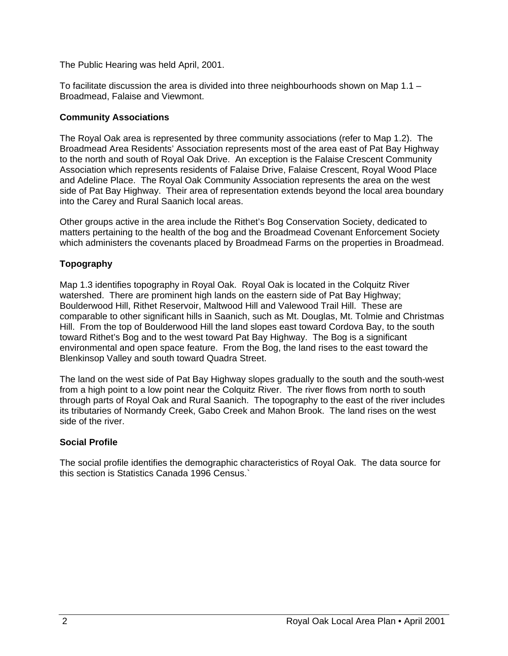The Public Hearing was held April, 2001.

To facilitate discussion the area is divided into three neighbourhoods shown on Map 1.1 – Broadmead, Falaise and Viewmont.

#### **Community Associations**

The Royal Oak area is represented by three community associations (refer to Map 1.2). The Broadmead Area Residents' Association represents most of the area east of Pat Bay Highway to the north and south of Royal Oak Drive. An exception is the Falaise Crescent Community Association which represents residents of Falaise Drive, Falaise Crescent, Royal Wood Place and Adeline Place. The Royal Oak Community Association represents the area on the west side of Pat Bay Highway. Their area of representation extends beyond the local area boundary into the Carey and Rural Saanich local areas.

Other groups active in the area include the Rithet's Bog Conservation Society, dedicated to matters pertaining to the health of the bog and the Broadmead Covenant Enforcement Society which administers the covenants placed by Broadmead Farms on the properties in Broadmead.

#### **Topography**

Map 1.3 identifies topography in Royal Oak. Royal Oak is located in the Colquitz River watershed. There are prominent high lands on the eastern side of Pat Bay Highway; Boulderwood Hill, Rithet Reservoir, Maltwood Hill and Valewood Trail Hill. These are comparable to other significant hills in Saanich, such as Mt. Douglas, Mt. Tolmie and Christmas Hill. From the top of Boulderwood Hill the land slopes east toward Cordova Bay, to the south toward Rithet's Bog and to the west toward Pat Bay Highway. The Bog is a significant environmental and open space feature. From the Bog, the land rises to the east toward the Blenkinsop Valley and south toward Quadra Street.

The land on the west side of Pat Bay Highway slopes gradually to the south and the south-west from a high point to a low point near the Colquitz River. The river flows from north to south through parts of Royal Oak and Rural Saanich. The topography to the east of the river includes its tributaries of Normandy Creek, Gabo Creek and Mahon Brook. The land rises on the west side of the river.

#### **Social Profile**

The social profile identifies the demographic characteristics of Royal Oak. The data source for this section is Statistics Canada 1996 Census.`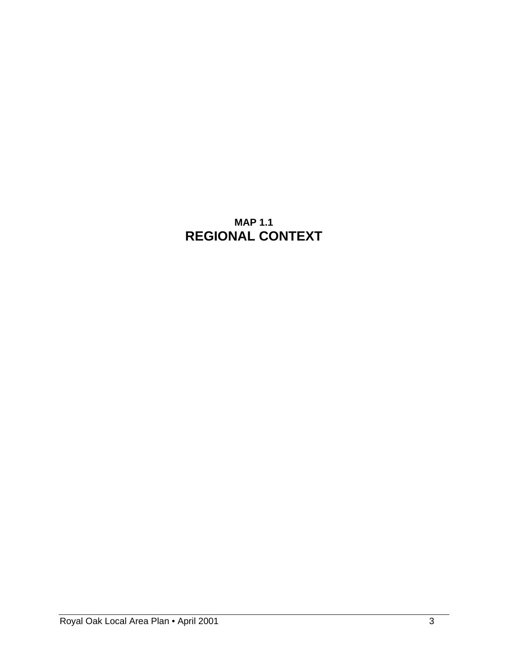# **MAP 1.1 REGIONAL CONTEXT**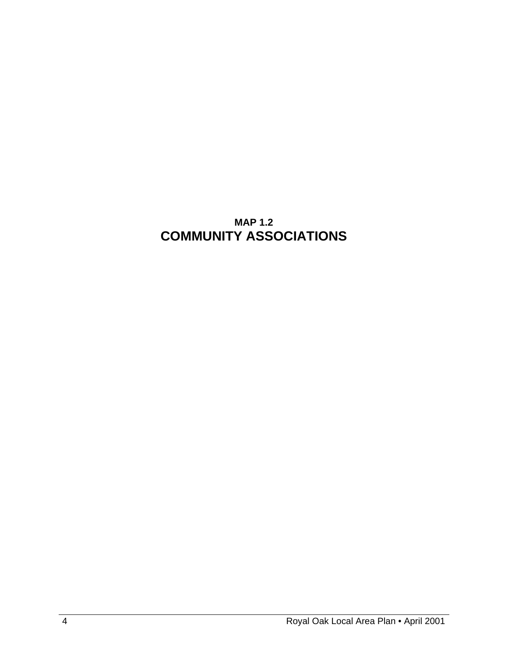# **MAP 1.2 COMMUNITY ASSOCIATIONS**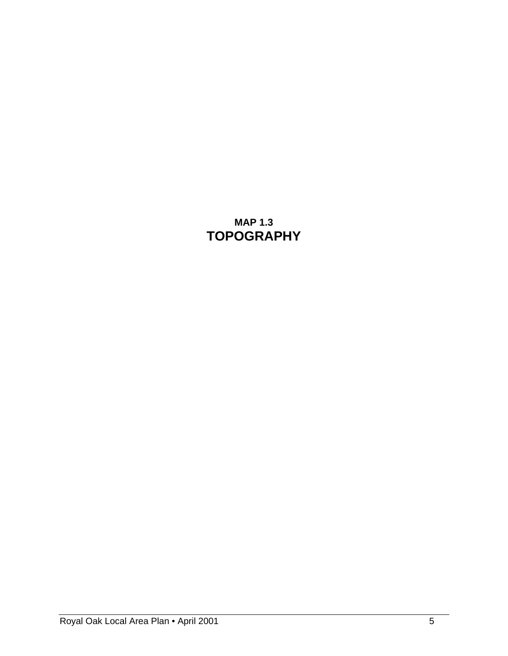# **MAP 1.3 TOPOGRAPHY**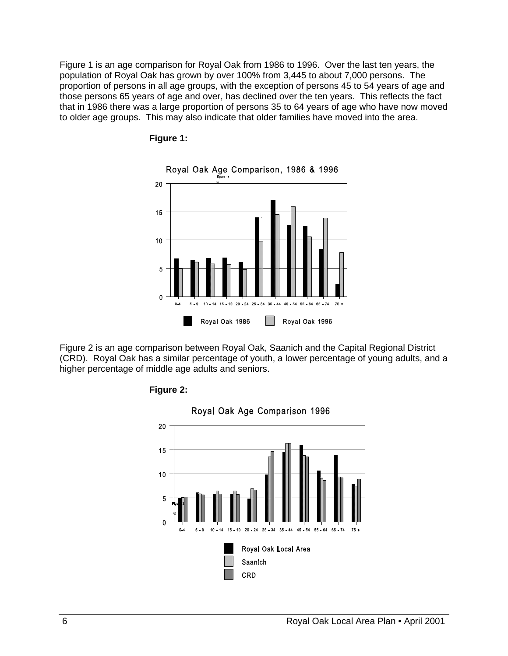Figure 1 is an age comparison for Royal Oak from 1986 to 1996. Over the last ten years, the population of Royal Oak has grown by over 100% from 3,445 to about 7,000 persons. The proportion of persons in all age groups, with the exception of persons 45 to 54 years of age and those persons 65 years of age and over, has declined over the ten years. This reflects the fact that in 1986 there was a large proportion of persons 35 to 64 years of age who have now moved to older age groups. This may also indicate that older families have moved into the area.





Figure 2 is an age comparison between Royal Oak, Saanich and the Capital Regional District (CRD). Royal Oak has a similar percentage of youth, a lower percentage of young adults, and a higher percentage of middle age adults and seniors.



**Figure 2:**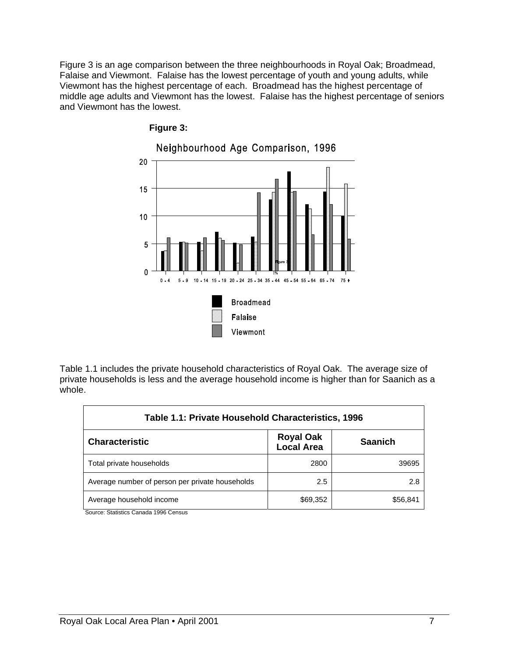Figure 3 is an age comparison between the three neighbourhoods in Royal Oak; Broadmead, Falaise and Viewmont. Falaise has the lowest percentage of youth and young adults, while Viewmont has the highest percentage of each. Broadmead has the highest percentage of middle age adults and Viewmont has the lowest. Falaise has the highest percentage of seniors and Viewmont has the lowest.



**Figure 3:** 

Table 1.1 includes the private household characteristics of Royal Oak. The average size of private households is less and the average household income is higher than for Saanich as a whole.

| Table 1.1: Private Household Characteristics, 1996 |                                       |                |
|----------------------------------------------------|---------------------------------------|----------------|
| <b>Characteristic</b>                              | <b>Royal Oak</b><br><b>Local Area</b> | <b>Saanich</b> |
| Total private households                           | 2800                                  | 39695          |
| Average number of person per private households    | 2.5                                   | 2.8            |
| Average household income                           | \$69,352                              | \$56.841       |

Source: Statistics Canada 1996 Census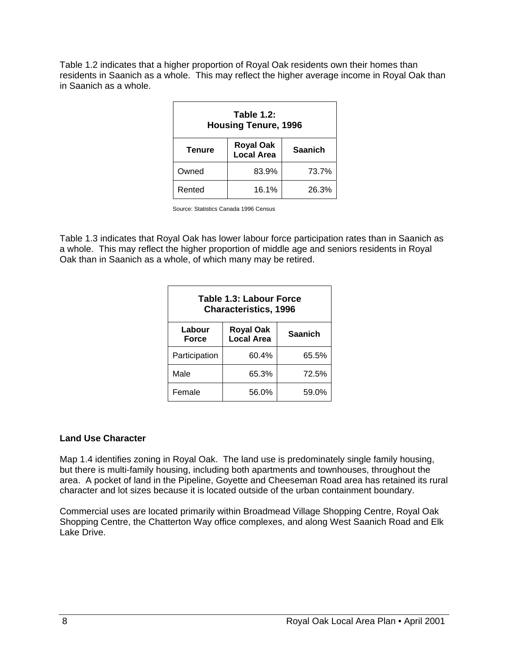Table 1.2 indicates that a higher proportion of Royal Oak residents own their homes than residents in Saanich as a whole. This may reflect the higher average income in Royal Oak than in Saanich as a whole.

| Table 1.2:<br><b>Housing Tenure, 1996</b> |                                       |                |
|-------------------------------------------|---------------------------------------|----------------|
| <b>Tenure</b>                             | <b>Royal Oak</b><br><b>Local Area</b> | <b>Saanich</b> |
| Owned                                     | 83.9%                                 | 73.7%          |
| Rented                                    | 16.1%                                 | 26.3%          |

Source: Statistics Canada 1996 Census

Table 1.3 indicates that Royal Oak has lower labour force participation rates than in Saanich as a whole. This may reflect the higher proportion of middle age and seniors residents in Royal Oak than in Saanich as a whole, of which many may be retired.

| Table 1.3: Labour Force<br><b>Characteristics, 1996</b> |                                |                |
|---------------------------------------------------------|--------------------------------|----------------|
| Labour<br>Force                                         | <b>Royal Oak</b><br>Local Area | <b>Saanich</b> |
| Participation                                           | 60.4%                          | 65.5%          |
| Male                                                    | 65.3%                          | 72.5%          |
| Female                                                  | 56.0%                          | 59.0%          |

#### **Land Use Character**

Map 1.4 identifies zoning in Royal Oak. The land use is predominately single family housing, but there is multi-family housing, including both apartments and townhouses, throughout the area. A pocket of land in the Pipeline, Goyette and Cheeseman Road area has retained its rural character and lot sizes because it is located outside of the urban containment boundary.

Commercial uses are located primarily within Broadmead Village Shopping Centre, Royal Oak Shopping Centre, the Chatterton Way office complexes, and along West Saanich Road and Elk Lake Drive.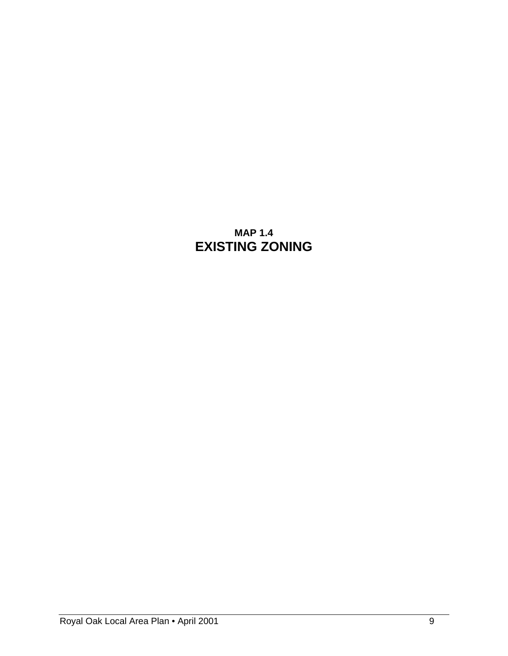# **MAP 1.4 EXISTING ZONING**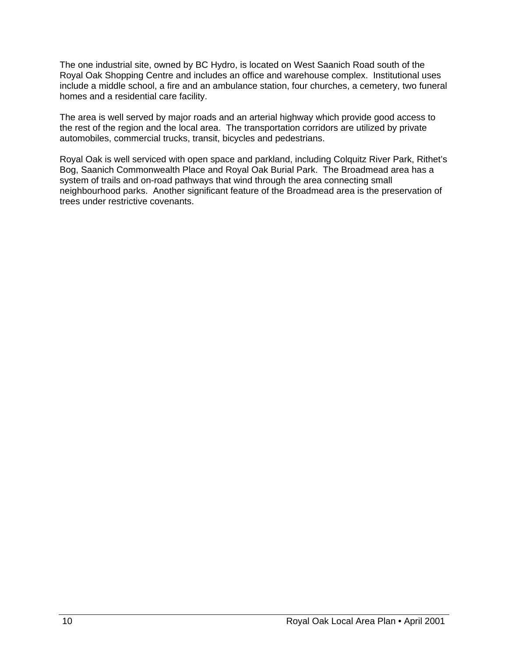The one industrial site, owned by BC Hydro, is located on West Saanich Road south of the Royal Oak Shopping Centre and includes an office and warehouse complex. Institutional uses include a middle school, a fire and an ambulance station, four churches, a cemetery, two funeral homes and a residential care facility.

The area is well served by major roads and an arterial highway which provide good access to the rest of the region and the local area. The transportation corridors are utilized by private automobiles, commercial trucks, transit, bicycles and pedestrians.

Royal Oak is well serviced with open space and parkland, including Colquitz River Park, Rithet's Bog, Saanich Commonwealth Place and Royal Oak Burial Park. The Broadmead area has a system of trails and on-road pathways that wind through the area connecting small neighbourhood parks. Another significant feature of the Broadmead area is the preservation of trees under restrictive covenants.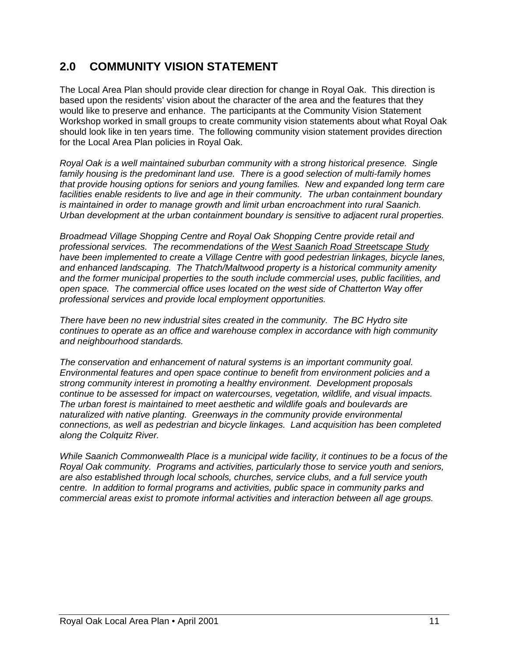# **2.0 COMMUNITY VISION STATEMENT**

The Local Area Plan should provide clear direction for change in Royal Oak. This direction is based upon the residents' vision about the character of the area and the features that they would like to preserve and enhance. The participants at the Community Vision Statement Workshop worked in small groups to create community vision statements about what Royal Oak should look like in ten years time. The following community vision statement provides direction for the Local Area Plan policies in Royal Oak.

*Royal Oak is a well maintained suburban community with a strong historical presence. Single family housing is the predominant land use. There is a good selection of multi-family homes that provide housing options for seniors and young families. New and expanded long term care facilities enable residents to live and age in their community. The urban containment boundary is maintained in order to manage growth and limit urban encroachment into rural Saanich. Urban development at the urban containment boundary is sensitive to adjacent rural properties.* 

*Broadmead Village Shopping Centre and Royal Oak Shopping Centre provide retail and professional services. The recommendations of the West Saanich Road Streetscape Study have been implemented to create a Village Centre with good pedestrian linkages, bicycle lanes, and enhanced landscaping. The Thatch/Maltwood property is a historical community amenity and the former municipal properties to the south include commercial uses, public facilities, and open space. The commercial office uses located on the west side of Chatterton Way offer professional services and provide local employment opportunities.* 

*There have been no new industrial sites created in the community. The BC Hydro site continues to operate as an office and warehouse complex in accordance with high community and neighbourhood standards.* 

*The conservation and enhancement of natural systems is an important community goal. Environmental features and open space continue to benefit from environment policies and a strong community interest in promoting a healthy environment. Development proposals continue to be assessed for impact on watercourses, vegetation, wildlife, and visual impacts. The urban forest is maintained to meet aesthetic and wildlife goals and boulevards are naturalized with native planting. Greenways in the community provide environmental connections, as well as pedestrian and bicycle linkages. Land acquisition has been completed along the Colquitz River.* 

*While Saanich Commonwealth Place is a municipal wide facility, it continues to be a focus of the Royal Oak community. Programs and activities, particularly those to service youth and seniors, are also established through local schools, churches, service clubs, and a full service youth centre. In addition to formal programs and activities, public space in community parks and commercial areas exist to promote informal activities and interaction between all age groups.*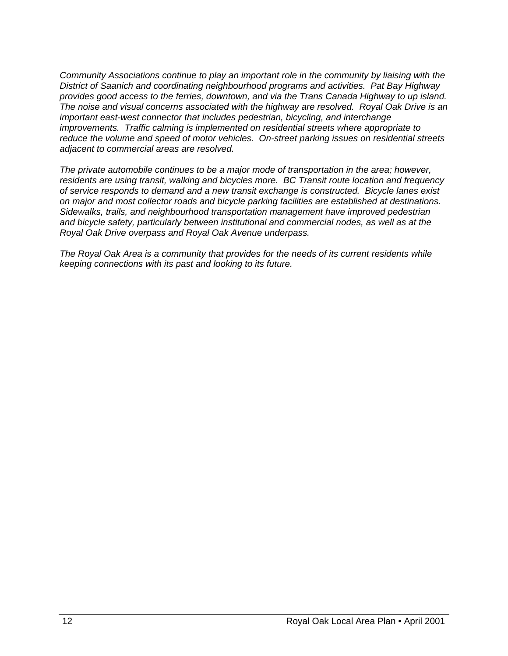*Community Associations continue to play an important role in the community by liaising with the District of Saanich and coordinating neighbourhood programs and activities. Pat Bay Highway provides good access to the ferries, downtown, and via the Trans Canada Highway to up island. The noise and visual concerns associated with the highway are resolved. Royal Oak Drive is an important east-west connector that includes pedestrian, bicycling, and interchange improvements. Traffic calming is implemented on residential streets where appropriate to reduce the volume and speed of motor vehicles. On-street parking issues on residential streets adjacent to commercial areas are resolved.* 

*The private automobile continues to be a major mode of transportation in the area; however, residents are using transit, walking and bicycles more. BC Transit route location and frequency of service responds to demand and a new transit exchange is constructed. Bicycle lanes exist on major and most collector roads and bicycle parking facilities are established at destinations. Sidewalks, trails, and neighbourhood transportation management have improved pedestrian and bicycle safety, particularly between institutional and commercial nodes, as well as at the Royal Oak Drive overpass and Royal Oak Avenue underpass.* 

*The Royal Oak Area is a community that provides for the needs of its current residents while keeping connections with its past and looking to its future.*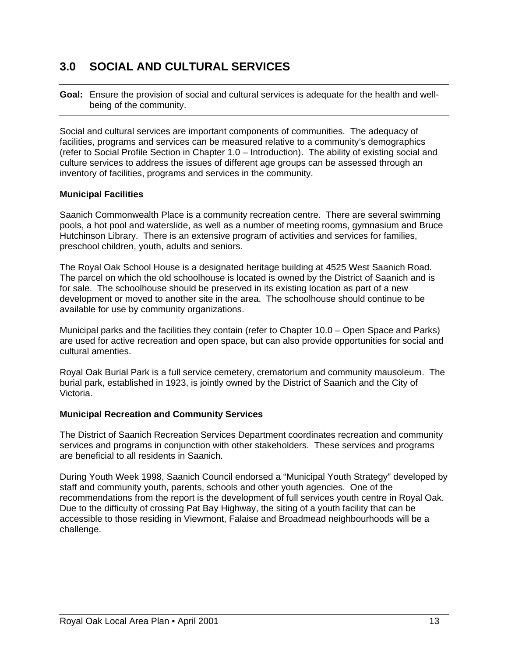# **3.0 SOCIAL AND CULTURAL SERVICES**

**Goal:** Ensure the provision of social and cultural services is adequate for the health and well being of the community.

Social and cultural services are important components of communities. The adequacy of facilities, programs and services can be measured relative to a community's demographics (refer to Social Profile Section in Chapter 1.0 – Introduction). The ability of existing social and culture services to address the issues of different age groups can be assessed through an inventory of facilities, programs and services in the community.

#### **Municipal Facilities**

Saanich Commonwealth Place is a community recreation centre. There are several swimming pools, a hot pool and waterslide, as well as a number of meeting rooms, gymnasium and Bruce Hutchinson Library. There is an extensive program of activities and services for families, preschool children, youth, adults and seniors.

The Royal Oak School House is a designated heritage building at 4525 West Saanich Road. The parcel on which the old schoolhouse is located is owned by the District of Saanich and is for sale. The schoolhouse should be preserved in its existing location as part of a new development or moved to another site in the area. The schoolhouse should continue to be available for use by community organizations.

Municipal parks and the facilities they contain (refer to Chapter 10.0 – Open Space and Parks) are used for active recreation and open space, but can also provide opportunities for social and cultural amenties.

Royal Oak Burial Park is a full service cemetery, crematorium and community mausoleum. The burial park, established in 1923, is jointly owned by the District of Saanich and the City of Victoria.

#### **Municipal Recreation and Community Services**

The District of Saanich Recreation Services Department coordinates recreation and community services and programs in conjunction with other stakeholders. These services and programs are beneficial to all residents in Saanich.

During Youth Week 1998, Saanich Council endorsed a "Municipal Youth Strategy" developed by staff and community youth, parents, schools and other youth agencies. One of the recommendations from the report is the development of full services youth centre in Royal Oak. Due to the difficulty of crossing Pat Bay Highway, the siting of a youth facility that can be accessible to those residing in Viewmont, Falaise and Broadmead neighbourhoods will be a challenge.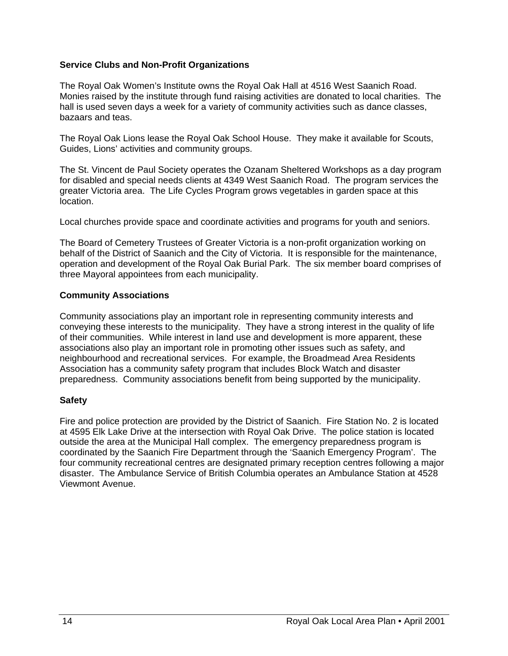#### **Service Clubs and Non-Profit Organizations**

The Royal Oak Women's Institute owns the Royal Oak Hall at 4516 West Saanich Road. Monies raised by the institute through fund raising activities are donated to local charities. The hall is used seven days a week for a variety of community activities such as dance classes, bazaars and teas.

The Royal Oak Lions lease the Royal Oak School House. They make it available for Scouts, Guides, Lions' activities and community groups.

The St. Vincent de Paul Society operates the Ozanam Sheltered Workshops as a day program for disabled and special needs clients at 4349 West Saanich Road. The program services the greater Victoria area. The Life Cycles Program grows vegetables in garden space at this location.

Local churches provide space and coordinate activities and programs for youth and seniors.

The Board of Cemetery Trustees of Greater Victoria is a non-profit organization working on behalf of the District of Saanich and the City of Victoria. It is responsible for the maintenance, operation and development of the Royal Oak Burial Park. The six member board comprises of three Mayoral appointees from each municipality.

#### **Community Associations**

Community associations play an important role in representing community interests and conveying these interests to the municipality. They have a strong interest in the quality of life of their communities. While interest in land use and development is more apparent, these associations also play an important role in promoting other issues such as safety, and neighbourhood and recreational services. For example, the Broadmead Area Residents Association has a community safety program that includes Block Watch and disaster preparedness. Community associations benefit from being supported by the municipality.

#### **Safety**

Fire and police protection are provided by the District of Saanich. Fire Station No. 2 is located at 4595 Elk Lake Drive at the intersection with Royal Oak Drive. The police station is located outside the area at the Municipal Hall complex. The emergency preparedness program is coordinated by the Saanich Fire Department through the 'Saanich Emergency Program'. The four community recreational centres are designated primary reception centres following a major disaster. The Ambulance Service of British Columbia operates an Ambulance Station at 4528 Viewmont Avenue.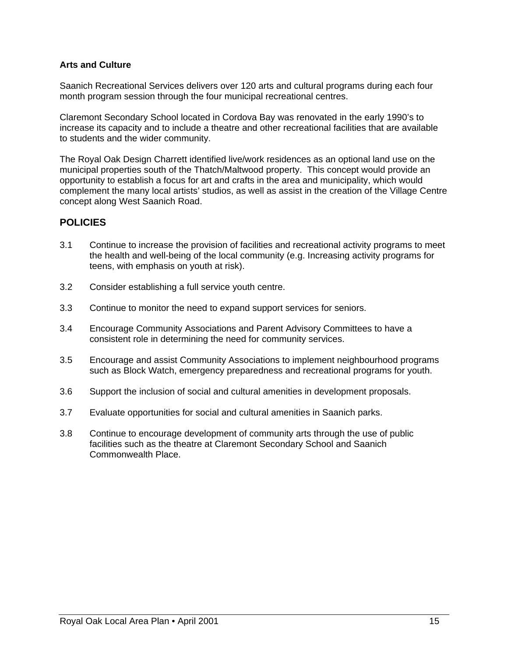#### **Arts and Culture**

Saanich Recreational Services delivers over 120 arts and cultural programs during each four month program session through the four municipal recreational centres.

Claremont Secondary School located in Cordova Bay was renovated in the early 1990's to increase its capacity and to include a theatre and other recreational facilities that are available to students and the wider community.

The Royal Oak Design Charrett identified live/work residences as an optional land use on the municipal properties south of the Thatch/Maltwood property. This concept would provide an opportunity to establish a focus for art and crafts in the area and municipality, which would complement the many local artists' studios, as well as assist in the creation of the Village Centre concept along West Saanich Road.

#### **POLICIES**

- 3.1 Continue to increase the provision of facilities and recreational activity programs to meet the health and well-being of the local community (e.g. Increasing activity programs for teens, with emphasis on youth at risk).
- 3.2 Consider establishing a full service youth centre.
- 3.3 Continue to monitor the need to expand support services for seniors.
- 3.4 Encourage Community Associations and Parent Advisory Committees to have a consistent role in determining the need for community services.
- 3.5 Encourage and assist Community Associations to implement neighbourhood programs such as Block Watch, emergency preparedness and recreational programs for youth.
- 3.6 Support the inclusion of social and cultural amenities in development proposals.
- 3.7 Evaluate opportunities for social and cultural amenities in Saanich parks.
- 3.8 Continue to encourage development of community arts through the use of public facilities such as the theatre at Claremont Secondary School and Saanich Commonwealth Place.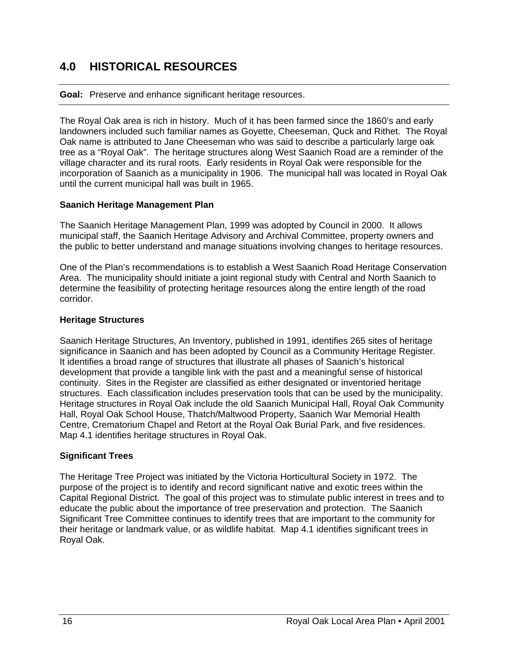# **4.0 HISTORICAL RESOURCES**

#### **Goal:** Preserve and enhance significant heritage resources.

The Royal Oak area is rich in history. Much of it has been farmed since the 1860's and early landowners included such familiar names as Goyette, Cheeseman, Quck and Rithet. The Royal Oak name is attributed to Jane Cheeseman who was said to describe a particularly large oak tree as a "Royal Oak". The heritage structures along West Saanich Road are a reminder of the village character and its rural roots. Early residents in Royal Oak were responsible for the incorporation of Saanich as a municipality in 1906. The municipal hall was located in Royal Oak until the current municipal hall was built in 1965.

#### **Saanich Heritage Management Plan**

The Saanich Heritage Management Plan, 1999 was adopted by Council in 2000. It allows municipal staff, the Saanich Heritage Advisory and Archival Committee, property owners and the public to better understand and manage situations involving changes to heritage resources.

One of the Plan's recommendations is to establish a West Saanich Road Heritage Conservation Area. The municipality should initiate a joint regional study with Central and North Saanich to determine the feasibility of protecting heritage resources along the entire length of the road corridor.

#### **Heritage Structures**

Saanich Heritage Structures, An Inventory, published in 1991, identifies 265 sites of heritage significance in Saanich and has been adopted by Council as a Community Heritage Register. It identifies a broad range of structures that illustrate all phases of Saanich's historical development that provide a tangible link with the past and a meaningful sense of historical continuity. Sites in the Register are classified as either designated or inventoried heritage structures. Each classification includes preservation tools that can be used by the municipality. Heritage structures in Royal Oak include the old Saanich Municipal Hall, Royal Oak Community Hall, Royal Oak School House, Thatch/Maltwood Property, Saanich War Memorial Health Centre, Crematorium Chapel and Retort at the Royal Oak Burial Park, and five residences. Map 4.1 identifies heritage structures in Royal Oak.

#### **Significant Trees**

The Heritage Tree Project was initiated by the Victoria Horticultural Society in 1972. The purpose of the project is to identify and record significant native and exotic trees within the Capital Regional District. The goal of this project was to stimulate public interest in trees and to educate the public about the importance of tree preservation and protection. The Saanich Significant Tree Committee continues to identify trees that are important to the community for their heritage or landmark value, or as wildlife habitat. Map 4.1 identifies significant trees in Royal Oak.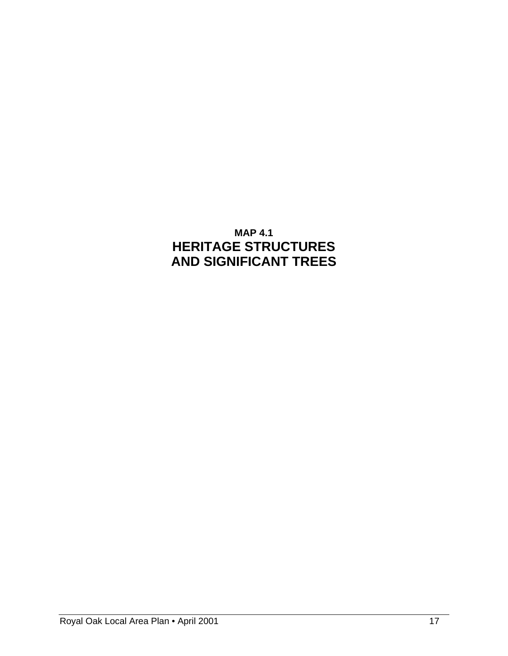# **MAP 4.1 HERITAGE STRUCTURES AND SIGNIFICANT TREES**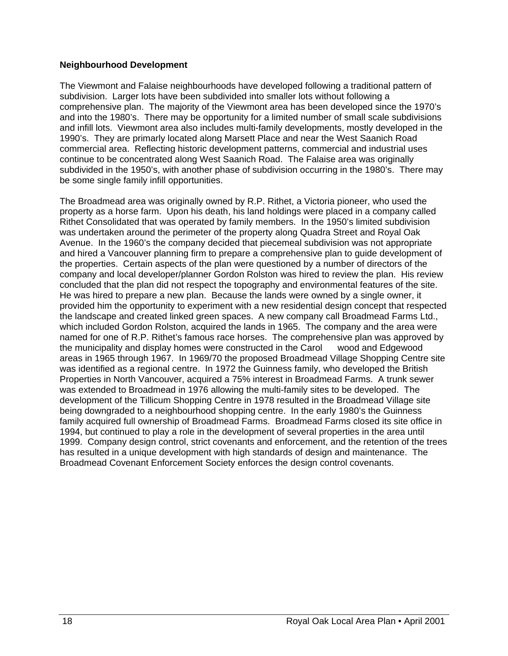#### **Neighbourhood Development**

The Viewmont and Falaise neighbourhoods have developed following a traditional pattern of subdivision. Larger lots have been subdivided into smaller lots without following a comprehensive plan. The majority of the Viewmont area has been developed since the 1970's and into the 1980's. There may be opportunity for a limited number of small scale subdivisions and infill lots. Viewmont area also includes multi-family developments, mostly developed in the 1990's. They are primarly located along Marsett Place and near the West Saanich Road commercial area. Reflecting historic development patterns, commercial and industrial uses continue to be concentrated along West Saanich Road. The Falaise area was originally subdivided in the 1950's, with another phase of subdivision occurring in the 1980's. There may be some single family infill opportunities.

The Broadmead area was originally owned by R.P. Rithet, a Victoria pioneer, who used the property as a horse farm. Upon his death, his land holdings were placed in a company called Rithet Consolidated that was operated by family members. In the 1950's limited subdivision was undertaken around the perimeter of the property along Quadra Street and Royal Oak Avenue. In the 1960's the company decided that piecemeal subdivision was not appropriate and hired a Vancouver planning firm to prepare a comprehensive plan to guide development of the properties. Certain aspects of the plan were questioned by a number of directors of the company and local developer/planner Gordon Rolston was hired to review the plan. His review concluded that the plan did not respect the topography and environmental features of the site. He was hired to prepare a new plan. Because the lands were owned by a single owner, it provided him the opportunity to experiment with a new residential design concept that respected the landscape and created linked green spaces. A new company call Broadmead Farms Ltd., which included Gordon Rolston, acquired the lands in 1965. The company and the area were named for one of R.P. Rithet's famous race horses. The comprehensive plan was approved by the municipality and display homes were constructed in the Carol wood and Edgewood areas in 1965 through 1967. In 1969/70 the proposed Broadmead Village Shopping Centre site was identified as a regional centre. In 1972 the Guinness family, who developed the British Properties in North Vancouver, acquired a 75% interest in Broadmead Farms. A trunk sewer was extended to Broadmead in 1976 allowing the multi-family sites to be developed. The development of the Tillicum Shopping Centre in 1978 resulted in the Broadmead Village site being downgraded to a neighbourhood shopping centre. In the early 1980's the Guinness family acquired full ownership of Broadmead Farms. Broadmead Farms closed its site office in 1994, but continued to play a role in the development of several properties in the area until 1999. Company design control, strict covenants and enforcement, and the retention of the trees has resulted in a unique development with high standards of design and maintenance. The Broadmead Covenant Enforcement Society enforces the design control covenants.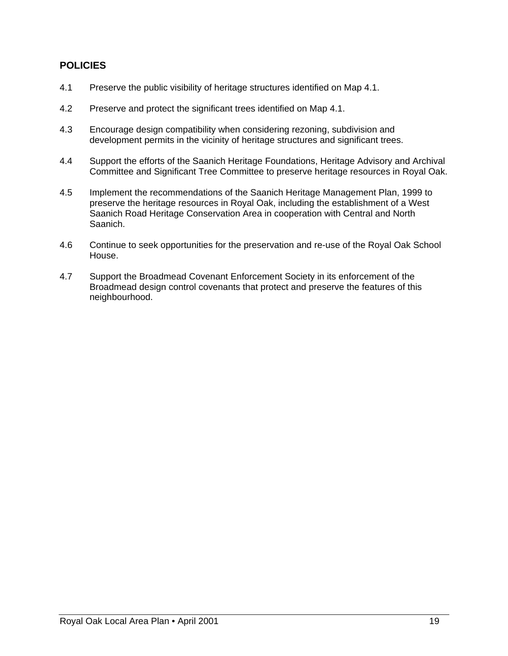#### **POLICIES**

- 4.1 Preserve the public visibility of heritage structures identified on Map 4.1.
- 4.2 Preserve and protect the significant trees identified on Map 4.1.
- 4.3 Encourage design compatibility when considering rezoning, subdivision and development permits in the vicinity of heritage structures and significant trees.
- 4.4 Support the efforts of the Saanich Heritage Foundations, Heritage Advisory and Archival Committee and Significant Tree Committee to preserve heritage resources in Royal Oak.
- 4.5 Implement the recommendations of the Saanich Heritage Management Plan, 1999 to preserve the heritage resources in Royal Oak, including the establishment of a West Saanich Road Heritage Conservation Area in cooperation with Central and North Saanich.
- 4.6 Continue to seek opportunities for the preservation and re-use of the Royal Oak School House.
- 4.7 Support the Broadmead Covenant Enforcement Society in its enforcement of the Broadmead design control covenants that protect and preserve the features of this neighbourhood.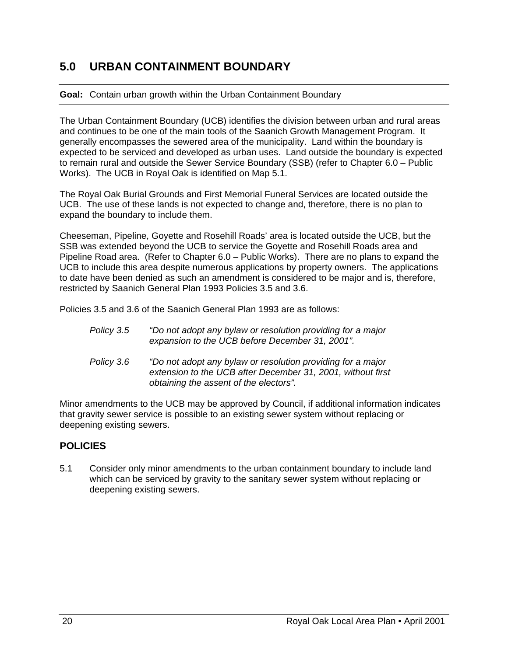# **5.0 URBAN CONTAINMENT BOUNDARY**

#### **Goal:** Contain urban growth within the Urban Containment Boundary

The Urban Containment Boundary (UCB) identifies the division between urban and rural areas and continues to be one of the main tools of the Saanich Growth Management Program. It generally encompasses the sewered area of the municipality. Land within the boundary is expected to be serviced and developed as urban uses. Land outside the boundary is expected to remain rural and outside the Sewer Service Boundary (SSB) (refer to Chapter 6.0 – Public Works). The UCB in Royal Oak is identified on Map 5.1.

The Royal Oak Burial Grounds and First Memorial Funeral Services are located outside the UCB. The use of these lands is not expected to change and, therefore, there is no plan to expand the boundary to include them.

Cheeseman, Pipeline, Goyette and Rosehill Roads' area is located outside the UCB, but the SSB was extended beyond the UCB to service the Goyette and Rosehill Roads area and Pipeline Road area. (Refer to Chapter 6.0 – Public Works). There are no plans to expand the UCB to include this area despite numerous applications by property owners. The applications to date have been denied as such an amendment is considered to be major and is, therefore, restricted by Saanich General Plan 1993 Policies 3.5 and 3.6.

Policies 3.5 and 3.6 of the Saanich General Plan 1993 are as follows:

| Policy 3.5 | "Do not adopt any bylaw or resolution providing for a major |
|------------|-------------------------------------------------------------|
|            | expansion to the UCB before December 31, 2001".             |

 *Policy 3.6 "Do not adopt any bylaw or resolution providing for a major extension to the UCB after December 31, 2001, without first obtaining the assent of the electors".* 

Minor amendments to the UCB may be approved by Council, if additional information indicates that gravity sewer service is possible to an existing sewer system without replacing or deepening existing sewers.

#### **POLICIES**

5.1 Consider only minor amendments to the urban containment boundary to include land which can be serviced by gravity to the sanitary sewer system without replacing or deepening existing sewers.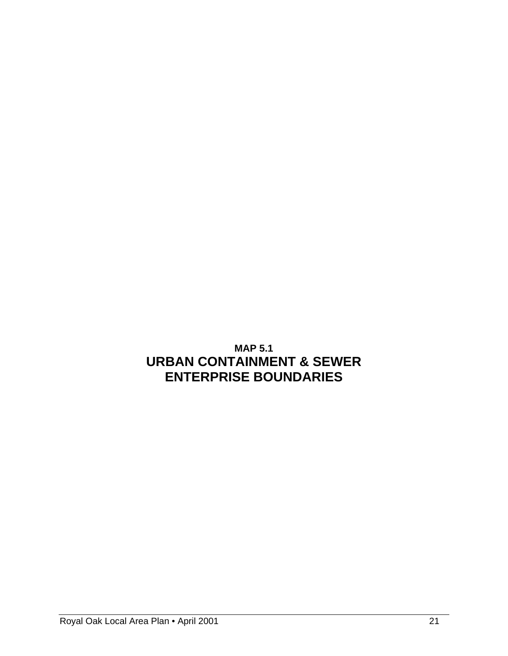# **MAP 5.1 URBAN CONTAINMENT & SEWER ENTERPRISE BOUNDARIES**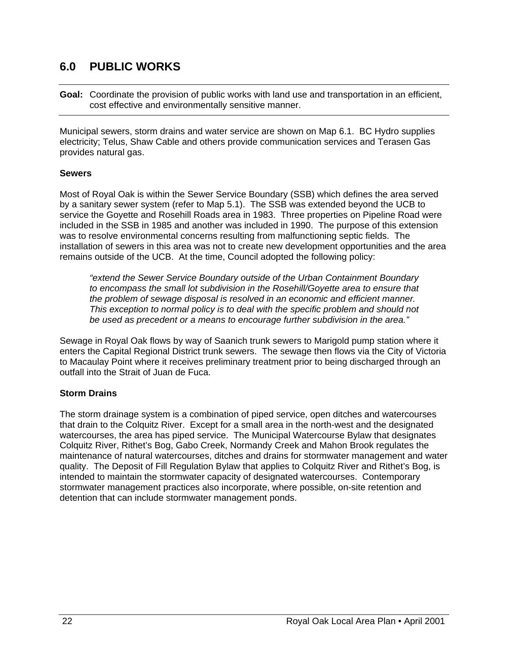# **6.0 PUBLIC WORKS**

**Goal:** Coordinate the provision of public works with land use and transportation in an efficient, cost effective and environmentally sensitive manner.

Municipal sewers, storm drains and water service are shown on Map 6.1. BC Hydro supplies electricity; Telus, Shaw Cable and others provide communication services and Terasen Gas provides natural gas.

#### **Sewers**

Most of Royal Oak is within the Sewer Service Boundary (SSB) which defines the area served by a sanitary sewer system (refer to Map 5.1). The SSB was extended beyond the UCB to service the Goyette and Rosehill Roads area in 1983. Three properties on Pipeline Road were included in the SSB in 1985 and another was included in 1990. The purpose of this extension was to resolve environmental concerns resulting from malfunctioning septic fields. The installation of sewers in this area was not to create new development opportunities and the area remains outside of the UCB. At the time, Council adopted the following policy:

*"extend the Sewer Service Boundary outside of the Urban Containment Boundary to encompass the small lot subdivision in the Rosehill/Goyette area to ensure that the problem of sewage disposal is resolved in an economic and efficient manner. This exception to normal policy is to deal with the specific problem and should not be used as precedent or a means to encourage further subdivision in the area."* 

Sewage in Royal Oak flows by way of Saanich trunk sewers to Marigold pump station where it enters the Capital Regional District trunk sewers. The sewage then flows via the City of Victoria to Macaulay Point where it receives preliminary treatment prior to being discharged through an outfall into the Strait of Juan de Fuca.

#### **Storm Drains**

The storm drainage system is a combination of piped service, open ditches and watercourses that drain to the Colquitz River. Except for a small area in the north-west and the designated watercourses, the area has piped service. The Municipal Watercourse Bylaw that designates Colquitz River, Rithet's Bog, Gabo Creek, Normandy Creek and Mahon Brook regulates the maintenance of natural watercourses, ditches and drains for stormwater management and water quality. The Deposit of Fill Regulation Bylaw that applies to Colquitz River and Rithet's Bog, is intended to maintain the stormwater capacity of designated watercourses. Contemporary stormwater management practices also incorporate, where possible, on-site retention and detention that can include stormwater management ponds.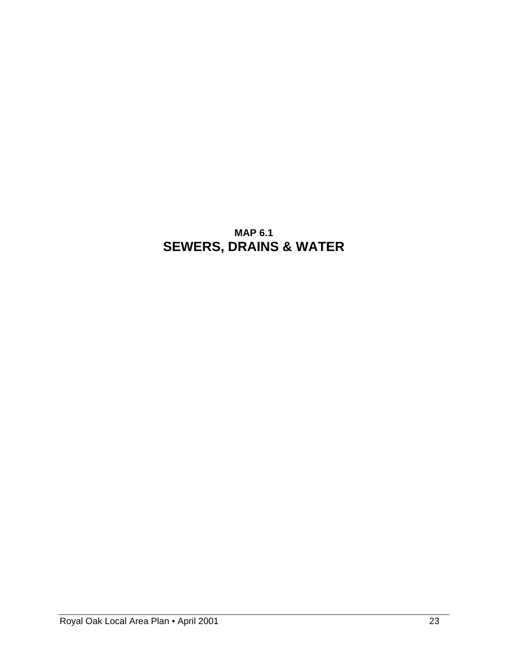# **MAP 6.1 SEWERS, DRAINS & WATER**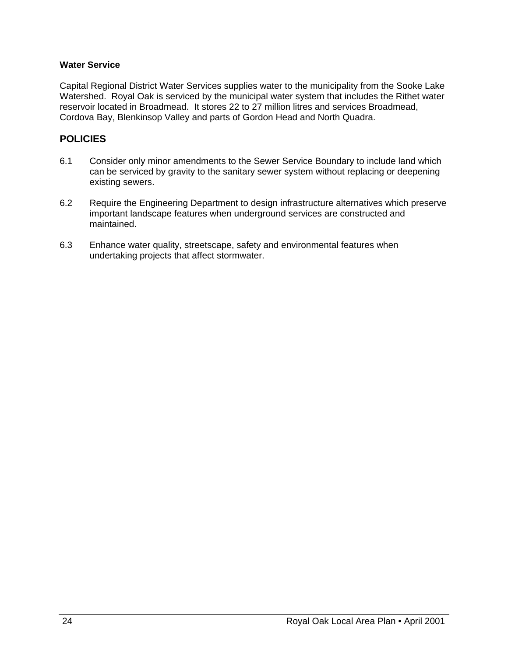#### **Water Service**

Capital Regional District Water Services supplies water to the municipality from the Sooke Lake Watershed. Royal Oak is serviced by the municipal water system that includes the Rithet water reservoir located in Broadmead. It stores 22 to 27 million litres and services Broadmead, Cordova Bay, Blenkinsop Valley and parts of Gordon Head and North Quadra.

#### **POLICIES**

- 6.1 Consider only minor amendments to the Sewer Service Boundary to include land which can be serviced by gravity to the sanitary sewer system without replacing or deepening existing sewers.
- 6.2 Require the Engineering Department to design infrastructure alternatives which preserve important landscape features when underground services are constructed and maintained.
- 6.3 Enhance water quality, streetscape, safety and environmental features when undertaking projects that affect stormwater.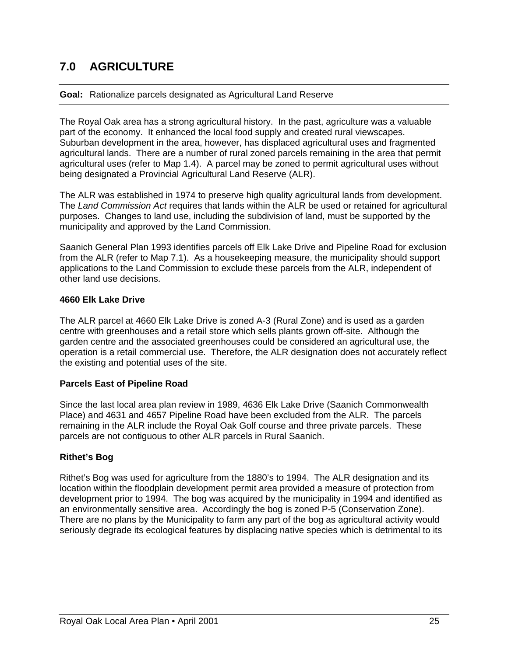# **7.0 AGRICULTURE**

#### **Goal:** Rationalize parcels designated as Agricultural Land Reserve

The Royal Oak area has a strong agricultural history. In the past, agriculture was a valuable part of the economy. It enhanced the local food supply and created rural viewscapes. Suburban development in the area, however, has displaced agricultural uses and fragmented agricultural lands. There are a number of rural zoned parcels remaining in the area that permit agricultural uses (refer to Map 1.4). A parcel may be zoned to permit agricultural uses without being designated a Provincial Agricultural Land Reserve (ALR).

The ALR was established in 1974 to preserve high quality agricultural lands from development. The *Land Commission Act* requires that lands within the ALR be used or retained for agricultural purposes. Changes to land use, including the subdivision of land, must be supported by the municipality and approved by the Land Commission.

Saanich General Plan 1993 identifies parcels off Elk Lake Drive and Pipeline Road for exclusion from the ALR (refer to Map 7.1). As a housekeeping measure, the municipality should support applications to the Land Commission to exclude these parcels from the ALR, independent of other land use decisions.

#### **4660 Elk Lake Drive**

The ALR parcel at 4660 Elk Lake Drive is zoned A-3 (Rural Zone) and is used as a garden centre with greenhouses and a retail store which sells plants grown off-site. Although the garden centre and the associated greenhouses could be considered an agricultural use, the operation is a retail commercial use. Therefore, the ALR designation does not accurately reflect the existing and potential uses of the site.

#### **Parcels East of Pipeline Road**

Since the last local area plan review in 1989, 4636 Elk Lake Drive (Saanich Commonwealth Place) and 4631 and 4657 Pipeline Road have been excluded from the ALR. The parcels remaining in the ALR include the Royal Oak Golf course and three private parcels. These parcels are not contiguous to other ALR parcels in Rural Saanich.

#### **Rithet's Bog**

Rithet's Bog was used for agriculture from the 1880's to 1994. The ALR designation and its location within the floodplain development permit area provided a measure of protection from development prior to 1994. The bog was acquired by the municipality in 1994 and identified as an environmentally sensitive area. Accordingly the bog is zoned P-5 (Conservation Zone). There are no plans by the Municipality to farm any part of the bog as agricultural activity would seriously degrade its ecological features by displacing native species which is detrimental to its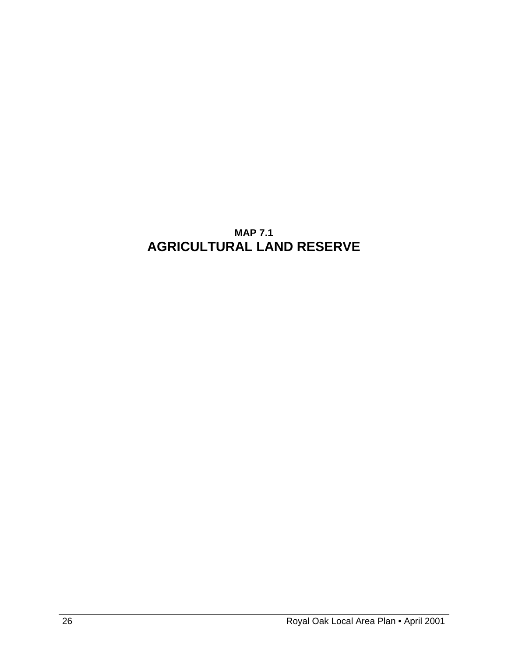# **MAP 7.1 AGRICULTURAL LAND RESERVE**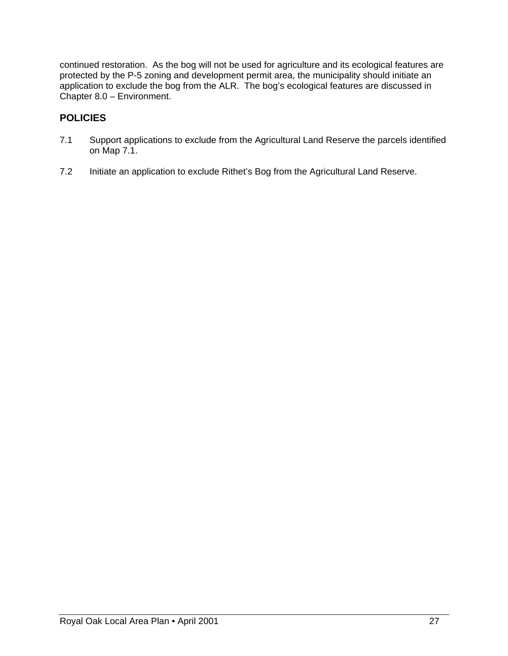continued restoration. As the bog will not be used for agriculture and its ecological features are protected by the P-5 zoning and development permit area, the municipality should initiate an application to exclude the bog from the ALR. The bog's ecological features are discussed in Chapter 8.0 – Environment.

# **POLICIES**

- 7.1 Support applications to exclude from the Agricultural Land Reserve the parcels identified on Map 7.1.
- 7.2 Initiate an application to exclude Rithet's Bog from the Agricultural Land Reserve.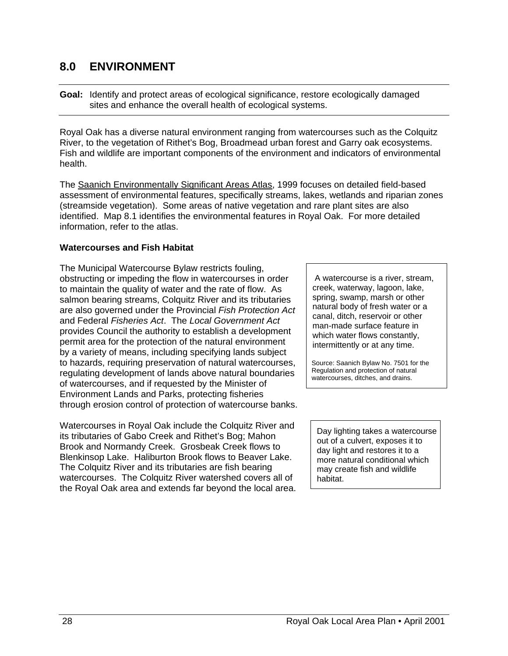# **8.0 ENVIRONMENT**

**Goal:** Identify and protect areas of ecological significance, restore ecologically damaged sites and enhance the overall health of ecological systems.

Royal Oak has a diverse natural environment ranging from watercourses such as the Colquitz River, to the vegetation of Rithet's Bog, Broadmead urban forest and Garry oak ecosystems. Fish and wildlife are important components of the environment and indicators of environmental health.

The Saanich Environmentally Significant Areas Atlas, 1999 focuses on detailed field-based assessment of environmental features, specifically streams, lakes, wetlands and riparian zones (streamside vegetation). Some areas of native vegetation and rare plant sites are also identified. Map 8.1 identifies the environmental features in Royal Oak. For more detailed information, refer to the atlas.

#### **Watercourses and Fish Habitat**

The Municipal Watercourse Bylaw restricts fouling, obstructing or impeding the flow in watercourses in order to maintain the quality of water and the rate of flow. As salmon bearing streams, Colquitz River and its tributaries are also governed under the Provincial *Fish Protection Act*  and Federal *Fisheries Act*. The *Local Government Act* provides Council the authority to establish a development permit area for the protection of the natural environment by a variety of means, including specifying lands subject to hazards, requiring preservation of natural watercourses, regulating development of lands above natural boundaries of watercourses, and if requested by the Minister of Environment Lands and Parks, protecting fisheries through erosion control of protection of watercourse banks.

Watercourses in Royal Oak include the Colquitz River and its tributaries of Gabo Creek and Rithet's Bog; Mahon Brook and Normandy Creek. Grosbeak Creek flows to Blenkinsop Lake. Haliburton Brook flows to Beaver Lake. The Colquitz River and its tributaries are fish bearing watercourses. The Colquitz River watershed covers all of the Royal Oak area and extends far beyond the local area.

 A watercourse is a river, stream, creek, waterway, lagoon, lake, spring, swamp, marsh or other natural body of fresh water or a canal, ditch, reservoir or other man-made surface feature in which water flows constantly, intermittently or at any time.

 Source: Saanich Bylaw No. 7501 for the Regulation and protection of natural watercourses, ditches, and drains.

 Day lighting takes a watercourse out of a culvert, exposes it to day light and restores it to a more natural conditional which may create fish and wildlife habitat.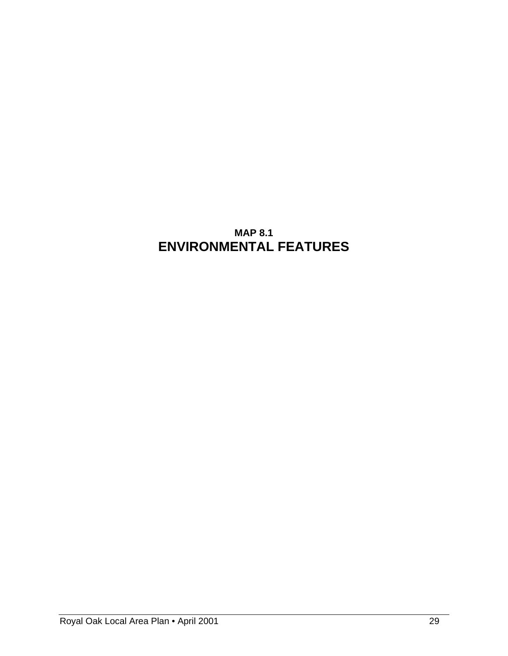# **MAP 8.1 ENVIRONMENTAL FEATURES**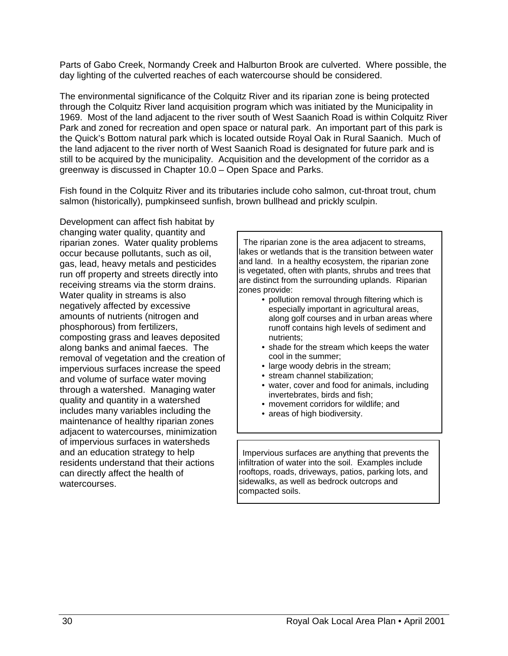Parts of Gabo Creek, Normandy Creek and Halburton Brook are culverted. Where possible, the day lighting of the culverted reaches of each watercourse should be considered.

The environmental significance of the Colquitz River and its riparian zone is being protected through the Colquitz River land acquisition program which was initiated by the Municipality in 1969. Most of the land adjacent to the river south of West Saanich Road is within Colquitz River Park and zoned for recreation and open space or natural park. An important part of this park is the Quick's Bottom natural park which is located outside Royal Oak in Rural Saanich. Much of the land adjacent to the river north of West Saanich Road is designated for future park and is still to be acquired by the municipality. Acquisition and the development of the corridor as a greenway is discussed in Chapter 10.0 – Open Space and Parks.

Fish found in the Colquitz River and its tributaries include coho salmon, cut-throat trout, chum salmon (historically), pumpkinseed sunfish, brown bullhead and prickly sculpin.

Development can affect fish habitat by changing water quality, quantity and riparian zones. Water quality problems occur because pollutants, such as oil, gas, lead, heavy metals and pesticides run off property and streets directly into receiving streams via the storm drains. Water quality in streams is also negatively affected by excessive amounts of nutrients (nitrogen and phosphorous) from fertilizers, composting grass and leaves deposited along banks and animal faeces. The removal of vegetation and the creation of impervious surfaces increase the speed and volume of surface water moving through a watershed. Managing water quality and quantity in a watershed includes many variables including the maintenance of healthy riparian zones adjacent to watercourses, minimization of impervious surfaces in watersheds and an education strategy to help residents understand that their actions can directly affect the health of watercourses.

 The riparian zone is the area adjacent to streams, lakes or wetlands that is the transition between water and land. In a healthy ecosystem, the riparian zone is vegetated, often with plants, shrubs and trees that are distinct from the surrounding uplands. Riparian zones provide:

- pollution removal through filtering which is especially important in agricultural areas, along golf courses and in urban areas where runoff contains high levels of sediment and nutrients;
- shade for the stream which keeps the water cool in the summer;
- large woody debris in the stream;
- stream channel stabilization;
- water, cover and food for animals, including invertebrates, birds and fish;
- movement corridors for wildlife; and
- areas of high biodiversity.

 Impervious surfaces are anything that prevents the infiltration of water into the soil. Examples include rooftops, roads, driveways, patios, parking lots, and sidewalks, as well as bedrock outcrops and compacted soils.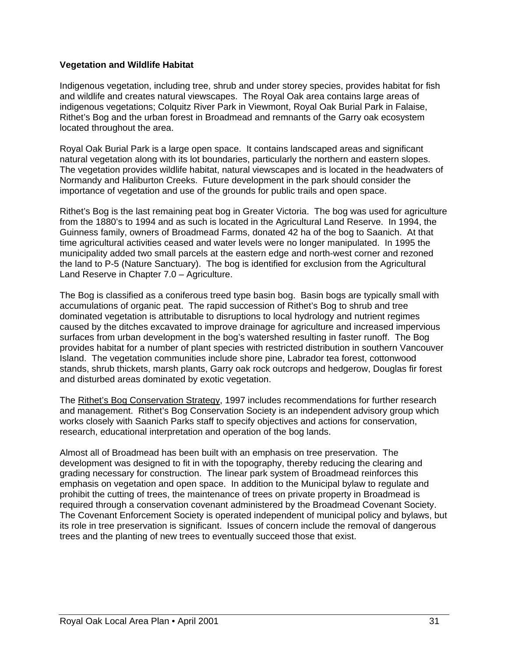#### **Vegetation and Wildlife Habitat**

Indigenous vegetation, including tree, shrub and under storey species, provides habitat for fish and wildlife and creates natural viewscapes. The Royal Oak area contains large areas of indigenous vegetations; Colquitz River Park in Viewmont, Royal Oak Burial Park in Falaise, Rithet's Bog and the urban forest in Broadmead and remnants of the Garry oak ecosystem located throughout the area.

Royal Oak Burial Park is a large open space. It contains landscaped areas and significant natural vegetation along with its lot boundaries, particularly the northern and eastern slopes. The vegetation provides wildlife habitat, natural viewscapes and is located in the headwaters of Normandy and Haliburton Creeks. Future development in the park should consider the importance of vegetation and use of the grounds for public trails and open space.

Rithet's Bog is the last remaining peat bog in Greater Victoria. The bog was used for agriculture from the 1880's to 1994 and as such is located in the Agricultural Land Reserve. In 1994, the Guinness family, owners of Broadmead Farms, donated 42 ha of the bog to Saanich. At that time agricultural activities ceased and water levels were no longer manipulated. In 1995 the municipality added two small parcels at the eastern edge and north-west corner and rezoned the land to P-5 (Nature Sanctuary). The bog is identified for exclusion from the Agricultural Land Reserve in Chapter 7.0 – Agriculture.

The Bog is classified as a coniferous treed type basin bog. Basin bogs are typically small with accumulations of organic peat. The rapid succession of Rithet's Bog to shrub and tree dominated vegetation is attributable to disruptions to local hydrology and nutrient regimes caused by the ditches excavated to improve drainage for agriculture and increased impervious surfaces from urban development in the bog's watershed resulting in faster runoff. The Bog provides habitat for a number of plant species with restricted distribution in southern Vancouver Island. The vegetation communities include shore pine, Labrador tea forest, cottonwood stands, shrub thickets, marsh plants, Garry oak rock outcrops and hedgerow, Douglas fir forest and disturbed areas dominated by exotic vegetation.

The Rithet's Bog Conservation Strategy, 1997 includes recommendations for further research and management. Rithet's Bog Conservation Society is an independent advisory group which works closely with Saanich Parks staff to specify objectives and actions for conservation, research, educational interpretation and operation of the bog lands.

Almost all of Broadmead has been built with an emphasis on tree preservation. The development was designed to fit in with the topography, thereby reducing the clearing and grading necessary for construction. The linear park system of Broadmead reinforces this emphasis on vegetation and open space. In addition to the Municipal bylaw to regulate and prohibit the cutting of trees, the maintenance of trees on private property in Broadmead is required through a conservation covenant administered by the Broadmead Covenant Society. The Covenant Enforcement Society is operated independent of municipal policy and bylaws, but its role in tree preservation is significant. Issues of concern include the removal of dangerous trees and the planting of new trees to eventually succeed those that exist.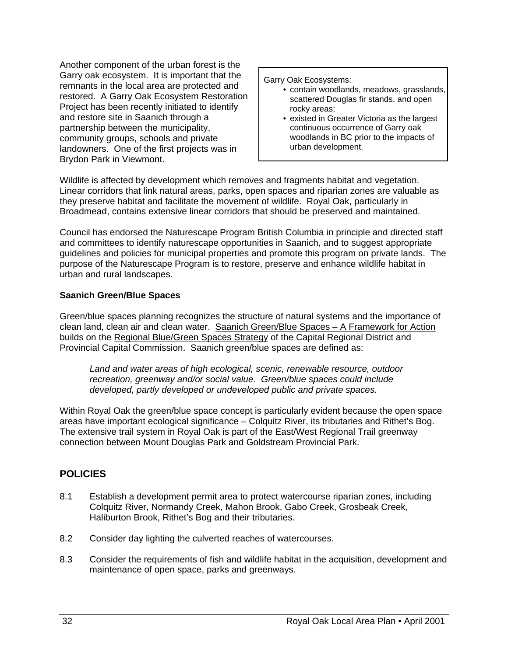Another component of the urban forest is the Garry oak ecosystem. It is important that the remnants in the local area are protected and restored. A Garry Oak Ecosystem Restoration Project has been recently initiated to identify and restore site in Saanich through a partnership between the municipality, community groups, schools and private landowners. One of the first projects was in Brydon Park in Viewmont.

Garry Oak Ecosystems:

- contain woodlands, meadows, grasslands, scattered Douglas fir stands, and open rocky areas;
- existed in Greater Victoria as the largest continuous occurrence of Garry oak woodlands in BC prior to the impacts of urban development.

Wildlife is affected by development which removes and fragments habitat and vegetation. Linear corridors that link natural areas, parks, open spaces and riparian zones are valuable as they preserve habitat and facilitate the movement of wildlife. Royal Oak, particularly in Broadmead, contains extensive linear corridors that should be preserved and maintained.

Council has endorsed the Naturescape Program British Columbia in principle and directed staff and committees to identify naturescape opportunities in Saanich, and to suggest appropriate guidelines and policies for municipal properties and promote this program on private lands. The purpose of the Naturescape Program is to restore, preserve and enhance wildlife habitat in urban and rural landscapes.

### **Saanich Green/Blue Spaces**

Green/blue spaces planning recognizes the structure of natural systems and the importance of clean land, clean air and clean water. Saanich Green/Blue Spaces – A Framework for Action builds on the Regional Blue/Green Spaces Strategy of the Capital Regional District and Provincial Capital Commission. Saanich green/blue spaces are defined as:

*Land and water areas of high ecological, scenic, renewable resource, outdoor recreation, greenway and/or social value. Green/blue spaces could include developed, partly developed or undeveloped public and private spaces.* 

Within Royal Oak the green/blue space concept is particularly evident because the open space areas have important ecological significance – Colquitz River, its tributaries and Rithet's Bog. The extensive trail system in Royal Oak is part of the East/West Regional Trail greenway connection between Mount Douglas Park and Goldstream Provincial Park.

## **POLICIES**

- 8.1 Establish a development permit area to protect watercourse riparian zones, including Colquitz River, Normandy Creek, Mahon Brook, Gabo Creek, Grosbeak Creek, Haliburton Brook, Rithet's Bog and their tributaries.
- 8.2 Consider day lighting the culverted reaches of watercourses.
- 8.3 Consider the requirements of fish and wildlife habitat in the acquisition, development and maintenance of open space, parks and greenways.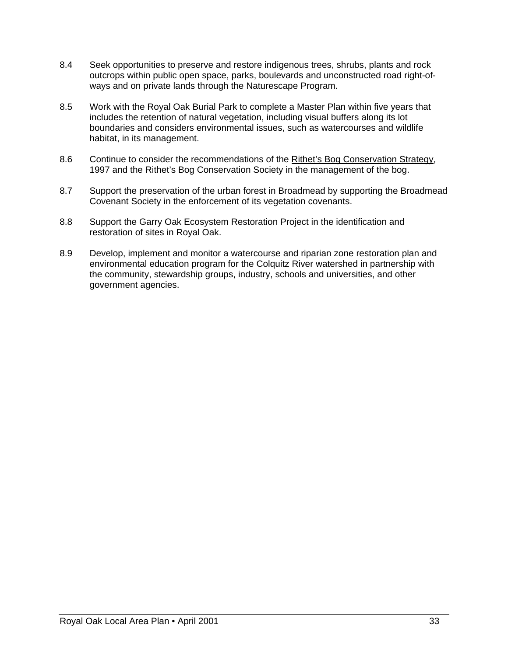- 8.4 Seek opportunities to preserve and restore indigenous trees, shrubs, plants and rock outcrops within public open space, parks, boulevards and unconstructed road right-ofways and on private lands through the Naturescape Program.
- 8.5 Work with the Royal Oak Burial Park to complete a Master Plan within five years that includes the retention of natural vegetation, including visual buffers along its lot boundaries and considers environmental issues, such as watercourses and wildlife habitat, in its management.
- 8.6 Continue to consider the recommendations of the Rithet's Bog Conservation Strategy, 1997 and the Rithet's Bog Conservation Society in the management of the bog.
- 8.7 Support the preservation of the urban forest in Broadmead by supporting the Broadmead Covenant Society in the enforcement of its vegetation covenants.
- 8.8 Support the Garry Oak Ecosystem Restoration Project in the identification and restoration of sites in Royal Oak.
- 8.9 Develop, implement and monitor a watercourse and riparian zone restoration plan and environmental education program for the Colquitz River watershed in partnership with the community, stewardship groups, industry, schools and universities, and other government agencies.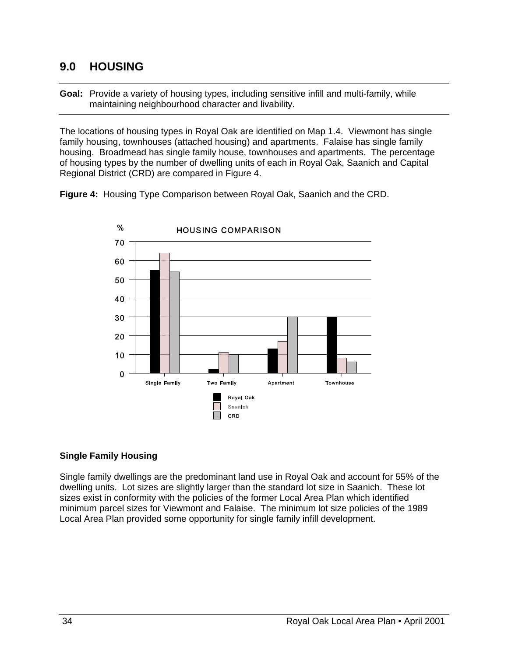## **9.0 HOUSING**

**Goal:** Provide a variety of housing types, including sensitive infill and multi-family, while maintaining neighbourhood character and livability.

The locations of housing types in Royal Oak are identified on Map 1.4. Viewmont has single family housing, townhouses (attached housing) and apartments. Falaise has single family housing. Broadmead has single family house, townhouses and apartments. The percentage of housing types by the number of dwelling units of each in Royal Oak, Saanich and Capital Regional District (CRD) are compared in Figure 4.

**Figure 4:** Housing Type Comparison between Royal Oak, Saanich and the CRD.



#### **Single Family Housing**

Single family dwellings are the predominant land use in Royal Oak and account for 55% of the dwelling units. Lot sizes are slightly larger than the standard lot size in Saanich. These lot sizes exist in conformity with the policies of the former Local Area Plan which identified minimum parcel sizes for Viewmont and Falaise. The minimum lot size policies of the 1989 Local Area Plan provided some opportunity for single family infill development.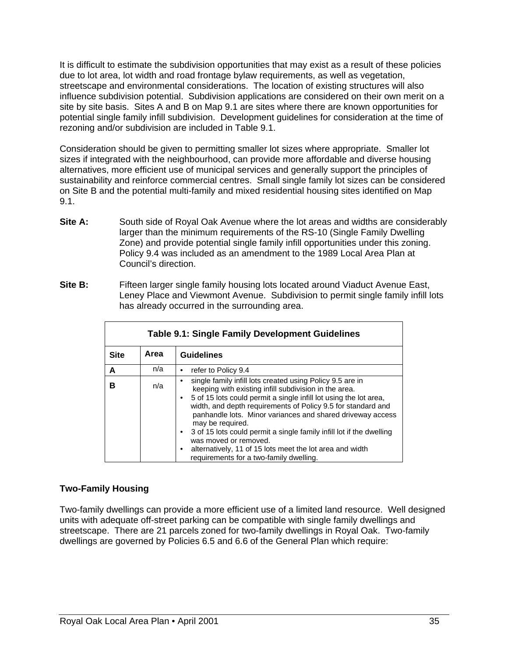It is difficult to estimate the subdivision opportunities that may exist as a result of these policies due to lot area, lot width and road frontage bylaw requirements, as well as vegetation, streetscape and environmental considerations. The location of existing structures will also influence subdivision potential. Subdivision applications are considered on their own merit on a site by site basis. Sites A and B on Map 9.1 are sites where there are known opportunities for potential single family infill subdivision. Development guidelines for consideration at the time of rezoning and/or subdivision are included in Table 9.1.

Consideration should be given to permitting smaller lot sizes where appropriate. Smaller lot sizes if integrated with the neighbourhood, can provide more affordable and diverse housing alternatives, more efficient use of municipal services and generally support the principles of sustainability and reinforce commercial centres. Small single family lot sizes can be considered on Site B and the potential multi-family and mixed residential housing sites identified on Map 9.1.

- **Site A:** South side of Royal Oak Avenue where the lot areas and widths are considerably larger than the minimum requirements of the RS-10 (Single Family Dwelling Zone) and provide potential single family infill opportunities under this zoning. Policy 9.4 was included as an amendment to the 1989 Local Area Plan at Council's direction.
- **Site B:** Fifteen larger single family housing lots located around Viaduct Avenue East, Leney Place and Viewmont Avenue. Subdivision to permit single family infill lots has already occurred in the surrounding area.

| <b>Table 9.1: Single Family Development Guidelines</b> |      |                                                                                                                                                                                                                                                                                                                                                                                                                                                                                                                                                   |  |  |  |
|--------------------------------------------------------|------|---------------------------------------------------------------------------------------------------------------------------------------------------------------------------------------------------------------------------------------------------------------------------------------------------------------------------------------------------------------------------------------------------------------------------------------------------------------------------------------------------------------------------------------------------|--|--|--|
| <b>Site</b>                                            | Area | <b>Guidelines</b>                                                                                                                                                                                                                                                                                                                                                                                                                                                                                                                                 |  |  |  |
| A                                                      | n/a  | refer to Policy 9.4                                                                                                                                                                                                                                                                                                                                                                                                                                                                                                                               |  |  |  |
| в                                                      | n/a  | single family infill lots created using Policy 9.5 are in<br>keeping with existing infill subdivision in the area.<br>5 of 15 lots could permit a single infill lot using the lot area,<br>width, and depth requirements of Policy 9.5 for standard and<br>panhandle lots. Minor variances and shared driveway access<br>may be required.<br>3 of 15 lots could permit a single family infill lot if the dwelling<br>was moved or removed.<br>alternatively, 11 of 15 lots meet the lot area and width<br>requirements for a two-family dwelling. |  |  |  |

### **Two-Family Housing**

Two-family dwellings can provide a more efficient use of a limited land resource. Well designed units with adequate off-street parking can be compatible with single family dwellings and streetscape. There are 21 parcels zoned for two-family dwellings in Royal Oak. Two-family dwellings are governed by Policies 6.5 and 6.6 of the General Plan which require: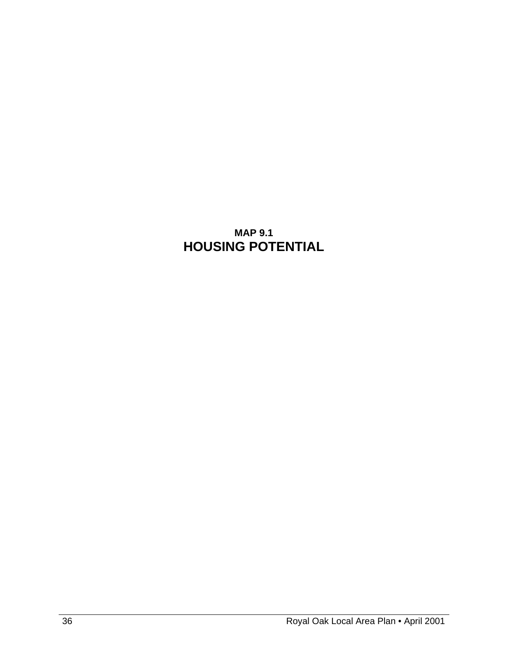# **MAP 9.1 HOUSING POTENTIAL**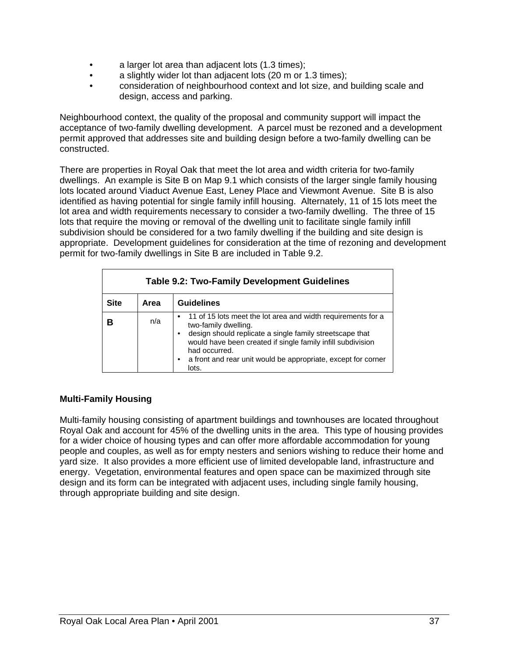- a larger lot area than adjacent lots (1.3 times);
- a slightly wider lot than adjacent lots (20 m or 1.3 times);
- consideration of neighbourhood context and lot size, and building scale and design, access and parking.

Neighbourhood context, the quality of the proposal and community support will impact the acceptance of two-family dwelling development. A parcel must be rezoned and a development permit approved that addresses site and building design before a two-family dwelling can be constructed.

There are properties in Royal Oak that meet the lot area and width criteria for two-family dwellings. An example is Site B on Map 9.1 which consists of the larger single family housing lots located around Viaduct Avenue East, Leney Place and Viewmont Avenue. Site B is also identified as having potential for single family infill housing. Alternately, 11 of 15 lots meet the lot area and width requirements necessary to consider a two-family dwelling. The three of 15 lots that require the moving or removal of the dwelling unit to facilitate single family infill subdivision should be considered for a two family dwelling if the building and site design is appropriate. Development guidelines for consideration at the time of rezoning and development permit for two-family dwellings in Site B are included in Table 9.2.

| <b>Table 9.2: Two-Family Development Guidelines</b> |                           |                                                                                                                                                                                                                                                                                                                           |  |  |  |  |
|-----------------------------------------------------|---------------------------|---------------------------------------------------------------------------------------------------------------------------------------------------------------------------------------------------------------------------------------------------------------------------------------------------------------------------|--|--|--|--|
| <b>Site</b>                                         | <b>Guidelines</b><br>Area |                                                                                                                                                                                                                                                                                                                           |  |  |  |  |
| в                                                   | n/a                       | • 11 of 15 lots meet the lot area and width requirements for a<br>two-family dwelling.<br>design should replicate a single family streetscape that<br>$\bullet$<br>would have been created if single family infill subdivision<br>had occurred.<br>a front and rear unit would be appropriate, except for corner<br>lots. |  |  |  |  |

### **Multi-Family Housing**

Multi-family housing consisting of apartment buildings and townhouses are located throughout Royal Oak and account for 45% of the dwelling units in the area. This type of housing provides for a wider choice of housing types and can offer more affordable accommodation for young people and couples, as well as for empty nesters and seniors wishing to reduce their home and yard size. It also provides a more efficient use of limited developable land, infrastructure and energy. Vegetation, environmental features and open space can be maximized through site design and its form can be integrated with adjacent uses, including single family housing, through appropriate building and site design.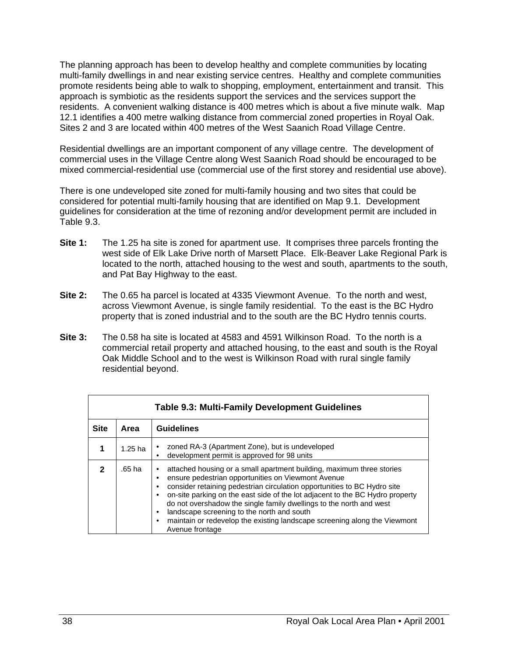The planning approach has been to develop healthy and complete communities by locating multi-family dwellings in and near existing service centres. Healthy and complete communities promote residents being able to walk to shopping, employment, entertainment and transit. This approach is symbiotic as the residents support the services and the services support the residents. A convenient walking distance is 400 metres which is about a five minute walk. Map 12.1 identifies a 400 metre walking distance from commercial zoned properties in Royal Oak. Sites 2 and 3 are located within 400 metres of the West Saanich Road Village Centre.

Residential dwellings are an important component of any village centre. The development of commercial uses in the Village Centre along West Saanich Road should be encouraged to be mixed commercial-residential use (commercial use of the first storey and residential use above).

There is one undeveloped site zoned for multi-family housing and two sites that could be considered for potential multi-family housing that are identified on Map 9.1. Development guidelines for consideration at the time of rezoning and/or development permit are included in Table 9.3.

- **Site 1:** The 1.25 ha site is zoned for apartment use. It comprises three parcels fronting the west side of Elk Lake Drive north of Marsett Place. Elk-Beaver Lake Regional Park is located to the north, attached housing to the west and south, apartments to the south, and Pat Bay Highway to the east.
- **Site 2:** The 0.65 ha parcel is located at 4335 Viewmont Avenue. To the north and west, across Viewmont Avenue, is single family residential. To the east is the BC Hydro property that is zoned industrial and to the south are the BC Hydro tennis courts.
- **Site 3:** The 0.58 ha site is located at 4583 and 4591 Wilkinson Road. To the north is a commercial retail property and attached housing, to the east and south is the Royal Oak Middle School and to the west is Wilkinson Road with rural single family residential beyond.

| <b>Table 9.3: Multi-Family Development Guidelines</b> |           |                                                                                                                                                                                                                                                                                                                                                                                                                                                                                                                                                             |  |  |  |  |
|-------------------------------------------------------|-----------|-------------------------------------------------------------------------------------------------------------------------------------------------------------------------------------------------------------------------------------------------------------------------------------------------------------------------------------------------------------------------------------------------------------------------------------------------------------------------------------------------------------------------------------------------------------|--|--|--|--|
| <b>Site</b>                                           | Area      | <b>Guidelines</b>                                                                                                                                                                                                                                                                                                                                                                                                                                                                                                                                           |  |  |  |  |
|                                                       | $1.25$ ha | zoned RA-3 (Apartment Zone), but is undeveloped<br>$\bullet$<br>development permit is approved for 98 units<br>٠                                                                                                                                                                                                                                                                                                                                                                                                                                            |  |  |  |  |
| 2                                                     | .65 ha    | attached housing or a small apartment building, maximum three stories<br>٠<br>ensure pedestrian opportunities on Viewmont Avenue<br>٠<br>consider retaining pedestrian circulation opportunities to BC Hydro site<br>٠<br>on-site parking on the east side of the lot adjacent to the BC Hydro property<br>$\bullet$<br>do not overshadow the single family dwellings to the north and west<br>landscape screening to the north and south<br>٠<br>maintain or redevelop the existing landscape screening along the Viewmont<br>$\bullet$<br>Avenue frontage |  |  |  |  |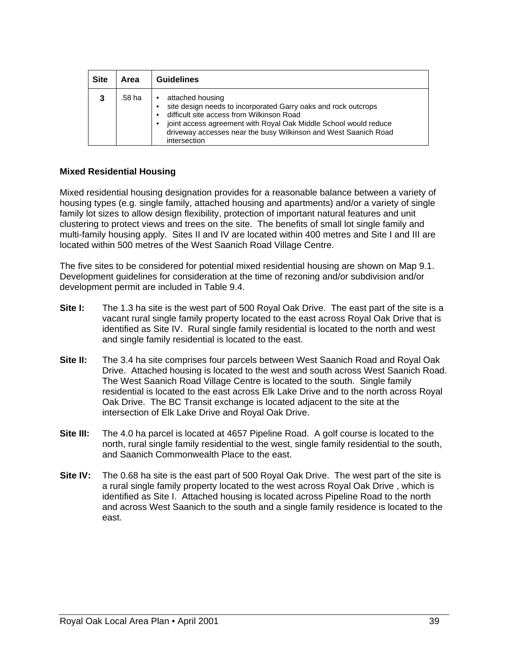| <b>Site</b> | Area   | <b>Guidelines</b>                                                                                                                                                                                                                                                                                   |
|-------------|--------|-----------------------------------------------------------------------------------------------------------------------------------------------------------------------------------------------------------------------------------------------------------------------------------------------------|
| 3           | .58 ha | attached housing<br>site design needs to incorporated Garry oaks and rock outcrops<br>difficult site access from Wilkinson Road<br>joint access agreement with Royal Oak Middle School would reduce<br>$\bullet$<br>driveway accesses near the busy Wilkinson and West Saanich Road<br>intersection |

#### **Mixed Residential Housing**

Mixed residential housing designation provides for a reasonable balance between a variety of housing types (e.g. single family, attached housing and apartments) and/or a variety of single family lot sizes to allow design flexibility, protection of important natural features and unit clustering to protect views and trees on the site. The benefits of small lot single family and multi-family housing apply. Sites II and IV are located within 400 metres and Site I and III are located within 500 metres of the West Saanich Road Village Centre.

The five sites to be considered for potential mixed residential housing are shown on Map 9.1. Development guidelines for consideration at the time of rezoning and/or subdivision and/or development permit are included in Table 9.4.

- **Site I:** The 1.3 ha site is the west part of 500 Royal Oak Drive. The east part of the site is a vacant rural single family property located to the east across Royal Oak Drive that is identified as Site IV. Rural single family residential is located to the north and west and single family residential is located to the east.
- **Site II:** The 3.4 ha site comprises four parcels between West Saanich Road and Royal Oak Drive. Attached housing is located to the west and south across West Saanich Road. The West Saanich Road Village Centre is located to the south. Single family residential is located to the east across Elk Lake Drive and to the north across Royal Oak Drive. The BC Transit exchange is located adjacent to the site at the intersection of Elk Lake Drive and Royal Oak Drive.
- **Site III:** The 4.0 ha parcel is located at 4657 Pipeline Road. A golf course is located to the north, rural single family residential to the west, single family residential to the south, and Saanich Commonwealth Place to the east.
- **Site IV:** The 0.68 ha site is the east part of 500 Royal Oak Drive. The west part of the site is a rural single family property located to the west across Royal Oak Drive , which is identified as Site I. Attached housing is located across Pipeline Road to the north and across West Saanich to the south and a single family residence is located to the east.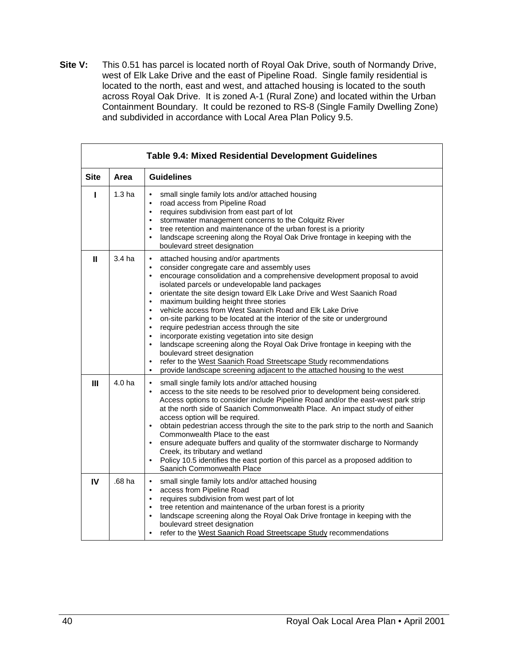**Site V:** This 0.51 has parcel is located north of Royal Oak Drive, south of Normandy Drive, west of Elk Lake Drive and the east of Pipeline Road. Single family residential is located to the north, east and west, and attached housing is located to the south across Royal Oak Drive. It is zoned A-1 (Rural Zone) and located within the Urban Containment Boundary. It could be rezoned to RS-8 (Single Family Dwelling Zone) and subdivided in accordance with Local Area Plan Policy 9.5.

| <b>Table 9.4: Mixed Residential Development Guidelines</b> |                   |                                                                                                                                                                                                                                                                                                                                                                                                                                                                                                                                                                                                                                                                                                                                                                                                                                                                                                                                                                                                        |  |  |  |
|------------------------------------------------------------|-------------------|--------------------------------------------------------------------------------------------------------------------------------------------------------------------------------------------------------------------------------------------------------------------------------------------------------------------------------------------------------------------------------------------------------------------------------------------------------------------------------------------------------------------------------------------------------------------------------------------------------------------------------------------------------------------------------------------------------------------------------------------------------------------------------------------------------------------------------------------------------------------------------------------------------------------------------------------------------------------------------------------------------|--|--|--|
| <b>Site</b>                                                | Area              | <b>Guidelines</b>                                                                                                                                                                                                                                                                                                                                                                                                                                                                                                                                                                                                                                                                                                                                                                                                                                                                                                                                                                                      |  |  |  |
| Т                                                          | 1.3 <sub>ha</sub> | small single family lots and/or attached housing<br>$\bullet$<br>road access from Pipeline Road<br>$\bullet$<br>requires subdivision from east part of lot<br>$\bullet$<br>stormwater management concerns to the Colquitz River<br>$\bullet$<br>tree retention and maintenance of the urban forest is a priority<br>$\bullet$<br>landscape screening along the Royal Oak Drive frontage in keeping with the<br>$\bullet$<br>boulevard street designation                                                                                                                                                                                                                                                                                                                                                                                                                                                                                                                                               |  |  |  |
| Ш                                                          | 3.4 ha            | attached housing and/or apartments<br>$\bullet$<br>consider congregate care and assembly uses<br>$\bullet$<br>encourage consolidation and a comprehensive development proposal to avoid<br>$\bullet$<br>isolated parcels or undevelopable land packages<br>orientate the site design toward Elk Lake Drive and West Saanich Road<br>$\bullet$<br>maximum building height three stories<br>$\bullet$<br>vehicle access from West Saanich Road and Elk Lake Drive<br>$\bullet$<br>on-site parking to be located at the interior of the site or underground<br>$\bullet$<br>require pedestrian access through the site<br>$\bullet$<br>incorporate existing vegetation into site design<br>$\bullet$<br>landscape screening along the Royal Oak Drive frontage in keeping with the<br>$\bullet$<br>boulevard street designation<br>refer to the West Saanich Road Streetscape Study recommendations<br>$\bullet$<br>provide landscape screening adjacent to the attached housing to the west<br>$\bullet$ |  |  |  |
| III                                                        | 4.0 ha            | small single family lots and/or attached housing<br>$\bullet$<br>access to the site needs to be resolved prior to development being considered.<br>$\bullet$<br>Access options to consider include Pipeline Road and/or the east-west park strip<br>at the north side of Saanich Commonwealth Place. An impact study of either<br>access option will be required.<br>obtain pedestrian access through the site to the park strip to the north and Saanich<br>$\bullet$<br>Commonwealth Place to the east<br>ensure adequate buffers and quality of the stormwater discharge to Normandy<br>$\bullet$<br>Creek, its tributary and wetland<br>Policy 10.5 identifies the east portion of this parcel as a proposed addition to<br>$\bullet$<br>Saanich Commonwealth Place                                                                                                                                                                                                                                |  |  |  |
| IV                                                         | .68 ha            | small single family lots and/or attached housing<br>$\bullet$<br>access from Pipeline Road<br>$\bullet$<br>requires subdivision from west part of lot<br>$\bullet$<br>tree retention and maintenance of the urban forest is a priority<br>$\bullet$<br>landscape screening along the Royal Oak Drive frontage in keeping with the<br>$\bullet$<br>boulevard street designation<br>refer to the West Saanich Road Streetscape Study recommendations<br>$\bullet$                                                                                                                                                                                                                                                                                                                                                                                                                                                                                                                                        |  |  |  |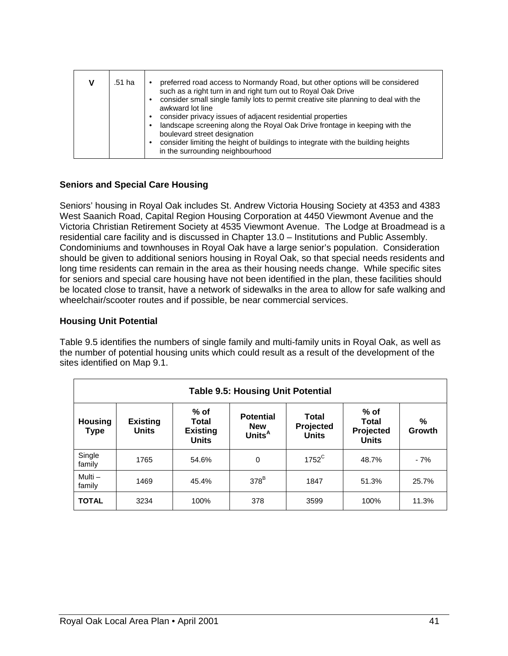|  | .51 ha | preferred road access to Normandy Road, but other options will be considered<br>such as a right turn in and right turn out to Royal Oak Drive<br>consider small single family lots to permit creative site planning to deal with the<br>awkward lot line<br>consider privacy issues of adjacent residential properties<br>landscape screening along the Royal Oak Drive frontage in keeping with the<br>boulevard street designation<br>consider limiting the height of buildings to integrate with the building heights<br>in the surrounding neighbourhood |
|--|--------|--------------------------------------------------------------------------------------------------------------------------------------------------------------------------------------------------------------------------------------------------------------------------------------------------------------------------------------------------------------------------------------------------------------------------------------------------------------------------------------------------------------------------------------------------------------|
|--|--------|--------------------------------------------------------------------------------------------------------------------------------------------------------------------------------------------------------------------------------------------------------------------------------------------------------------------------------------------------------------------------------------------------------------------------------------------------------------------------------------------------------------------------------------------------------------|

### **Seniors and Special Care Housing**

Seniors' housing in Royal Oak includes St. Andrew Victoria Housing Society at 4353 and 4383 West Saanich Road, Capital Region Housing Corporation at 4450 Viewmont Avenue and the Victoria Christian Retirement Society at 4535 Viewmont Avenue. The Lodge at Broadmead is a residential care facility and is discussed in Chapter 13.0 – Institutions and Public Assembly. Condominiums and townhouses in Royal Oak have a large senior's population. Consideration should be given to additional seniors housing in Royal Oak, so that special needs residents and long time residents can remain in the area as their housing needs change. While specific sites for seniors and special care housing have not been identified in the plan, these facilities should be located close to transit, have a network of sidewalks in the area to allow for safe walking and wheelchair/scooter routes and if possible, be near commercial services.

#### **Housing Unit Potential**

Table 9.5 identifies the numbers of single family and multi-family units in Royal Oak, as well as the number of potential housing units which could result as a result of the development of the sites identified on Map 9.1.

| <b>Table 9.5: Housing Unit Potential</b>                                                                                                                                                                                                                                                        |      |       |             |                |       |       |
|-------------------------------------------------------------------------------------------------------------------------------------------------------------------------------------------------------------------------------------------------------------------------------------------------|------|-------|-------------|----------------|-------|-------|
| % of<br>$%$ of<br><b>Potential</b><br>Total<br>%<br><b>Housing</b><br><b>Existing</b><br><b>Total</b><br><b>Total</b><br>Projected<br><b>New</b><br><b>Units</b><br><b>Existing</b><br>Projected<br>Growth<br><b>Type</b><br>Units <sup>A</sup><br><b>Units</b><br><b>Units</b><br><b>Units</b> |      |       |             |                |       |       |
| Single<br>family                                                                                                                                                                                                                                                                                | 1765 | 54.6% | $\mathbf 0$ | $1752^{\circ}$ | 48.7% | $-7%$ |
| Multi-<br>family                                                                                                                                                                                                                                                                                | 1469 | 45.4% | $378^B$     | 1847           | 51.3% | 25.7% |
| <b>TOTAL</b>                                                                                                                                                                                                                                                                                    | 3234 | 100%  | 378         | 3599           | 100%  | 11.3% |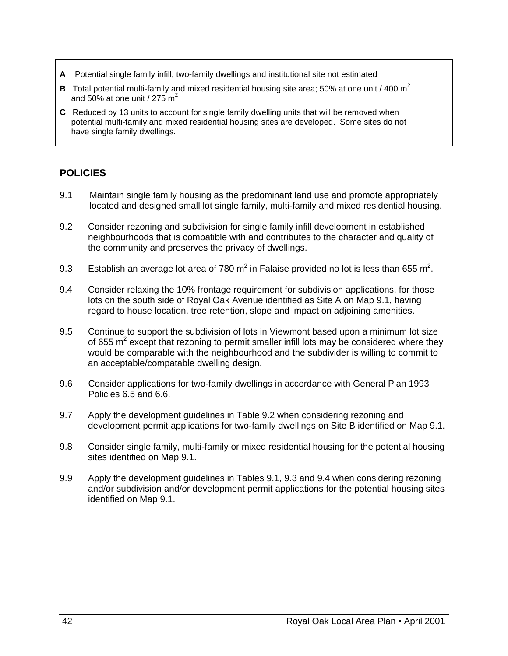- **A** Potential single family infill, two-family dwellings and institutional site not estimated
- **B** Total potential multi-family and mixed residential housing site area; 50% at one unit / 400 m<sup>2</sup> and 50% at one unit / 275  $m<sup>2</sup>$
- **C** Reduced by 13 units to account for single family dwelling units that will be removed when potential multi-family and mixed residential housing sites are developed. Some sites do not have single family dwellings.

## **POLICIES**

- 9.1 Maintain single family housing as the predominant land use and promote appropriately located and designed small lot single family, multi-family and mixed residential housing.
- 9.2 Consider rezoning and subdivision for single family infill development in established neighbourhoods that is compatible with and contributes to the character and quality of the community and preserves the privacy of dwellings.
- 9.3 Establish an average lot area of 780 m<sup>2</sup> in Falaise provided no lot is less than 655 m<sup>2</sup>.
- 9.4 Consider relaxing the 10% frontage requirement for subdivision applications, for those lots on the south side of Royal Oak Avenue identified as Site A on Map 9.1, having regard to house location, tree retention, slope and impact on adjoining amenities.
- 9.5 Continue to support the subdivision of lots in Viewmont based upon a minimum lot size of 655 m<sup>2</sup> except that rezoning to permit smaller infill lots may be considered where they would be comparable with the neighbourhood and the subdivider is willing to commit to an acceptable/compatable dwelling design.
- 9.6 Consider applications for two-family dwellings in accordance with General Plan 1993 Policies 6.5 and 6.6.
- 9.7 Apply the development guidelines in Table 9.2 when considering rezoning and development permit applications for two-family dwellings on Site B identified on Map 9.1.
- 9.8 Consider single family, multi-family or mixed residential housing for the potential housing sites identified on Map 9.1.
- 9.9 Apply the development guidelines in Tables 9.1, 9.3 and 9.4 when considering rezoning and/or subdivision and/or development permit applications for the potential housing sites identified on Map 9.1.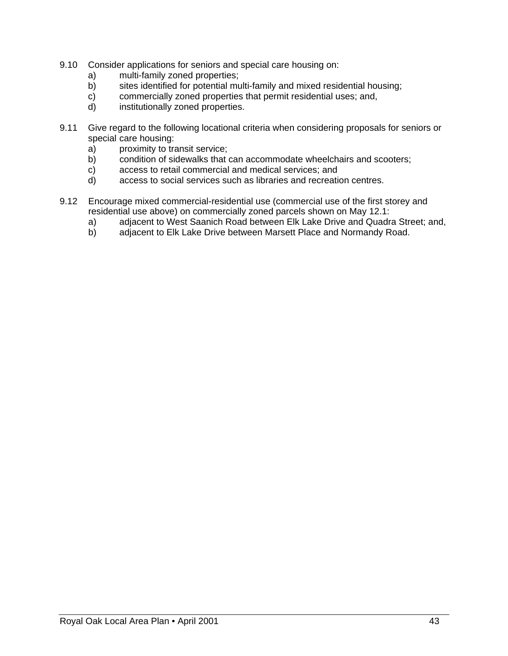- 9.10 Consider applications for seniors and special care housing on:
	- a) multi-family zoned properties;
	- b) sites identified for potential multi-family and mixed residential housing;
	- c) commercially zoned properties that permit residential uses; and,
	- d) institutionally zoned properties.
- 9.11 Give regard to the following locational criteria when considering proposals for seniors or special care housing:
	- a) proximity to transit service;
	- b) condition of sidewalks that can accommodate wheelchairs and scooters;
	- c) access to retail commercial and medical services; and
	- d) access to social services such as libraries and recreation centres.
- 9.12 Encourage mixed commercial-residential use (commercial use of the first storey and residential use above) on commercially zoned parcels shown on May 12.1:
	- a) adjacent to West Saanich Road between Elk Lake Drive and Quadra Street; and,
	- b) adjacent to Elk Lake Drive between Marsett Place and Normandy Road.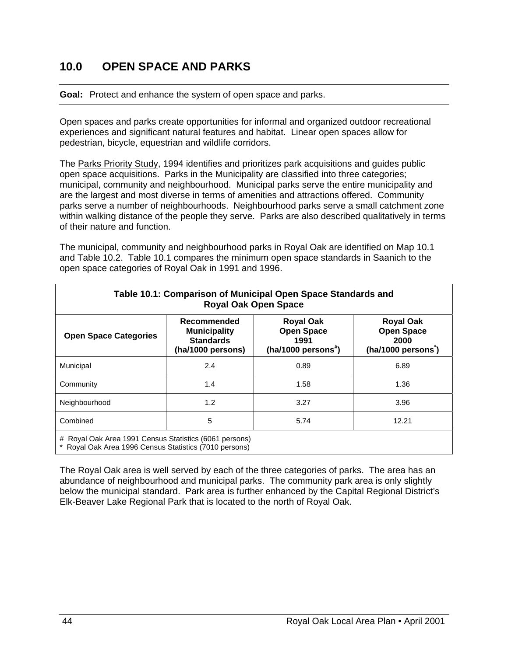## **10.0 OPEN SPACE AND PARKS**

#### **Goal:** Protect and enhance the system of open space and parks.

Open spaces and parks create opportunities for informal and organized outdoor recreational experiences and significant natural features and habitat. Linear open spaces allow for pedestrian, bicycle, equestrian and wildlife corridors.

The Parks Priority Study, 1994 identifies and prioritizes park acquisitions and guides public open space acquisitions. Parks in the Municipality are classified into three categories; municipal, community and neighbourhood. Municipal parks serve the entire municipality and are the largest and most diverse in terms of amenities and attractions offered. Community parks serve a number of neighbourhoods. Neighbourhood parks serve a small catchment zone within walking distance of the people they serve. Parks are also described qualitatively in terms of their nature and function.

The municipal, community and neighbourhood parks in Royal Oak are identified on Map 10.1 and Table 10.2. Table 10.1 compares the minimum open space standards in Saanich to the open space categories of Royal Oak in 1991 and 1996.

| Table 10.1: Comparison of Municipal Open Space Standards and<br><b>Royal Oak Open Space</b>                      |                                                                                    |                                                                                  |                                                                    |  |  |
|------------------------------------------------------------------------------------------------------------------|------------------------------------------------------------------------------------|----------------------------------------------------------------------------------|--------------------------------------------------------------------|--|--|
| <b>Open Space Categories</b>                                                                                     | <b>Recommended</b><br><b>Municipality</b><br><b>Standards</b><br>(ha/1000 persons) | <b>Royal Oak</b><br><b>Open Space</b><br>1991<br>(ha/1000 persons <sup>#</sup> ) | <b>Royal Oak</b><br><b>Open Space</b><br>2000<br>(ha/1000 persons) |  |  |
| Municipal                                                                                                        | 2.4                                                                                | 0.89                                                                             | 6.89                                                               |  |  |
| Community                                                                                                        | 1.4                                                                                | 1.58                                                                             | 1.36                                                               |  |  |
| Neighbourhood                                                                                                    | 1.2                                                                                | 3.27                                                                             | 3.96                                                               |  |  |
| 5<br>Combined<br>5.74<br>12.21                                                                                   |                                                                                    |                                                                                  |                                                                    |  |  |
| # Royal Oak Area 1991 Census Statistics (6061 persons)<br>* Royal Oak Area 1006 Canaus Statistics (7010 personal |                                                                                    |                                                                                  |                                                                    |  |  |

Royal Oak Area 1996 Census Statistics (7010 persons)

The Royal Oak area is well served by each of the three categories of parks. The area has an abundance of neighbourhood and municipal parks. The community park area is only slightly below the municipal standard. Park area is further enhanced by the Capital Regional District's Elk-Beaver Lake Regional Park that is located to the north of Royal Oak.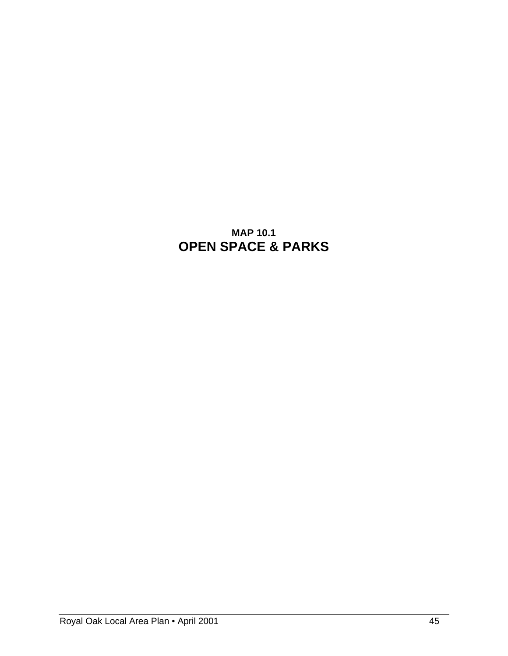# **MAP 10.1 OPEN SPACE & PARKS**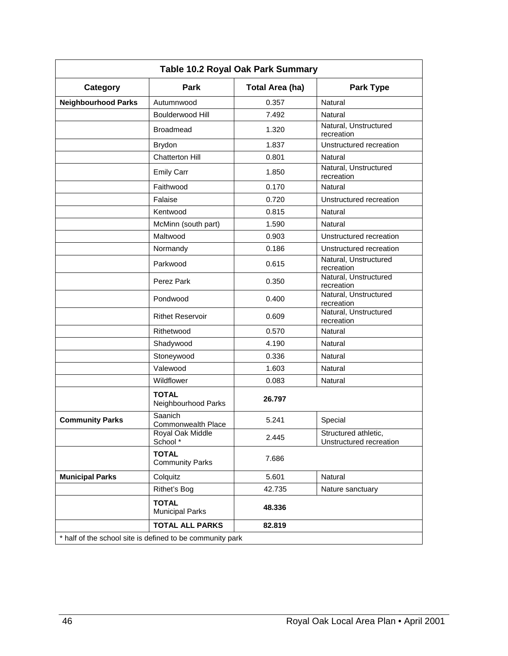| Table 10.2 Royal Oak Park Summary                         |                                        |                        |                                                 |  |  |  |
|-----------------------------------------------------------|----------------------------------------|------------------------|-------------------------------------------------|--|--|--|
| Category                                                  | Park                                   | <b>Total Area (ha)</b> | <b>Park Type</b>                                |  |  |  |
| <b>Neighbourhood Parks</b>                                | Autumnwood                             | 0.357                  | Natural                                         |  |  |  |
|                                                           | <b>Boulderwood Hill</b>                | 7.492                  | Natural                                         |  |  |  |
|                                                           | <b>Broadmead</b>                       | 1.320                  | Natural, Unstructured<br>recreation             |  |  |  |
|                                                           | <b>Brydon</b>                          | 1.837                  | Unstructured recreation                         |  |  |  |
|                                                           | <b>Chatterton Hill</b>                 | 0.801                  | Natural                                         |  |  |  |
|                                                           | <b>Emily Carr</b>                      | 1.850                  | Natural, Unstructured<br>recreation             |  |  |  |
|                                                           | Faithwood                              | 0.170                  | Natural                                         |  |  |  |
|                                                           | Falaise                                | 0.720                  | Unstructured recreation                         |  |  |  |
|                                                           | Kentwood                               | 0.815                  | Natural                                         |  |  |  |
|                                                           | McMinn (south part)                    | 1.590                  | Natural                                         |  |  |  |
|                                                           | Maltwood                               | 0.903                  | Unstructured recreation                         |  |  |  |
|                                                           | Normandy                               | 0.186                  | Unstructured recreation                         |  |  |  |
|                                                           | Parkwood                               | 0.615                  | Natural, Unstructured<br>recreation             |  |  |  |
|                                                           | Perez Park                             | 0.350                  | Natural, Unstructured<br>recreation             |  |  |  |
|                                                           | Pondwood                               | 0.400                  | Natural, Unstructured<br>recreation             |  |  |  |
|                                                           | <b>Rithet Reservoir</b>                | 0.609                  | Natural, Unstructured<br>recreation             |  |  |  |
|                                                           | Rithetwood                             | 0.570                  | Natural                                         |  |  |  |
|                                                           | Shadywood                              | 4.190                  | Natural                                         |  |  |  |
|                                                           | Stoneywood                             | 0.336                  | Natural                                         |  |  |  |
|                                                           | Valewood                               | 1.603                  | Natural                                         |  |  |  |
|                                                           | Wildflower                             | 0.083                  | Natural                                         |  |  |  |
|                                                           | <b>TOTAL</b><br>Neighbourhood Parks    | 26.797                 |                                                 |  |  |  |
| <b>Community Parks</b>                                    | Saanich<br>Commonwealth Place          | 5.241                  | Special                                         |  |  |  |
|                                                           | Royal Oak Middle<br>School *           | 2.445                  | Structured athletic,<br>Unstructured recreation |  |  |  |
|                                                           | <b>TOTAL</b><br><b>Community Parks</b> | 7.686                  |                                                 |  |  |  |
| <b>Municipal Parks</b>                                    | Colquitz                               | 5.601                  | Natural                                         |  |  |  |
|                                                           | Rithet's Bog                           | 42.735                 | Nature sanctuary                                |  |  |  |
|                                                           | <b>TOTAL</b><br><b>Municipal Parks</b> | 48.336                 |                                                 |  |  |  |
|                                                           | <b>TOTAL ALL PARKS</b>                 | 82.819                 |                                                 |  |  |  |
| * half of the school site is defined to be community park |                                        |                        |                                                 |  |  |  |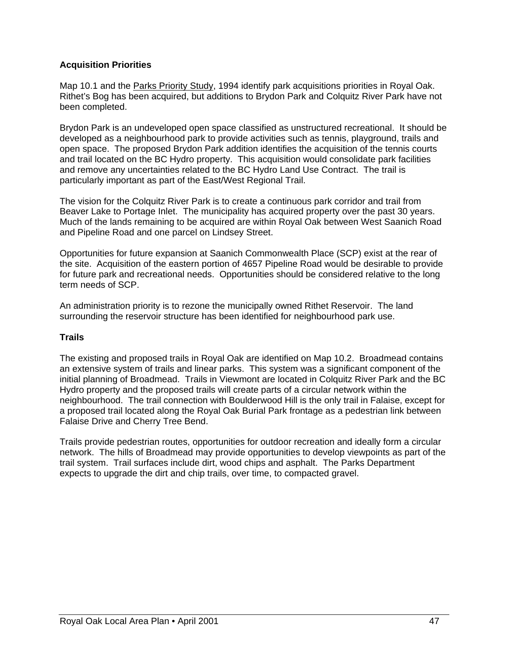### **Acquisition Priorities**

Map 10.1 and the Parks Priority Study, 1994 identify park acquisitions priorities in Royal Oak. Rithet's Bog has been acquired, but additions to Brydon Park and Colquitz River Park have not been completed.

Brydon Park is an undeveloped open space classified as unstructured recreational. It should be developed as a neighbourhood park to provide activities such as tennis, playground, trails and open space. The proposed Brydon Park addition identifies the acquisition of the tennis courts and trail located on the BC Hydro property. This acquisition would consolidate park facilities and remove any uncertainties related to the BC Hydro Land Use Contract. The trail is particularly important as part of the East/West Regional Trail.

The vision for the Colquitz River Park is to create a continuous park corridor and trail from Beaver Lake to Portage Inlet. The municipality has acquired property over the past 30 years. Much of the lands remaining to be acquired are within Royal Oak between West Saanich Road and Pipeline Road and one parcel on Lindsey Street.

Opportunities for future expansion at Saanich Commonwealth Place (SCP) exist at the rear of the site. Acquisition of the eastern portion of 4657 Pipeline Road would be desirable to provide for future park and recreational needs. Opportunities should be considered relative to the long term needs of SCP.

An administration priority is to rezone the municipally owned Rithet Reservoir. The land surrounding the reservoir structure has been identified for neighbourhood park use.

#### **Trails**

The existing and proposed trails in Royal Oak are identified on Map 10.2. Broadmead contains an extensive system of trails and linear parks. This system was a significant component of the initial planning of Broadmead. Trails in Viewmont are located in Colquitz River Park and the BC Hydro property and the proposed trails will create parts of a circular network within the neighbourhood. The trail connection with Boulderwood Hill is the only trail in Falaise, except for a proposed trail located along the Royal Oak Burial Park frontage as a pedestrian link between Falaise Drive and Cherry Tree Bend.

Trails provide pedestrian routes, opportunities for outdoor recreation and ideally form a circular network. The hills of Broadmead may provide opportunities to develop viewpoints as part of the trail system. Trail surfaces include dirt, wood chips and asphalt. The Parks Department expects to upgrade the dirt and chip trails, over time, to compacted gravel.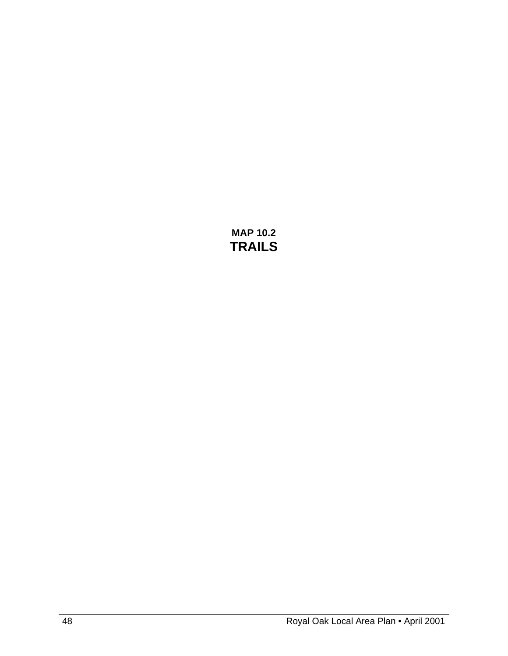**MAP 10.2 TRAILS**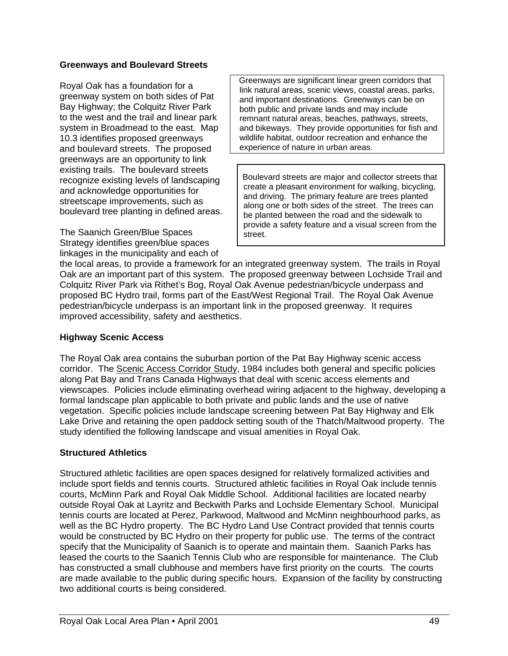#### **Greenways and Boulevard Streets**

Royal Oak has a foundation for a greenway system on both sides of Pat Bay Highway; the Colquitz River Park to the west and the trail and linear park system in Broadmead to the east. Map 10.3 identifies proposed greenways and boulevard streets. The proposed greenways are an opportunity to link existing trails. The boulevard streets recognize existing levels of landscaping and acknowledge opportunities for streetscape improvements, such as boulevard tree planting in defined areas.

The Saanich Green/Blue Spaces Strategy identifies green/blue spaces linkages in the municipality and each of  Greenways are significant linear green corridors that link natural areas, scenic views, coastal areas, parks, and important destinations. Greenways can be on both public and private lands and may include remnant natural areas, beaches, pathways, streets, and bikeways. They provide opportunities for fish and wildlife habitat, outdoor recreation and enhance the experience of nature in urban areas.

Boulevard streets are major and collector streets that create a pleasant environment for walking, bicycling, and driving. The primary feature are trees planted along one or both sides of the street. The trees can be planted between the road and the sidewalk to provide a safety feature and a visual screen from the street.

the local areas, to provide a framework for an integrated greenway system. The trails in Royal Oak are an important part of this system. The proposed greenway between Lochside Trail and Colquitz River Park via Rithet's Bog, Royal Oak Avenue pedestrian/bicycle underpass and proposed BC Hydro trail, forms part of the East/West Regional Trail. The Royal Oak Avenue pedestrian/bicycle underpass is an important link in the proposed greenway. It requires improved accessibility, safety and aesthetics.

### **Highway Scenic Access**

The Royal Oak area contains the suburban portion of the Pat Bay Highway scenic access corridor. The Scenic Access Corridor Study, 1984 includes both general and specific policies along Pat Bay and Trans Canada Highways that deal with scenic access elements and viewscapes. Policies include eliminating overhead wiring adjacent to the highway, developing a formal landscape plan applicable to both private and public lands and the use of native vegetation. Specific policies include landscape screening between Pat Bay Highway and Elk Lake Drive and retaining the open paddock setting south of the Thatch/Maltwood property. The study identified the following landscape and visual amenities in Royal Oak.

### **Structured Athletics**

Structured athletic facilities are open spaces designed for relatively formalized activities and include sport fields and tennis courts. Structured athletic facilities in Royal Oak include tennis courts, McMinn Park and Royal Oak Middle School. Additional facilities are located nearby outside Royal Oak at Layritz and Beckwith Parks and Lochside Elementary School. Municipal tennis courts are located at Perez, Parkwood, Maltwood and McMinn neighbourhood parks, as well as the BC Hydro property. The BC Hydro Land Use Contract provided that tennis courts would be constructed by BC Hydro on their property for public use. The terms of the contract specify that the Municipality of Saanich is to operate and maintain them. Saanich Parks has leased the courts to the Saanich Tennis Club who are responsible for maintenance. The Club has constructed a small clubhouse and members have first priority on the courts. The courts are made available to the public during specific hours. Expansion of the facility by constructing two additional courts is being considered.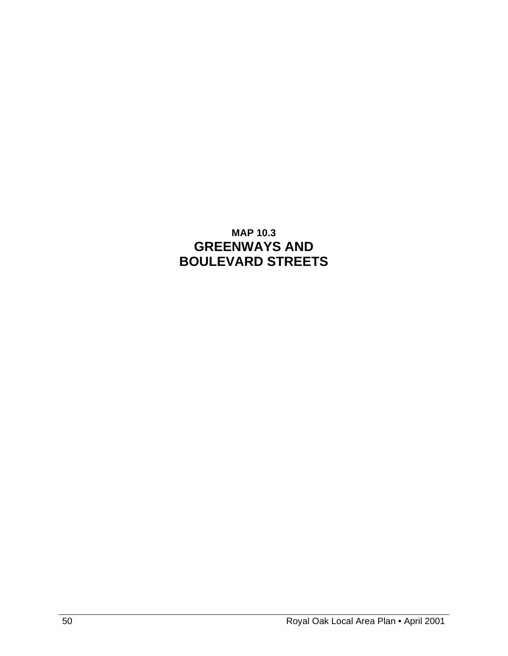# **MAP 10.3 GREENWAYS AND BOULEVARD STREETS**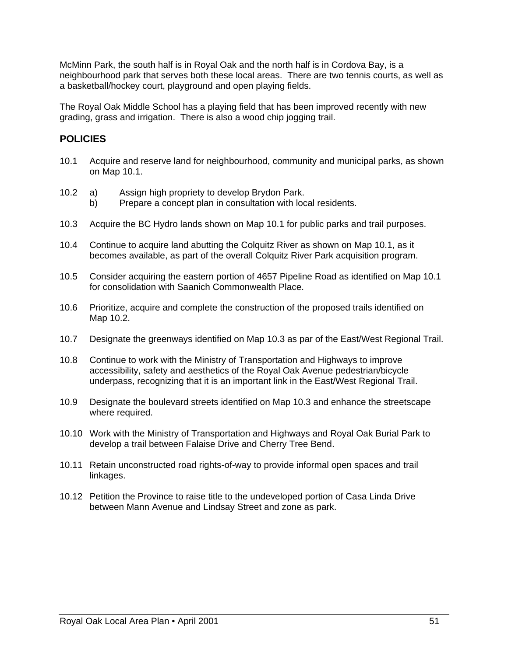McMinn Park, the south half is in Royal Oak and the north half is in Cordova Bay, is a neighbourhood park that serves both these local areas. There are two tennis courts, as well as a basketball/hockey court, playground and open playing fields.

The Royal Oak Middle School has a playing field that has been improved recently with new grading, grass and irrigation. There is also a wood chip jogging trail.

## **POLICIES**

- 10.1 Acquire and reserve land for neighbourhood, community and municipal parks, as shown on Map 10.1.
- 10.2 a) Assign high propriety to develop Brydon Park.
	- b) Prepare a concept plan in consultation with local residents.
- 10.3 Acquire the BC Hydro lands shown on Map 10.1 for public parks and trail purposes.
- 10.4 Continue to acquire land abutting the Colquitz River as shown on Map 10.1, as it becomes available, as part of the overall Colquitz River Park acquisition program.
- 10.5 Consider acquiring the eastern portion of 4657 Pipeline Road as identified on Map 10.1 for consolidation with Saanich Commonwealth Place.
- 10.6 Prioritize, acquire and complete the construction of the proposed trails identified on Map 10.2.
- 10.7 Designate the greenways identified on Map 10.3 as par of the East/West Regional Trail.
- 10.8 Continue to work with the Ministry of Transportation and Highways to improve accessibility, safety and aesthetics of the Royal Oak Avenue pedestrian/bicycle underpass, recognizing that it is an important link in the East/West Regional Trail.
- 10.9 Designate the boulevard streets identified on Map 10.3 and enhance the streetscape where required.
- 10.10 Work with the Ministry of Transportation and Highways and Royal Oak Burial Park to develop a trail between Falaise Drive and Cherry Tree Bend.
- 10.11 Retain unconstructed road rights-of-way to provide informal open spaces and trail linkages.
- 10.12 Petition the Province to raise title to the undeveloped portion of Casa Linda Drive between Mann Avenue and Lindsay Street and zone as park.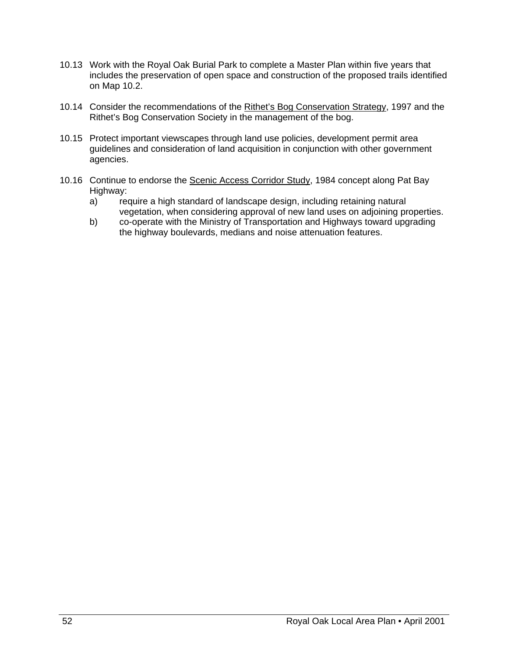- 10.13 Work with the Royal Oak Burial Park to complete a Master Plan within five years that includes the preservation of open space and construction of the proposed trails identified on Map 10.2.
- 10.14 Consider the recommendations of the Rithet's Bog Conservation Strategy, 1997 and the Rithet's Bog Conservation Society in the management of the bog.
- 10.15 Protect important viewscapes through land use policies, development permit area guidelines and consideration of land acquisition in conjunction with other government agencies.
- 10.16 Continue to endorse the Scenic Access Corridor Study, 1984 concept along Pat Bay Highway:
	- a) require a high standard of landscape design, including retaining natural vegetation, when considering approval of new land uses on adjoining properties.
	- b) co-operate with the Ministry of Transportation and Highways toward upgrading the highway boulevards, medians and noise attenuation features.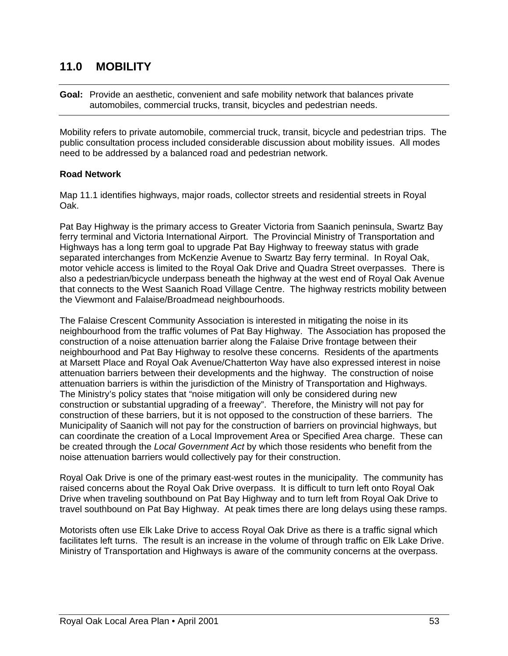## **11.0 MOBILITY**

**Goal:** Provide an aesthetic, convenient and safe mobility network that balances private automobiles, commercial trucks, transit, bicycles and pedestrian needs.

Mobility refers to private automobile, commercial truck, transit, bicycle and pedestrian trips. The public consultation process included considerable discussion about mobility issues. All modes need to be addressed by a balanced road and pedestrian network.

#### **Road Network**

Map 11.1 identifies highways, major roads, collector streets and residential streets in Royal Oak.

Pat Bay Highway is the primary access to Greater Victoria from Saanich peninsula, Swartz Bay ferry terminal and Victoria International Airport. The Provincial Ministry of Transportation and Highways has a long term goal to upgrade Pat Bay Highway to freeway status with grade separated interchanges from McKenzie Avenue to Swartz Bay ferry terminal. In Royal Oak, motor vehicle access is limited to the Royal Oak Drive and Quadra Street overpasses. There is also a pedestrian/bicycle underpass beneath the highway at the west end of Royal Oak Avenue that connects to the West Saanich Road Village Centre. The highway restricts mobility between the Viewmont and Falaise/Broadmead neighbourhoods.

The Falaise Crescent Community Association is interested in mitigating the noise in its neighbourhood from the traffic volumes of Pat Bay Highway. The Association has proposed the construction of a noise attenuation barrier along the Falaise Drive frontage between their neighbourhood and Pat Bay Highway to resolve these concerns. Residents of the apartments at Marsett Place and Royal Oak Avenue/Chatterton Way have also expressed interest in noise attenuation barriers between their developments and the highway. The construction of noise attenuation barriers is within the jurisdiction of the Ministry of Transportation and Highways. The Ministry's policy states that "noise mitigation will only be considered during new construction or substantial upgrading of a freeway". Therefore, the Ministry will not pay for construction of these barriers, but it is not opposed to the construction of these barriers. The Municipality of Saanich will not pay for the construction of barriers on provincial highways, but can coordinate the creation of a Local Improvement Area or Specified Area charge. These can be created through the *Local Government Act* by which those residents who benefit from the noise attenuation barriers would collectively pay for their construction.

Royal Oak Drive is one of the primary east-west routes in the municipality. The community has raised concerns about the Royal Oak Drive overpass. It is difficult to turn left onto Royal Oak Drive when traveling southbound on Pat Bay Highway and to turn left from Royal Oak Drive to travel southbound on Pat Bay Highway. At peak times there are long delays using these ramps.

Motorists often use Elk Lake Drive to access Royal Oak Drive as there is a traffic signal which facilitates left turns. The result is an increase in the volume of through traffic on Elk Lake Drive. Ministry of Transportation and Highways is aware of the community concerns at the overpass.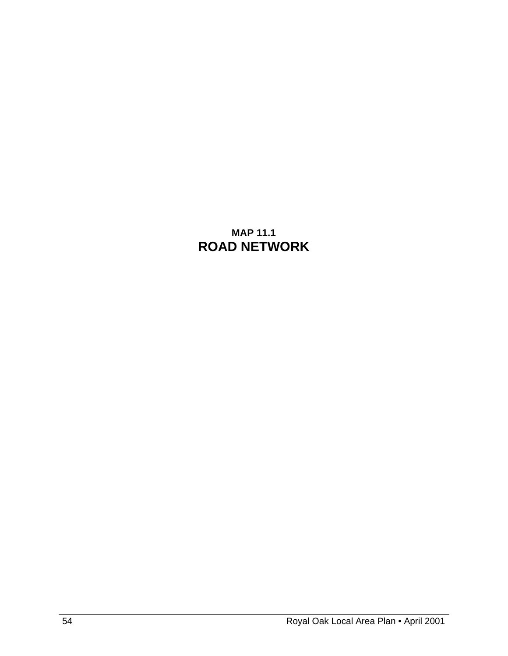# **MAP 11.1 ROAD NETWORK**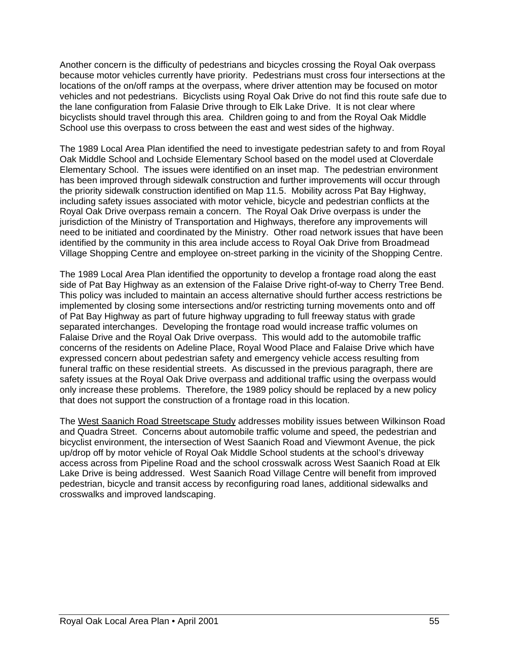Another concern is the difficulty of pedestrians and bicycles crossing the Royal Oak overpass because motor vehicles currently have priority. Pedestrians must cross four intersections at the locations of the on/off ramps at the overpass, where driver attention may be focused on motor vehicles and not pedestrians. Bicyclists using Royal Oak Drive do not find this route safe due to the lane configuration from Falasie Drive through to Elk Lake Drive. It is not clear where bicyclists should travel through this area. Children going to and from the Royal Oak Middle School use this overpass to cross between the east and west sides of the highway.

The 1989 Local Area Plan identified the need to investigate pedestrian safety to and from Royal Oak Middle School and Lochside Elementary School based on the model used at Cloverdale Elementary School. The issues were identified on an inset map. The pedestrian environment has been improved through sidewalk construction and further improvements will occur through the priority sidewalk construction identified on Map 11.5. Mobility across Pat Bay Highway, including safety issues associated with motor vehicle, bicycle and pedestrian conflicts at the Royal Oak Drive overpass remain a concern. The Royal Oak Drive overpass is under the jurisdiction of the Ministry of Transportation and Highways, therefore any improvements will need to be initiated and coordinated by the Ministry. Other road network issues that have been identified by the community in this area include access to Royal Oak Drive from Broadmead Village Shopping Centre and employee on-street parking in the vicinity of the Shopping Centre.

The 1989 Local Area Plan identified the opportunity to develop a frontage road along the east side of Pat Bay Highway as an extension of the Falaise Drive right-of-way to Cherry Tree Bend. This policy was included to maintain an access alternative should further access restrictions be implemented by closing some intersections and/or restricting turning movements onto and off of Pat Bay Highway as part of future highway upgrading to full freeway status with grade separated interchanges. Developing the frontage road would increase traffic volumes on Falaise Drive and the Royal Oak Drive overpass. This would add to the automobile traffic concerns of the residents on Adeline Place, Royal Wood Place and Falaise Drive which have expressed concern about pedestrian safety and emergency vehicle access resulting from funeral traffic on these residential streets. As discussed in the previous paragraph, there are safety issues at the Royal Oak Drive overpass and additional traffic using the overpass would only increase these problems. Therefore, the 1989 policy should be replaced by a new policy that does not support the construction of a frontage road in this location.

The West Saanich Road Streetscape Study addresses mobility issues between Wilkinson Road and Quadra Street. Concerns about automobile traffic volume and speed, the pedestrian and bicyclist environment, the intersection of West Saanich Road and Viewmont Avenue, the pick up/drop off by motor vehicle of Royal Oak Middle School students at the school's driveway access across from Pipeline Road and the school crosswalk across West Saanich Road at Elk Lake Drive is being addressed. West Saanich Road Village Centre will benefit from improved pedestrian, bicycle and transit access by reconfiguring road lanes, additional sidewalks and crosswalks and improved landscaping.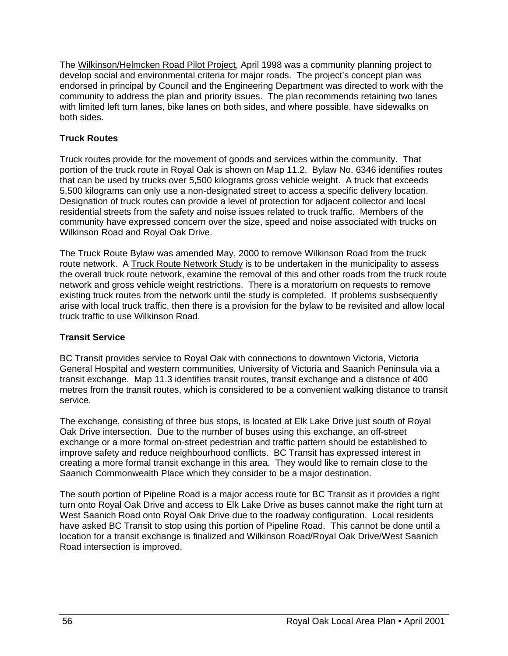The Wilkinson/Helmcken Road Pilot Project, April 1998 was a community planning project to develop social and environmental criteria for major roads. The project's concept plan was endorsed in principal by Council and the Engineering Department was directed to work with the community to address the plan and priority issues. The plan recommends retaining two lanes with limited left turn lanes, bike lanes on both sides, and where possible, have sidewalks on both sides.

### **Truck Routes**

Truck routes provide for the movement of goods and services within the community. That portion of the truck route in Royal Oak is shown on Map 11.2. Bylaw No. 6346 identifies routes that can be used by trucks over 5,500 kilograms gross vehicle weight. A truck that exceeds 5,500 kilograms can only use a non-designated street to access a specific delivery location. Designation of truck routes can provide a level of protection for adjacent collector and local residential streets from the safety and noise issues related to truck traffic. Members of the community have expressed concern over the size, speed and noise associated with trucks on Wilkinson Road and Royal Oak Drive.

The Truck Route Bylaw was amended May, 2000 to remove Wilkinson Road from the truck route network. A Truck Route Network Study is to be undertaken in the municipality to assess the overall truck route network, examine the removal of this and other roads from the truck route network and gross vehicle weight restrictions. There is a moratorium on requests to remove existing truck routes from the network until the study is completed. If problems susbsequently arise with local truck traffic, then there is a provision for the bylaw to be revisited and allow local truck traffic to use Wilkinson Road.

### **Transit Service**

BC Transit provides service to Royal Oak with connections to downtown Victoria, Victoria General Hospital and western communities, University of Victoria and Saanich Peninsula via a transit exchange. Map 11.3 identifies transit routes, transit exchange and a distance of 400 metres from the transit routes, which is considered to be a convenient walking distance to transit service.

The exchange, consisting of three bus stops, is located at Elk Lake Drive just south of Royal Oak Drive intersection. Due to the number of buses using this exchange, an off-street exchange or a more formal on-street pedestrian and traffic pattern should be established to improve safety and reduce neighbourhood conflicts. BC Transit has expressed interest in creating a more formal transit exchange in this area. They would like to remain close to the Saanich Commonwealth Place which they consider to be a major destination.

The south portion of Pipeline Road is a major access route for BC Transit as it provides a right turn onto Royal Oak Drive and access to Elk Lake Drive as buses cannot make the right turn at West Saanich Road onto Royal Oak Drive due to the roadway configuration. Local residents have asked BC Transit to stop using this portion of Pipeline Road. This cannot be done until a location for a transit exchange is finalized and Wilkinson Road/Royal Oak Drive/West Saanich Road intersection is improved.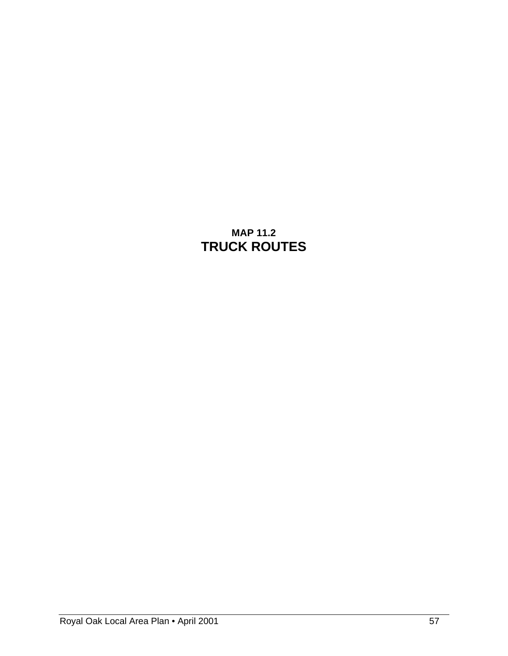# **MAP 11.2 TRUCK ROUTES**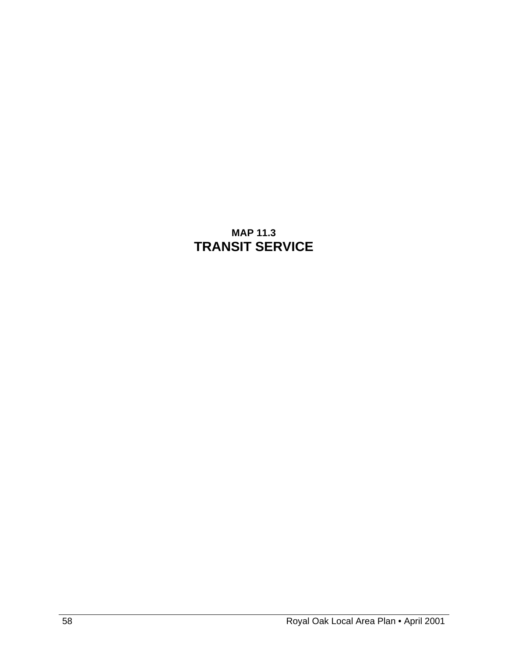# **MAP 11.3 TRANSIT SERVICE**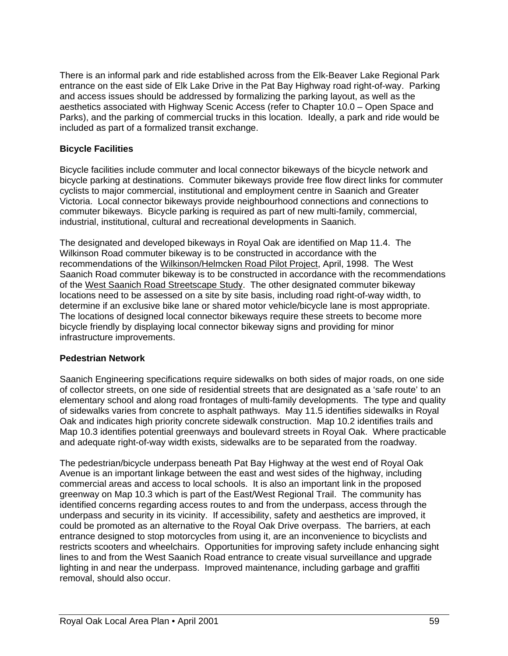There is an informal park and ride established across from the Elk-Beaver Lake Regional Park entrance on the east side of Elk Lake Drive in the Pat Bay Highway road right-of-way. Parking and access issues should be addressed by formalizing the parking layout, as well as the aesthetics associated with Highway Scenic Access (refer to Chapter 10.0 – Open Space and Parks), and the parking of commercial trucks in this location. Ideally, a park and ride would be included as part of a formalized transit exchange.

### **Bicycle Facilities**

Bicycle facilities include commuter and local connector bikeways of the bicycle network and bicycle parking at destinations. Commuter bikeways provide free flow direct links for commuter cyclists to major commercial, institutional and employment centre in Saanich and Greater Victoria. Local connector bikeways provide neighbourhood connections and connections to commuter bikeways. Bicycle parking is required as part of new multi-family, commercial, industrial, institutional, cultural and recreational developments in Saanich.

The designated and developed bikeways in Royal Oak are identified on Map 11.4. The Wilkinson Road commuter bikeway is to be constructed in accordance with the recommendations of the Wilkinson/Helmcken Road Pilot Project, April, 1998. The West Saanich Road commuter bikeway is to be constructed in accordance with the recommendations of the West Saanich Road Streetscape Study. The other designated commuter bikeway locations need to be assessed on a site by site basis, including road right-of-way width, to determine if an exclusive bike lane or shared motor vehicle/bicycle lane is most appropriate. The locations of designed local connector bikeways require these streets to become more bicycle friendly by displaying local connector bikeway signs and providing for minor infrastructure improvements.

### **Pedestrian Network**

Saanich Engineering specifications require sidewalks on both sides of major roads, on one side of collector streets, on one side of residential streets that are designated as a 'safe route' to an elementary school and along road frontages of multi-family developments. The type and quality of sidewalks varies from concrete to asphalt pathways. May 11.5 identifies sidewalks in Royal Oak and indicates high priority concrete sidewalk construction. Map 10.2 identifies trails and Map 10.3 identifies potential greenways and boulevard streets in Royal Oak. Where practicable and adequate right-of-way width exists, sidewalks are to be separated from the roadway.

The pedestrian/bicycle underpass beneath Pat Bay Highway at the west end of Royal Oak Avenue is an important linkage between the east and west sides of the highway, including commercial areas and access to local schools. It is also an important link in the proposed greenway on Map 10.3 which is part of the East/West Regional Trail. The community has identified concerns regarding access routes to and from the underpass, access through the underpass and security in its vicinity. If accessibility, safety and aesthetics are improved, it could be promoted as an alternative to the Royal Oak Drive overpass. The barriers, at each entrance designed to stop motorcycles from using it, are an inconvenience to bicyclists and restricts scooters and wheelchairs. Opportunities for improving safety include enhancing sight lines to and from the West Saanich Road entrance to create visual surveillance and upgrade lighting in and near the underpass. Improved maintenance, including garbage and graffiti removal, should also occur.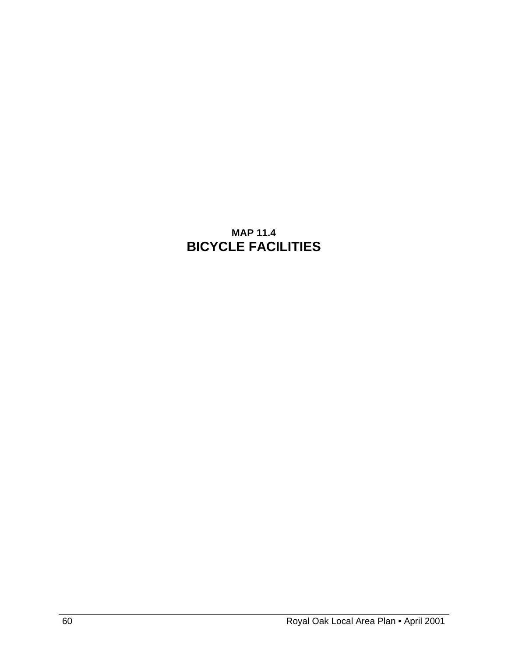# **MAP 11.4 BICYCLE FACILITIES**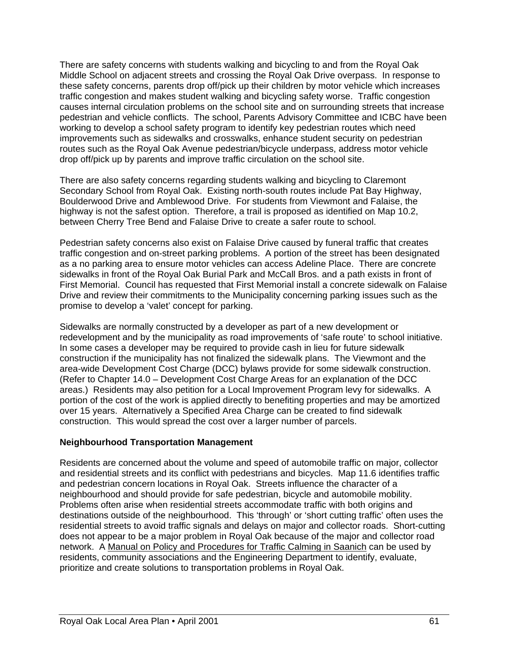There are safety concerns with students walking and bicycling to and from the Royal Oak Middle School on adjacent streets and crossing the Royal Oak Drive overpass. In response to these safety concerns, parents drop off/pick up their children by motor vehicle which increases traffic congestion and makes student walking and bicycling safety worse. Traffic congestion causes internal circulation problems on the school site and on surrounding streets that increase pedestrian and vehicle conflicts. The school, Parents Advisory Committee and ICBC have been working to develop a school safety program to identify key pedestrian routes which need improvements such as sidewalks and crosswalks, enhance student security on pedestrian routes such as the Royal Oak Avenue pedestrian/bicycle underpass, address motor vehicle drop off/pick up by parents and improve traffic circulation on the school site.

There are also safety concerns regarding students walking and bicycling to Claremont Secondary School from Royal Oak. Existing north-south routes include Pat Bay Highway, Boulderwood Drive and Amblewood Drive. For students from Viewmont and Falaise, the highway is not the safest option. Therefore, a trail is proposed as identified on Map 10.2, between Cherry Tree Bend and Falaise Drive to create a safer route to school.

Pedestrian safety concerns also exist on Falaise Drive caused by funeral traffic that creates traffic congestion and on-street parking problems. A portion of the street has been designated as a no parking area to ensure motor vehicles can access Adeline Place. There are concrete sidewalks in front of the Royal Oak Burial Park and McCall Bros. and a path exists in front of First Memorial. Council has requested that First Memorial install a concrete sidewalk on Falaise Drive and review their commitments to the Municipality concerning parking issues such as the promise to develop a 'valet' concept for parking.

Sidewalks are normally constructed by a developer as part of a new development or redevelopment and by the municipality as road improvements of 'safe route' to school initiative. In some cases a developer may be required to provide cash in lieu for future sidewalk construction if the municipality has not finalized the sidewalk plans. The Viewmont and the area-wide Development Cost Charge (DCC) bylaws provide for some sidewalk construction. (Refer to Chapter 14.0 – Development Cost Charge Areas for an explanation of the DCC areas.) Residents may also petition for a Local Improvement Program levy for sidewalks. A portion of the cost of the work is applied directly to benefiting properties and may be amortized over 15 years. Alternatively a Specified Area Charge can be created to find sidewalk construction. This would spread the cost over a larger number of parcels.

#### **Neighbourhood Transportation Management**

Residents are concerned about the volume and speed of automobile traffic on major, collector and residential streets and its conflict with pedestrians and bicycles. Map 11.6 identifies traffic and pedestrian concern locations in Royal Oak. Streets influence the character of a neighbourhood and should provide for safe pedestrian, bicycle and automobile mobility. Problems often arise when residential streets accommodate traffic with both origins and destinations outside of the neighbourhood. This 'through' or 'short cutting traffic' often uses the residential streets to avoid traffic signals and delays on major and collector roads. Short-cutting does not appear to be a major problem in Royal Oak because of the major and collector road network. A Manual on Policy and Procedures for Traffic Calming in Saanich can be used by residents, community associations and the Engineering Department to identify, evaluate, prioritize and create solutions to transportation problems in Royal Oak.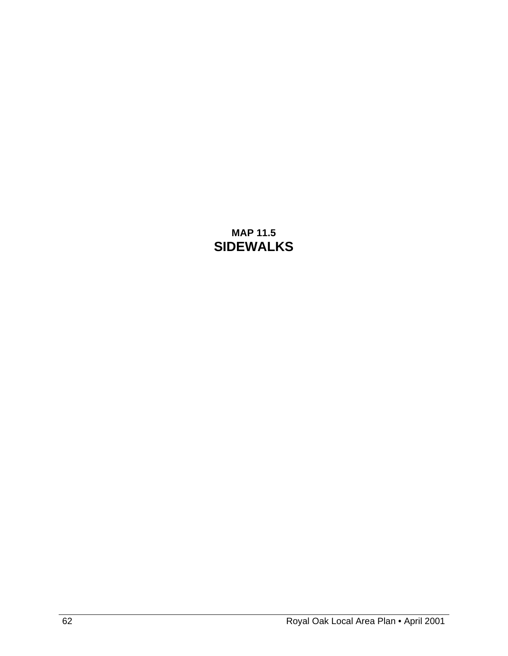## **MAP 11.5 SIDEWALKS**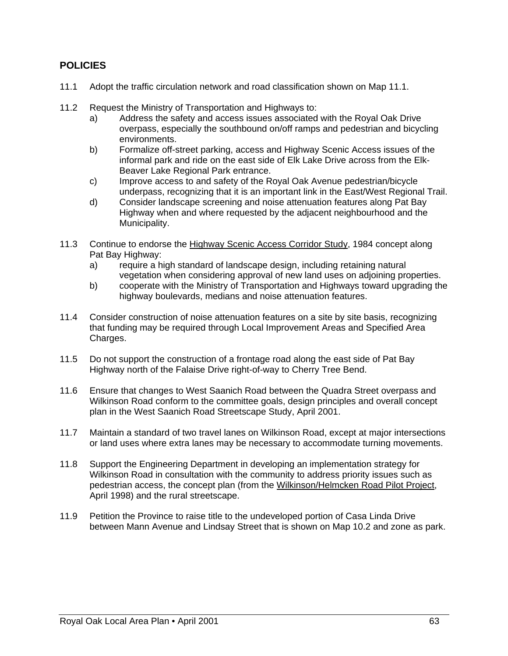## **POLICIES**

- 11.1 Adopt the traffic circulation network and road classification shown on Map 11.1.
- 11.2 Request the Ministry of Transportation and Highways to:
	- a) Address the safety and access issues associated with the Royal Oak Drive overpass, especially the southbound on/off ramps and pedestrian and bicycling environments.
	- b) Formalize off-street parking, access and Highway Scenic Access issues of the informal park and ride on the east side of Elk Lake Drive across from the Elk-Beaver Lake Regional Park entrance.
	- c) Improve access to and safety of the Royal Oak Avenue pedestrian/bicycle underpass, recognizing that it is an important link in the East/West Regional Trail.
	- d) Consider landscape screening and noise attenuation features along Pat Bay Highway when and where requested by the adjacent neighbourhood and the Municipality.
- 11.3 Continue to endorse the Highway Scenic Access Corridor Study, 1984 concept along Pat Bay Highway:
	- a) require a high standard of landscape design, including retaining natural vegetation when considering approval of new land uses on adjoining properties.
	- b) cooperate with the Ministry of Transportation and Highways toward upgrading the highway boulevards, medians and noise attenuation features.
- 11.4 Consider construction of noise attenuation features on a site by site basis, recognizing that funding may be required through Local Improvement Areas and Specified Area Charges.
- 11.5 Do not support the construction of a frontage road along the east side of Pat Bay Highway north of the Falaise Drive right-of-way to Cherry Tree Bend.
- 11.6 Ensure that changes to West Saanich Road between the Quadra Street overpass and Wilkinson Road conform to the committee goals, design principles and overall concept plan in the West Saanich Road Streetscape Study, April 2001.
- 11.7 Maintain a standard of two travel lanes on Wilkinson Road, except at major intersections or land uses where extra lanes may be necessary to accommodate turning movements.
- 11.8 Support the Engineering Department in developing an implementation strategy for Wilkinson Road in consultation with the community to address priority issues such as pedestrian access, the concept plan (from the Wilkinson/Helmcken Road Pilot Project, April 1998) and the rural streetscape.
- 11.9 Petition the Province to raise title to the undeveloped portion of Casa Linda Drive between Mann Avenue and Lindsay Street that is shown on Map 10.2 and zone as park.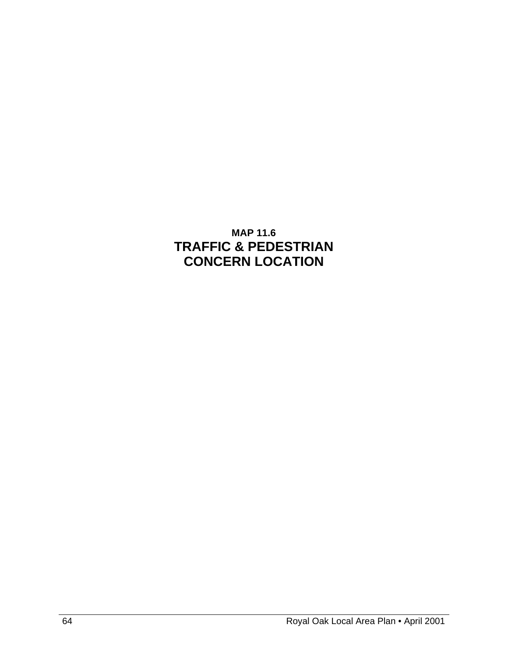# **MAP 11.6 TRAFFIC & PEDESTRIAN CONCERN LOCATION**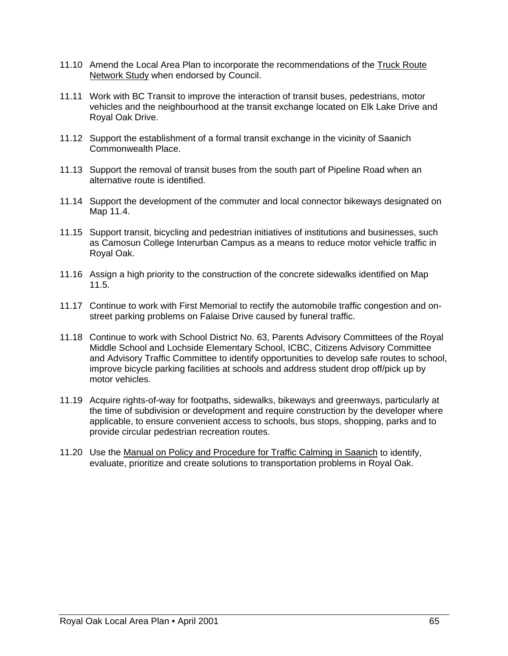- 11.10 Amend the Local Area Plan to incorporate the recommendations of the Truck Route Network Study when endorsed by Council.
- 11.11 Work with BC Transit to improve the interaction of transit buses, pedestrians, motor vehicles and the neighbourhood at the transit exchange located on Elk Lake Drive and Royal Oak Drive.
- 11.12 Support the establishment of a formal transit exchange in the vicinity of Saanich Commonwealth Place.
- 11.13 Support the removal of transit buses from the south part of Pipeline Road when an alternative route is identified.
- 11.14 Support the development of the commuter and local connector bikeways designated on Map 11.4.
- 11.15 Support transit, bicycling and pedestrian initiatives of institutions and businesses, such as Camosun College Interurban Campus as a means to reduce motor vehicle traffic in Royal Oak.
- 11.16 Assign a high priority to the construction of the concrete sidewalks identified on Map 11.5.
- 11.17 Continue to work with First Memorial to rectify the automobile traffic congestion and onstreet parking problems on Falaise Drive caused by funeral traffic.
- 11.18 Continue to work with School District No. 63, Parents Advisory Committees of the Royal Middle School and Lochside Elementary School, ICBC, Citizens Advisory Committee and Advisory Traffic Committee to identify opportunities to develop safe routes to school, improve bicycle parking facilities at schools and address student drop off/pick up by motor vehicles.
- 11.19 Acquire rights-of-way for footpaths, sidewalks, bikeways and greenways, particularly at the time of subdivision or development and require construction by the developer where applicable, to ensure convenient access to schools, bus stops, shopping, parks and to provide circular pedestrian recreation routes.
- 11.20 Use the Manual on Policy and Procedure for Traffic Calming in Saanich to identify, evaluate, prioritize and create solutions to transportation problems in Royal Oak.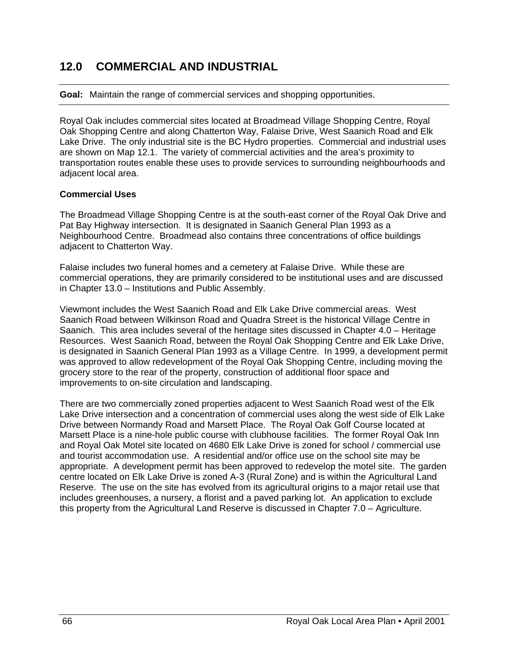# **12.0 COMMERCIAL AND INDUSTRIAL**

**Goal:** Maintain the range of commercial services and shopping opportunities.

Royal Oak includes commercial sites located at Broadmead Village Shopping Centre, Royal Oak Shopping Centre and along Chatterton Way, Falaise Drive, West Saanich Road and Elk Lake Drive. The only industrial site is the BC Hydro properties. Commercial and industrial uses are shown on Map 12.1. The variety of commercial activities and the area's proximity to transportation routes enable these uses to provide services to surrounding neighbourhoods and adjacent local area.

### **Commercial Uses**

The Broadmead Village Shopping Centre is at the south-east corner of the Royal Oak Drive and Pat Bay Highway intersection. It is designated in Saanich General Plan 1993 as a Neighbourhood Centre. Broadmead also contains three concentrations of office buildings adjacent to Chatterton Way.

Falaise includes two funeral homes and a cemetery at Falaise Drive. While these are commercial operations, they are primarily considered to be institutional uses and are discussed in Chapter 13.0 – Institutions and Public Assembly.

Viewmont includes the West Saanich Road and Elk Lake Drive commercial areas. West Saanich Road between Wilkinson Road and Quadra Street is the historical Village Centre in Saanich. This area includes several of the heritage sites discussed in Chapter 4.0 – Heritage Resources. West Saanich Road, between the Royal Oak Shopping Centre and Elk Lake Drive, is designated in Saanich General Plan 1993 as a Village Centre. In 1999, a development permit was approved to allow redevelopment of the Royal Oak Shopping Centre, including moving the grocery store to the rear of the property, construction of additional floor space and improvements to on-site circulation and landscaping.

There are two commercially zoned properties adjacent to West Saanich Road west of the Elk Lake Drive intersection and a concentration of commercial uses along the west side of Elk Lake Drive between Normandy Road and Marsett Place. The Royal Oak Golf Course located at Marsett Place is a nine-hole public course with clubhouse facilities. The former Royal Oak Inn and Royal Oak Motel site located on 4680 Elk Lake Drive is zoned for school / commercial use and tourist accommodation use. A residential and/or office use on the school site may be appropriate. A development permit has been approved to redevelop the motel site. The garden centre located on Elk Lake Drive is zoned A-3 (Rural Zone) and is within the Agricultural Land Reserve. The use on the site has evolved from its agricultural origins to a major retail use that includes greenhouses, a nursery, a florist and a paved parking lot. An application to exclude this property from the Agricultural Land Reserve is discussed in Chapter 7.0 – Agriculture.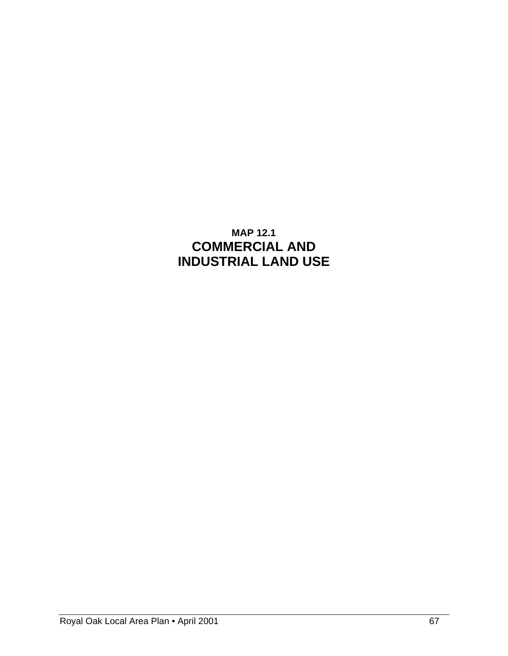# **MAP 12.1 COMMERCIAL AND INDUSTRIAL LAND USE**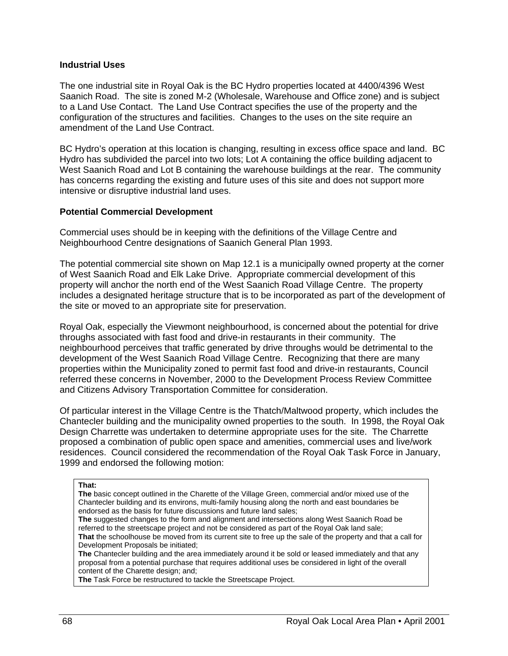#### **Industrial Uses**

The one industrial site in Royal Oak is the BC Hydro properties located at 4400/4396 West Saanich Road. The site is zoned M-2 (Wholesale, Warehouse and Office zone) and is subject to a Land Use Contact. The Land Use Contract specifies the use of the property and the configuration of the structures and facilities. Changes to the uses on the site require an amendment of the Land Use Contract.

BC Hydro's operation at this location is changing, resulting in excess office space and land. BC Hydro has subdivided the parcel into two lots; Lot A containing the office building adjacent to West Saanich Road and Lot B containing the warehouse buildings at the rear. The community has concerns regarding the existing and future uses of this site and does not support more intensive or disruptive industrial land uses.

### **Potential Commercial Development**

Commercial uses should be in keeping with the definitions of the Village Centre and Neighbourhood Centre designations of Saanich General Plan 1993.

The potential commercial site shown on Map 12.1 is a municipally owned property at the corner of West Saanich Road and Elk Lake Drive. Appropriate commercial development of this property will anchor the north end of the West Saanich Road Village Centre. The property includes a designated heritage structure that is to be incorporated as part of the development of the site or moved to an appropriate site for preservation.

Royal Oak, especially the Viewmont neighbourhood, is concerned about the potential for drive throughs associated with fast food and drive-in restaurants in their community. The neighbourhood perceives that traffic generated by drive throughs would be detrimental to the development of the West Saanich Road Village Centre. Recognizing that there are many properties within the Municipality zoned to permit fast food and drive-in restaurants, Council referred these concerns in November, 2000 to the Development Process Review Committee and Citizens Advisory Transportation Committee for consideration.

Of particular interest in the Village Centre is the Thatch/Maltwood property, which includes the Chantecler building and the municipality owned properties to the south. In 1998, the Royal Oak Design Charrette was undertaken to determine appropriate uses for the site. The Charrette proposed a combination of public open space and amenities, commercial uses and live/work residences. Council considered the recommendation of the Royal Oak Task Force in January, 1999 and endorsed the following motion:

#### **That:**

**The** basic concept outlined in the Charette of the Village Green, commercial and/or mixed use of the Chantecler building and its environs, multi-family housing along the north and east boundaries be endorsed as the basis for future discussions and future land sales;

**The** suggested changes to the form and alignment and intersections along West Saanich Road be referred to the streetscape project and not be considered as part of the Royal Oak land sale; **That** the schoolhouse be moved from its current site to free up the sale of the property and that a call for Development Proposals be initiated;

**The** Chantecler building and the area immediately around it be sold or leased immediately and that any proposal from a potential purchase that requires additional uses be considered in light of the overall content of the Charette design; and;

**The** Task Force be restructured to tackle the Streetscape Project.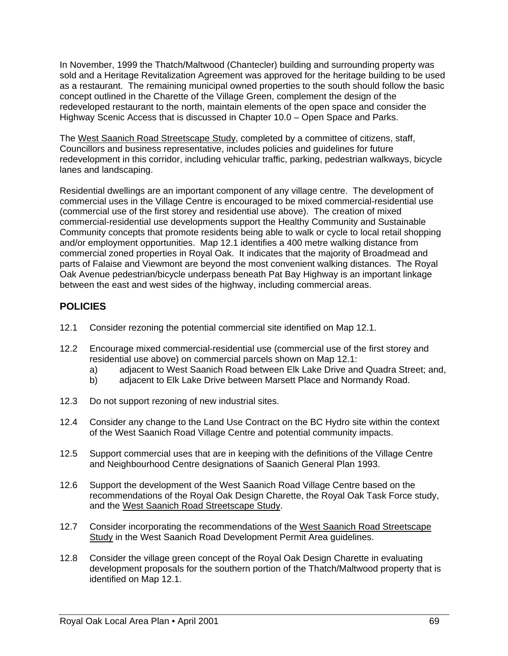In November, 1999 the Thatch/Maltwood (Chantecler) building and surrounding property was sold and a Heritage Revitalization Agreement was approved for the heritage building to be used as a restaurant. The remaining municipal owned properties to the south should follow the basic concept outlined in the Charette of the Village Green, complement the design of the redeveloped restaurant to the north, maintain elements of the open space and consider the Highway Scenic Access that is discussed in Chapter 10.0 – Open Space and Parks.

The West Saanich Road Streetscape Study, completed by a committee of citizens, staff, Councillors and business representative, includes policies and guidelines for future redevelopment in this corridor, including vehicular traffic, parking, pedestrian walkways, bicycle lanes and landscaping.

Residential dwellings are an important component of any village centre. The development of commercial uses in the Village Centre is encouraged to be mixed commercial-residential use (commercial use of the first storey and residential use above). The creation of mixed commercial-residential use developments support the Healthy Community and Sustainable Community concepts that promote residents being able to walk or cycle to local retail shopping and/or employment opportunities. Map 12.1 identifies a 400 metre walking distance from commercial zoned properties in Royal Oak. It indicates that the majority of Broadmead and parts of Falaise and Viewmont are beyond the most convenient walking distances. The Royal Oak Avenue pedestrian/bicycle underpass beneath Pat Bay Highway is an important linkage between the east and west sides of the highway, including commercial areas.

# **POLICIES**

- 12.1 Consider rezoning the potential commercial site identified on Map 12.1.
- 12.2 Encourage mixed commercial-residential use (commercial use of the first storey and residential use above) on commercial parcels shown on Map 12.1:
	- a) adjacent to West Saanich Road between Elk Lake Drive and Quadra Street; and,
	- b) adjacent to Elk Lake Drive between Marsett Place and Normandy Road.
- 12.3 Do not support rezoning of new industrial sites.
- 12.4 Consider any change to the Land Use Contract on the BC Hydro site within the context of the West Saanich Road Village Centre and potential community impacts.
- 12.5 Support commercial uses that are in keeping with the definitions of the Village Centre and Neighbourhood Centre designations of Saanich General Plan 1993.
- 12.6 Support the development of the West Saanich Road Village Centre based on the recommendations of the Royal Oak Design Charette, the Royal Oak Task Force study, and the West Saanich Road Streetscape Study.
- 12.7 Consider incorporating the recommendations of the West Saanich Road Streetscape Study in the West Saanich Road Development Permit Area guidelines.
- 12.8 Consider the village green concept of the Royal Oak Design Charette in evaluating development proposals for the southern portion of the Thatch/Maltwood property that is identified on Map 12.1.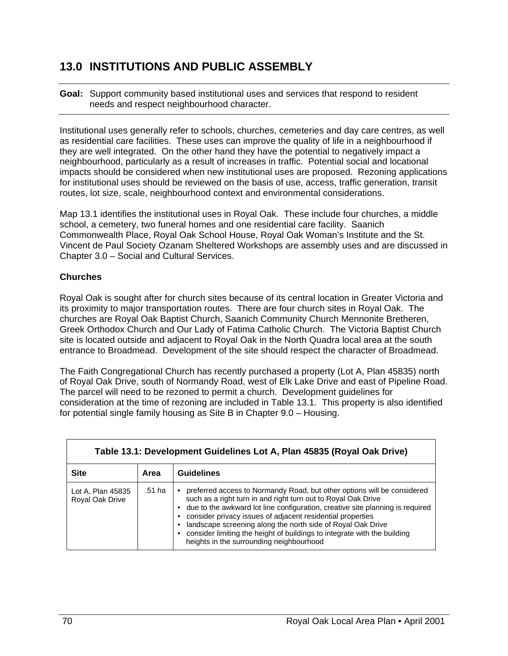# **13.0 INSTITUTIONS AND PUBLIC ASSEMBLY**

**Goal:** Support community based institutional uses and services that respond to resident needs and respect neighbourhood character.

Institutional uses generally refer to schools, churches, cemeteries and day care centres, as well as residential care facilities. These uses can improve the quality of life in a neighbourhood if they are well integrated. On the other hand they have the potential to negatively impact a neighbourhood, particularly as a result of increases in traffic. Potential social and locational impacts should be considered when new institutional uses are proposed. Rezoning applications for institutional uses should be reviewed on the basis of use, access, traffic generation, transit routes, lot size, scale, neighbourhood context and environmental considerations.

Map 13.1 identifies the institutional uses in Royal Oak. These include four churches, a middle school, a cemetery, two funeral homes and one residential care facility. Saanich Commonwealth Place, Royal Oak School House, Royal Oak Woman's Institute and the St. Vincent de Paul Society Ozanam Sheltered Workshops are assembly uses and are discussed in Chapter 3.0 – Social and Cultural Services.

### **Churches**

Royal Oak is sought after for church sites because of its central location in Greater Victoria and its proximity to major transportation routes. There are four church sites in Royal Oak. The churches are Royal Oak Baptist Church, Saanich Community Church Mennonite Bretheren, Greek Orthodox Church and Our Lady of Fatima Catholic Church. The Victoria Baptist Church site is located outside and adjacent to Royal Oak in the North Quadra local area at the south entrance to Broadmead. Development of the site should respect the character of Broadmead.

The Faith Congregational Church has recently purchased a property (Lot A, Plan 45835) north of Royal Oak Drive, south of Normandy Road, west of Elk Lake Drive and east of Pipeline Road. The parcel will need to be rezoned to permit a church. Development guidelines for consideration at the time of rezoning are included in Table 13.1. This property is also identified for potential single family housing as Site B in Chapter 9.0 – Housing.

| Table 13.1: Development Guidelines Lot A, Plan 45835 (Royal Oak Drive) |        |                                                                                                                                                                                                                                                                                                                                                                                                                                                                                |  |  |  |
|------------------------------------------------------------------------|--------|--------------------------------------------------------------------------------------------------------------------------------------------------------------------------------------------------------------------------------------------------------------------------------------------------------------------------------------------------------------------------------------------------------------------------------------------------------------------------------|--|--|--|
| <b>Site</b>                                                            | Area   | <b>Guidelines</b>                                                                                                                                                                                                                                                                                                                                                                                                                                                              |  |  |  |
| Lot A, Plan 45835<br>Royal Oak Drive                                   | .51 ha | preferred access to Normandy Road, but other options will be considered<br>such as a right turn in and right turn out to Royal Oak Drive<br>due to the awkward lot line configuration, creative site planning is required<br>consider privacy issues of adjacent residential properties<br>landscape screening along the north side of Royal Oak Drive<br>consider limiting the height of buildings to integrate with the building<br>heights in the surrounding neighbourhood |  |  |  |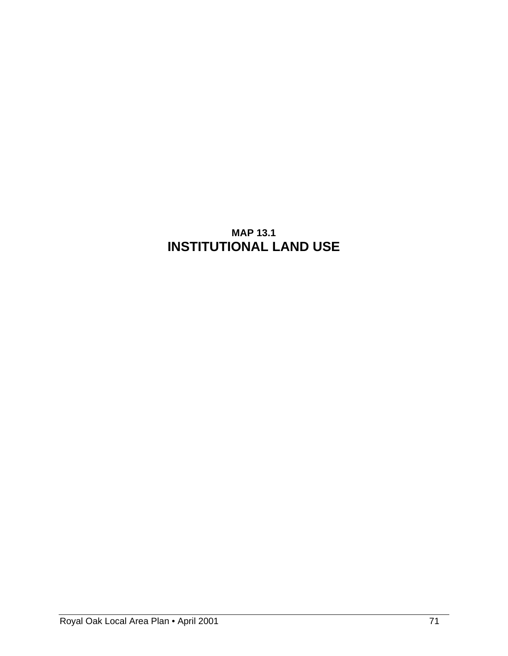# **MAP 13.1 INSTITUTIONAL LAND USE**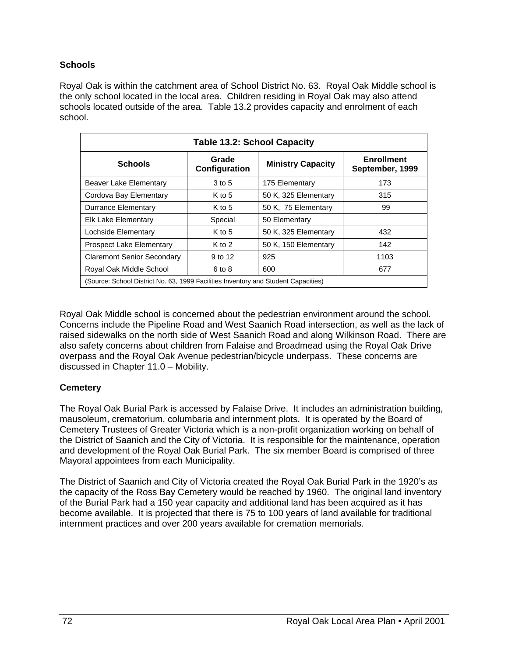### **Schools**

Royal Oak is within the catchment area of School District No. 63. Royal Oak Middle school is the only school located in the local area. Children residing in Royal Oak may also attend schools located outside of the area. Table 13.2 provides capacity and enrolment of each school.

| <b>Table 13.2: School Capacity</b>                                                 |                                                    |                      |                                      |  |  |
|------------------------------------------------------------------------------------|----------------------------------------------------|----------------------|--------------------------------------|--|--|
| <b>Schools</b>                                                                     | Grade<br><b>Ministry Capacity</b><br>Configuration |                      | <b>Enrollment</b><br>September, 1999 |  |  |
| Beaver Lake Elementary                                                             | 3 to 5                                             | 175 Elementary       | 173                                  |  |  |
| Cordova Bay Elementary                                                             | $K$ to 5                                           | 50 K, 325 Elementary | 315                                  |  |  |
| Durrance Elementary                                                                | $K$ to 5                                           | 50 K, 75 Elementary  | 99                                   |  |  |
| Elk Lake Elementary                                                                | Special                                            | 50 Elementary        |                                      |  |  |
| Lochside Elementary                                                                | $K$ to 5                                           | 50 K, 325 Elementary | 432                                  |  |  |
| <b>Prospect Lake Elementary</b>                                                    | $K$ to 2                                           | 50 K, 150 Elementary | 142                                  |  |  |
| <b>Claremont Senior Secondary</b>                                                  | 9 to 12                                            | 925                  | 1103                                 |  |  |
| Royal Oak Middle School                                                            | 6 to 8                                             | 600                  | 677                                  |  |  |
| (Source: School District No. 63, 1999 Facilities Inventory and Student Capacities) |                                                    |                      |                                      |  |  |

Royal Oak Middle school is concerned about the pedestrian environment around the school. Concerns include the Pipeline Road and West Saanich Road intersection, as well as the lack of raised sidewalks on the north side of West Saanich Road and along Wilkinson Road. There are also safety concerns about children from Falaise and Broadmead using the Royal Oak Drive overpass and the Royal Oak Avenue pedestrian/bicycle underpass. These concerns are discussed in Chapter 11.0 – Mobility.

### **Cemetery**

The Royal Oak Burial Park is accessed by Falaise Drive. It includes an administration building, mausoleum, crematorium, columbaria and internment plots. It is operated by the Board of Cemetery Trustees of Greater Victoria which is a non-profit organization working on behalf of the District of Saanich and the City of Victoria. It is responsible for the maintenance, operation and development of the Royal Oak Burial Park. The six member Board is comprised of three Mayoral appointees from each Municipality.

The District of Saanich and City of Victoria created the Royal Oak Burial Park in the 1920's as the capacity of the Ross Bay Cemetery would be reached by 1960. The original land inventory of the Burial Park had a 150 year capacity and additional land has been acquired as it has become available. It is projected that there is 75 to 100 years of land available for traditional internment practices and over 200 years available for cremation memorials.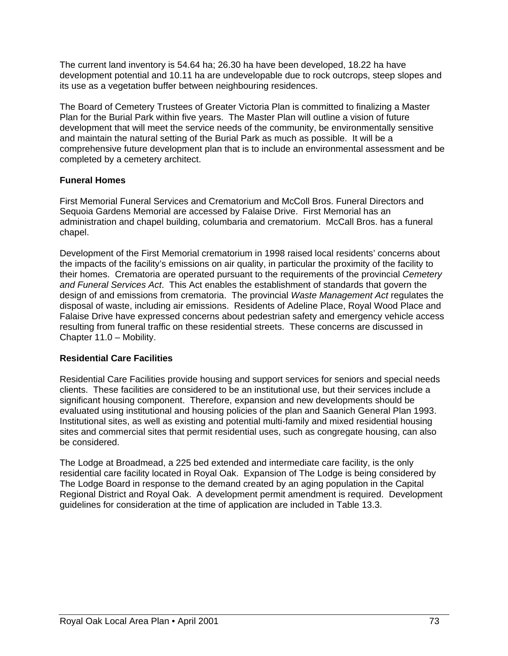The current land inventory is 54.64 ha; 26.30 ha have been developed, 18.22 ha have development potential and 10.11 ha are undevelopable due to rock outcrops, steep slopes and its use as a vegetation buffer between neighbouring residences.

The Board of Cemetery Trustees of Greater Victoria Plan is committed to finalizing a Master Plan for the Burial Park within five years. The Master Plan will outline a vision of future development that will meet the service needs of the community, be environmentally sensitive and maintain the natural setting of the Burial Park as much as possible. It will be a comprehensive future development plan that is to include an environmental assessment and be completed by a cemetery architect.

### **Funeral Homes**

First Memorial Funeral Services and Crematorium and McColl Bros. Funeral Directors and Sequoia Gardens Memorial are accessed by Falaise Drive. First Memorial has an administration and chapel building, columbaria and crematorium. McCall Bros. has a funeral chapel.

Development of the First Memorial crematorium in 1998 raised local residents' concerns about the impacts of the facility's emissions on air quality, in particular the proximity of the facility to their homes. Crematoria are operated pursuant to the requirements of the provincial *Cemetery and Funeral Services Act*. This Act enables the establishment of standards that govern the design of and emissions from crematoria. The provincial *Waste Management Act* regulates the disposal of waste, including air emissions. Residents of Adeline Place, Royal Wood Place and Falaise Drive have expressed concerns about pedestrian safety and emergency vehicle access resulting from funeral traffic on these residential streets. These concerns are discussed in Chapter 11.0 – Mobility.

### **Residential Care Facilities**

Residential Care Facilities provide housing and support services for seniors and special needs clients. These facilities are considered to be an institutional use, but their services include a significant housing component. Therefore, expansion and new developments should be evaluated using institutional and housing policies of the plan and Saanich General Plan 1993. Institutional sites, as well as existing and potential multi-family and mixed residential housing sites and commercial sites that permit residential uses, such as congregate housing, can also be considered.

The Lodge at Broadmead, a 225 bed extended and intermediate care facility, is the only residential care facility located in Royal Oak. Expansion of The Lodge is being considered by The Lodge Board in response to the demand created by an aging population in the Capital Regional District and Royal Oak. A development permit amendment is required. Development guidelines for consideration at the time of application are included in Table 13.3.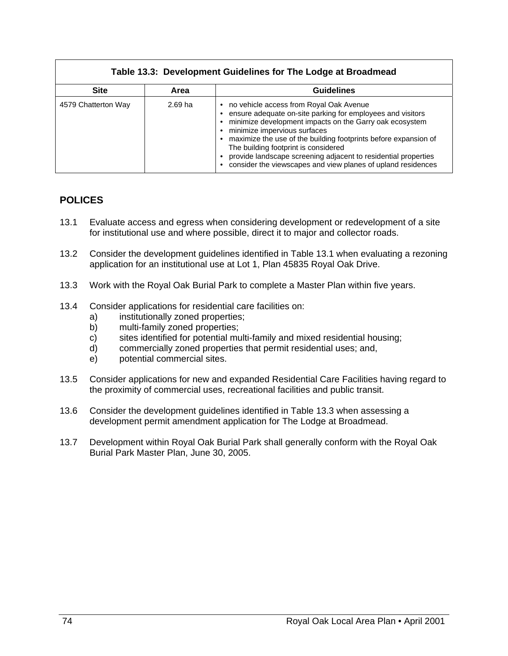### **Table 13.3: Development Guidelines for The Lodge at Broadmead**

| <b>Site</b>         | Area      | <b>Guidelines</b>                                                                                                                                                                                                                                                                                                                                                                                                                                          |
|---------------------|-----------|------------------------------------------------------------------------------------------------------------------------------------------------------------------------------------------------------------------------------------------------------------------------------------------------------------------------------------------------------------------------------------------------------------------------------------------------------------|
| 4579 Chatterton Way | $2.69$ ha | no vehicle access from Royal Oak Avenue<br>$\bullet$<br>ensure adequate on-site parking for employees and visitors<br>minimize development impacts on the Garry oak ecosystem<br>minimize impervious surfaces<br>maximize the use of the building footprints before expansion of<br>The building footprint is considered<br>provide landscape screening adjacent to residential properties<br>consider the viewscapes and view planes of upland residences |

### **POLICES**

- 13.1 Evaluate access and egress when considering development or redevelopment of a site for institutional use and where possible, direct it to major and collector roads.
- 13.2 Consider the development guidelines identified in Table 13.1 when evaluating a rezoning application for an institutional use at Lot 1, Plan 45835 Royal Oak Drive.
- 13.3 Work with the Royal Oak Burial Park to complete a Master Plan within five years.
- 13.4 Consider applications for residential care facilities on:
	- a) institutionally zoned properties;
	- b) multi-family zoned properties;
	- c) sites identified for potential multi-family and mixed residential housing;
	- d) commercially zoned properties that permit residential uses; and,
	- e) potential commercial sites.
- 13.5 Consider applications for new and expanded Residential Care Facilities having regard to the proximity of commercial uses, recreational facilities and public transit.
- 13.6 Consider the development guidelines identified in Table 13.3 when assessing a development permit amendment application for The Lodge at Broadmead.
- 13.7 Development within Royal Oak Burial Park shall generally conform with the Royal Oak Burial Park Master Plan, June 30, 2005.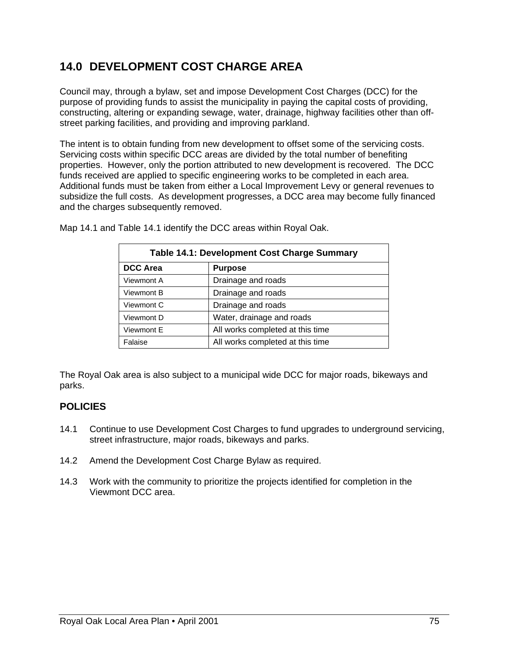# **14.0 DEVELOPMENT COST CHARGE AREA**

Council may, through a bylaw, set and impose Development Cost Charges (DCC) for the purpose of providing funds to assist the municipality in paying the capital costs of providing, constructing, altering or expanding sewage, water, drainage, highway facilities other than offstreet parking facilities, and providing and improving parkland.

The intent is to obtain funding from new development to offset some of the servicing costs. Servicing costs within specific DCC areas are divided by the total number of benefiting properties. However, only the portion attributed to new development is recovered. The DCC funds received are applied to specific engineering works to be completed in each area. Additional funds must be taken from either a Local Improvement Levy or general revenues to subsidize the full costs. As development progresses, a DCC area may become fully financed and the charges subsequently removed.

| <b>Table 14.1: Development Cost Charge Summary</b> |                                  |  |  |
|----------------------------------------------------|----------------------------------|--|--|
| <b>DCC Area</b>                                    | <b>Purpose</b>                   |  |  |
| Viewmont A                                         | Drainage and roads               |  |  |
| Viewmont B                                         | Drainage and roads               |  |  |
| Viewmont C                                         | Drainage and roads               |  |  |
| Viewmont D                                         | Water, drainage and roads        |  |  |
| Viewmont E                                         | All works completed at this time |  |  |
| Falaise                                            | All works completed at this time |  |  |

Map 14.1 and Table 14.1 identify the DCC areas within Royal Oak.

The Royal Oak area is also subject to a municipal wide DCC for major roads, bikeways and parks.

# **POLICIES**

- 14.1 Continue to use Development Cost Charges to fund upgrades to underground servicing, street infrastructure, major roads, bikeways and parks.
- 14.2 Amend the Development Cost Charge Bylaw as required.
- 14.3 Work with the community to prioritize the projects identified for completion in the Viewmont DCC area.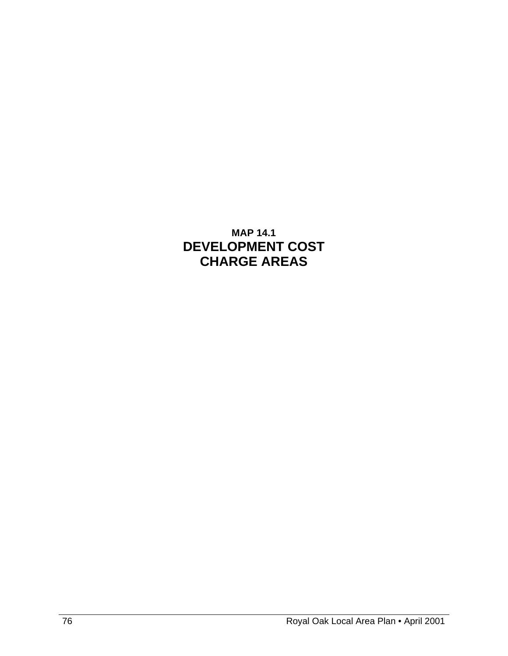# **MAP 14.1 DEVELOPMENT COST CHARGE AREAS**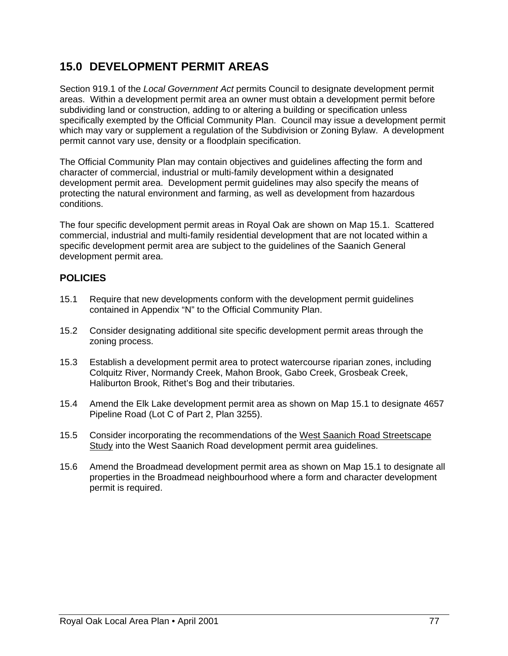# **15.0 DEVELOPMENT PERMIT AREAS**

Section 919.1 of the *Local Government Act* permits Council to designate development permit areas. Within a development permit area an owner must obtain a development permit before subdividing land or construction, adding to or altering a building or specification unless specifically exempted by the Official Community Plan. Council may issue a development permit which may vary or supplement a regulation of the Subdivision or Zoning Bylaw. A development permit cannot vary use, density or a floodplain specification.

The Official Community Plan may contain objectives and guidelines affecting the form and character of commercial, industrial or multi-family development within a designated development permit area. Development permit guidelines may also specify the means of protecting the natural environment and farming, as well as development from hazardous conditions.

The four specific development permit areas in Royal Oak are shown on Map 15.1. Scattered commercial, industrial and multi-family residential development that are not located within a specific development permit area are subject to the guidelines of the Saanich General development permit area.

# **POLICIES**

- 15.1 Require that new developments conform with the development permit guidelines contained in Appendix "N" to the Official Community Plan.
- 15.2 Consider designating additional site specific development permit areas through the zoning process.
- 15.3 Establish a development permit area to protect watercourse riparian zones, including Colquitz River, Normandy Creek, Mahon Brook, Gabo Creek, Grosbeak Creek, Haliburton Brook, Rithet's Bog and their tributaries.
- 15.4 Amend the Elk Lake development permit area as shown on Map 15.1 to designate 4657 Pipeline Road (Lot C of Part 2, Plan 3255).
- 15.5 Consider incorporating the recommendations of the West Saanich Road Streetscape Study into the West Saanich Road development permit area guidelines.
- 15.6 Amend the Broadmead development permit area as shown on Map 15.1 to designate all properties in the Broadmead neighbourhood where a form and character development permit is required.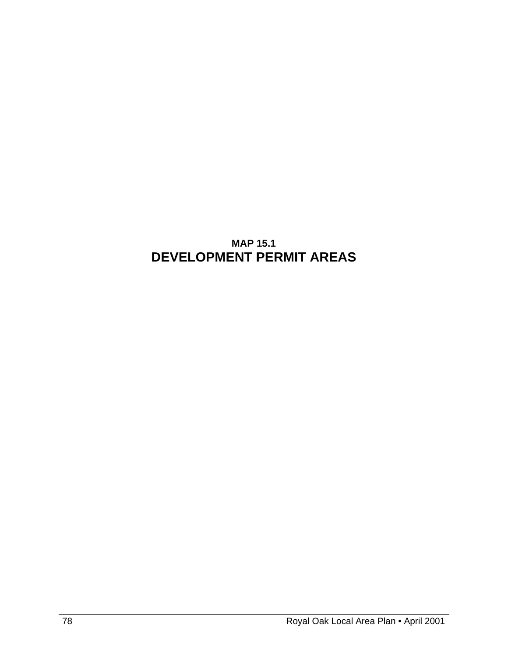# **MAP 15.1 DEVELOPMENT PERMIT AREAS**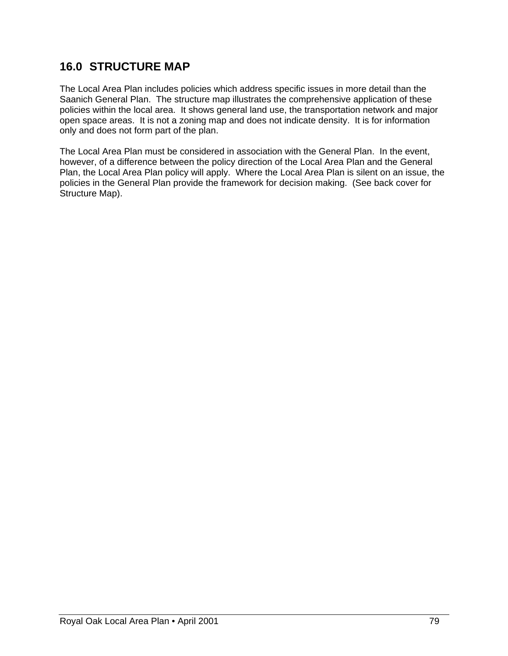# **16.0 STRUCTURE MAP**

The Local Area Plan includes policies which address specific issues in more detail than the Saanich General Plan. The structure map illustrates the comprehensive application of these policies within the local area. It shows general land use, the transportation network and major open space areas. It is not a zoning map and does not indicate density. It is for information only and does not form part of the plan.

The Local Area Plan must be considered in association with the General Plan. In the event, however, of a difference between the policy direction of the Local Area Plan and the General Plan, the Local Area Plan policy will apply. Where the Local Area Plan is silent on an issue, the policies in the General Plan provide the framework for decision making. (See back cover for Structure Map).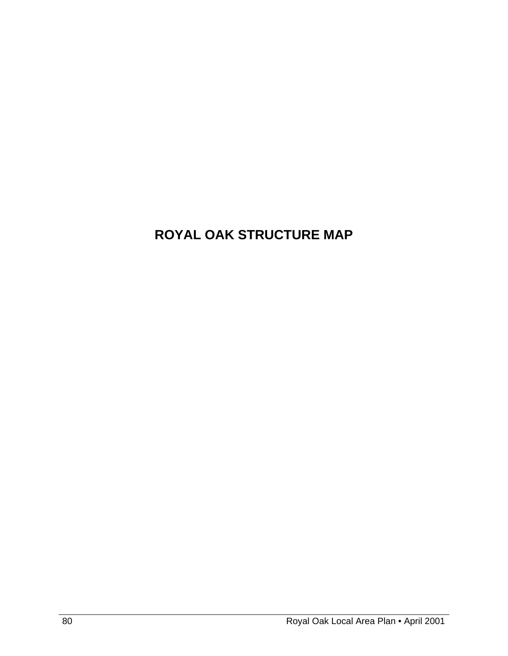# **ROYAL OAK STRUCTURE MAP**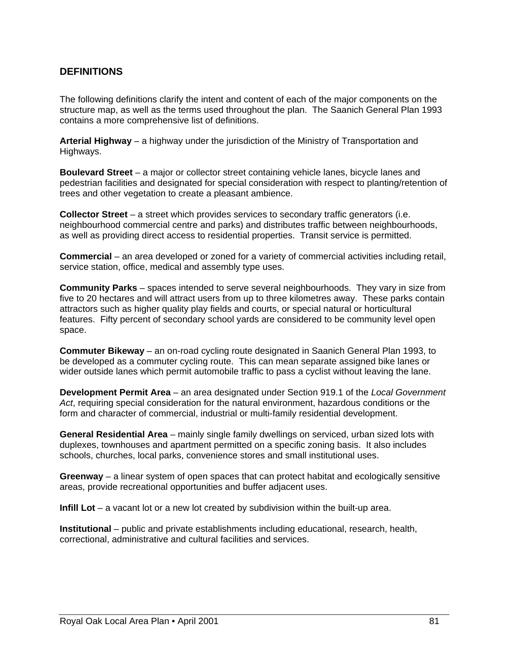### **DEFINITIONS**

The following definitions clarify the intent and content of each of the major components on the structure map, as well as the terms used throughout the plan. The Saanich General Plan 1993 contains a more comprehensive list of definitions.

**Arterial Highway** – a highway under the jurisdiction of the Ministry of Transportation and Highways.

**Boulevard Street** – a major or collector street containing vehicle lanes, bicycle lanes and pedestrian facilities and designated for special consideration with respect to planting/retention of trees and other vegetation to create a pleasant ambience.

**Collector Street** – a street which provides services to secondary traffic generators (i.e. neighbourhood commercial centre and parks) and distributes traffic between neighbourhoods, as well as providing direct access to residential properties. Transit service is permitted.

**Commercial** – an area developed or zoned for a variety of commercial activities including retail, service station, office, medical and assembly type uses.

**Community Parks** – spaces intended to serve several neighbourhoods. They vary in size from five to 20 hectares and will attract users from up to three kilometres away. These parks contain attractors such as higher quality play fields and courts, or special natural or horticultural features. Fifty percent of secondary school yards are considered to be community level open space.

**Commuter Bikeway** – an on-road cycling route designated in Saanich General Plan 1993, to be developed as a commuter cycling route. This can mean separate assigned bike lanes or wider outside lanes which permit automobile traffic to pass a cyclist without leaving the lane.

**Development Permit Area** – an area designated under Section 919.1 of the *Local Government Act*, requiring special consideration for the natural environment, hazardous conditions or the form and character of commercial, industrial or multi-family residential development.

**General Residential Area** – mainly single family dwellings on serviced, urban sized lots with duplexes, townhouses and apartment permitted on a specific zoning basis. It also includes schools, churches, local parks, convenience stores and small institutional uses.

**Greenway** – a linear system of open spaces that can protect habitat and ecologically sensitive areas, provide recreational opportunities and buffer adjacent uses.

**Infill Lot** – a vacant lot or a new lot created by subdivision within the built-up area.

**Institutional** – public and private establishments including educational, research, health, correctional, administrative and cultural facilities and services.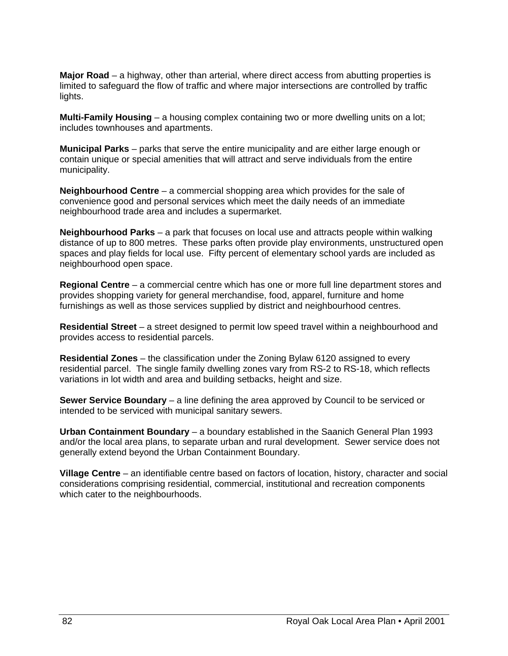**Major Road** – a highway, other than arterial, where direct access from abutting properties is limited to safeguard the flow of traffic and where major intersections are controlled by traffic lights.

**Multi-Family Housing** – a housing complex containing two or more dwelling units on a lot; includes townhouses and apartments.

**Municipal Parks** – parks that serve the entire municipality and are either large enough or contain unique or special amenities that will attract and serve individuals from the entire municipality.

**Neighbourhood Centre** – a commercial shopping area which provides for the sale of convenience good and personal services which meet the daily needs of an immediate neighbourhood trade area and includes a supermarket.

**Neighbourhood Parks** – a park that focuses on local use and attracts people within walking distance of up to 800 metres. These parks often provide play environments, unstructured open spaces and play fields for local use. Fifty percent of elementary school yards are included as neighbourhood open space.

**Regional Centre** – a commercial centre which has one or more full line department stores and provides shopping variety for general merchandise, food, apparel, furniture and home furnishings as well as those services supplied by district and neighbourhood centres.

**Residential Street** – a street designed to permit low speed travel within a neighbourhood and provides access to residential parcels.

**Residential Zones** – the classification under the Zoning Bylaw 6120 assigned to every residential parcel. The single family dwelling zones vary from RS-2 to RS-18, which reflects variations in lot width and area and building setbacks, height and size.

**Sewer Service Boundary** – a line defining the area approved by Council to be serviced or intended to be serviced with municipal sanitary sewers.

**Urban Containment Boundary** – a boundary established in the Saanich General Plan 1993 and/or the local area plans, to separate urban and rural development. Sewer service does not generally extend beyond the Urban Containment Boundary.

**Village Centre** – an identifiable centre based on factors of location, history, character and social considerations comprising residential, commercial, institutional and recreation components which cater to the neighbourhoods.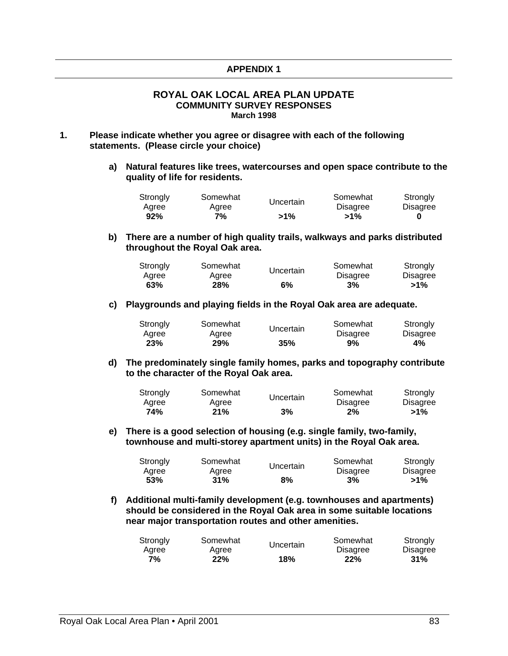### **APPENDIX 1**

#### **ROYAL OAK LOCAL AREA PLAN UPDATE COMMUNITY SURVEY RESPONSES March 1998**

- **1. Please indicate whether you agree or disagree with each of the following statements. (Please circle your choice)** 
	- **a) Natural features like trees, watercourses and open space contribute to the quality of life for residents.**

| Strongly | Somewhat | Uncertain | Somewhat        | Strongly        |
|----------|----------|-----------|-----------------|-----------------|
| Agree    | Agree    |           | <b>Disagree</b> | <b>Disagree</b> |
| 92%      | 7%       | $>1\%$    | $>1\%$          | 0               |

**b) There are a number of high quality trails, walkways and parks distributed throughout the Royal Oak area.** 

| Strongly | Somewhat   | Uncertain | Somewhat        | Strongly        |
|----------|------------|-----------|-----------------|-----------------|
| Agree    | Agree      |           | <b>Disagree</b> | <b>Disagree</b> |
| 63%      | <b>28%</b> | 6%        | 3%              | $>1\%$          |

**c) Playgrounds and playing fields in the Royal Oak area are adequate.** 

| Strongly | Somewhat | Uncertain | Somewhat        | Strongly        |
|----------|----------|-----------|-----------------|-----------------|
| Agree    | Aaree    |           | <b>Disagree</b> | <b>Disagree</b> |
| 23%      | 29%      | 35%       | 9%              | 4%              |

**d) The predominately single family homes, parks and topography contribute to the character of the Royal Oak area.** 

| Strongly | Somewhat |           | Somewhat        | Strongly |
|----------|----------|-----------|-----------------|----------|
| Agree    | Agree    | Uncertain | <b>Disagree</b> | Disagree |
| 74%      | 21%      | 3%        | 2%              | $>1\%$   |

**e) There is a good selection of housing (e.g. single family, two-family, townhouse and multi-storey apartment units) in the Royal Oak area.** 

| Strongly | Somewhat | Uncertain | Somewhat        | Strongly |
|----------|----------|-----------|-----------------|----------|
| Aaree    | Agree    |           | <b>Disagree</b> | Disagree |
| 53%      | 31%      | 8%        | 3%              | $>1\%$   |

**f) Additional multi-family development (e.g. townhouses and apartments) should be considered in the Royal Oak area in some suitable locations near major transportation routes and other amenities.** 

| Strongly | Somewhat | Uncertain | Somewhat        | Strongly        |
|----------|----------|-----------|-----------------|-----------------|
| Aaree    | Agree    |           | <b>Disagree</b> | <b>Disagree</b> |
| 7%       | 22%      | 18%       | 22%             | 31%             |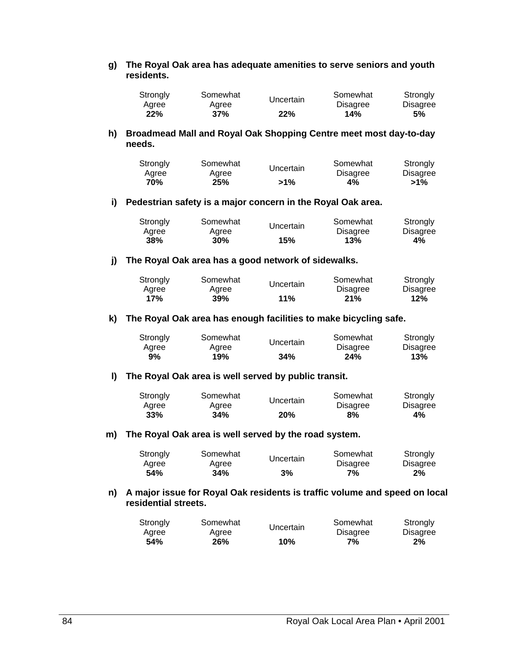**g) The Royal Oak area has adequate amenities to serve seniors and youth residents.** 

| Strongly | Somewhat | Uncertain | Somewhat        | Strongly |
|----------|----------|-----------|-----------------|----------|
| Aaree    | Aaree    |           | <b>Disagree</b> | Disagree |
| 22%      | 37%      | 22%       | 14%             | 5%       |

**h) Broadmead Mall and Royal Oak Shopping Centre meet most day-to-day needs.** 

| Strongly     | Somewhat     | Uncertain | Somewhat              | Strongly<br>Disagree |
|--------------|--------------|-----------|-----------------------|----------------------|
| Agree<br>70% | Agree<br>25% | $>1\%$    | <b>Disagree</b><br>4% | $>1\%$               |

#### **i) Pedestrian safety is a major concern in the Royal Oak area.**

| Strongly     | Somewhat     | Uncertain | Somewhat               | Strongly       |
|--------------|--------------|-----------|------------------------|----------------|
| Aaree<br>38% | Aaree<br>30% | 15%       | <b>Disagree</b><br>13% | Disagree<br>4% |
|              |              |           |                        |                |

#### **j) The Royal Oak area has a good network of sidewalks.**

| Strongly<br>Aaree | Somewhat<br>Uncertain<br>Agree |     | Somewhat<br><b>Disagree</b> | Strongly<br>Disagree |
|-------------------|--------------------------------|-----|-----------------------------|----------------------|
| 17%               | 39%                            | 11% | 21%                         | 12%                  |

#### **k) The Royal Oak area has enough facilities to make bicycling safe.**

| Strongly | Somewhat |     | Somewhat        | Strongly        |
|----------|----------|-----|-----------------|-----------------|
| Aaree    | Aaree    |     | <b>Disagree</b> | <b>Disagree</b> |
| 9%       | 19%      | 34% | 24%             | 13%             |

#### **l) The Royal Oak area is well served by public transit.**

| Strongly | Somewhat   | Uncertain | Somewhat        | Strongly        |
|----------|------------|-----------|-----------------|-----------------|
| Aaree    | Agree      |           | <b>Disagree</b> | <b>Disagree</b> |
| 33%      | <b>34%</b> | 20%       | 8%              | 4%              |

#### **m) The Royal Oak area is well served by the road system.**

| Strongly | Somewhat   | Uncertain | Somewhat        | Strongly        |
|----------|------------|-----------|-----------------|-----------------|
| Agree    | Aaree      |           | <b>Disagree</b> | <b>Disagree</b> |
| 54%      | <b>34%</b> | 3%        | 7%              | $2\%$           |

#### **n) A major issue for Royal Oak residents is traffic volume and speed on local residential streets.**

| Strongly   | Somewhat | Uncertain | Somewhat        | Strongly        |
|------------|----------|-----------|-----------------|-----------------|
| Aaree      | Aaree    |           | <b>Disagree</b> | <b>Disagree</b> |
| <b>54%</b> | 26%      | 10%       | 7%              | 2%              |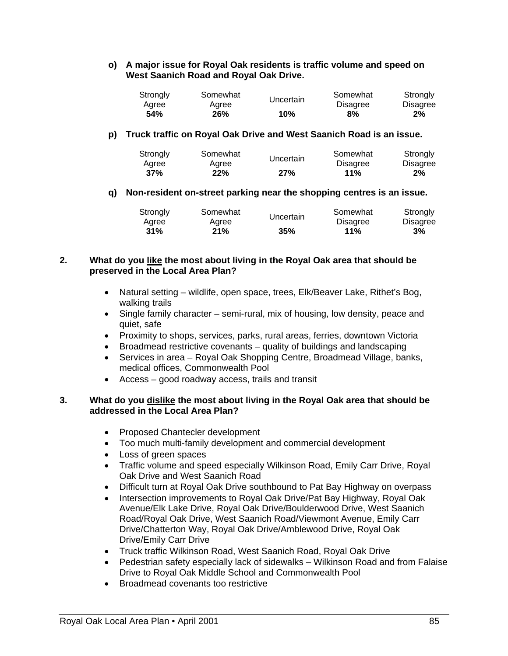### **o) A major issue for Royal Oak residents is traffic volume and speed on West Saanich Road and Royal Oak Drive.**

| Strongly | Somewhat | Uncertain | Somewhat        | Strongly |
|----------|----------|-----------|-----------------|----------|
| Aaree    | Agree    |           | <b>Disagree</b> | Disagree |
| 54%      | 26%      | 10%       | 8%              | 2%       |

### **p) Truck traffic on Royal Oak Drive and West Saanich Road is an issue.**

| Strongly | Somewhat | Uncertain | Somewhat        | Strongly |
|----------|----------|-----------|-----------------|----------|
| Agree    | Agree    |           | <b>Disagree</b> | Disagree |
| 37%      | 22%      | 27%       | 11%             | $2\%$    |

### **q) Non-resident on-street parking near the shopping centres is an issue.**

| Strongly | Somewhat |     | Somewhat        | Strongly        |
|----------|----------|-----|-----------------|-----------------|
| Agree    | Agree    |     | <b>Disagree</b> | <b>Disagree</b> |
| 31%      | 21%      | 35% | 11%             | 3%              |

### **2. What do you like the most about living in the Royal Oak area that should be preserved in the Local Area Plan?**

- Natural setting wildlife, open space, trees, Elk/Beaver Lake, Rithet's Bog, walking trails
- Single family character semi-rural, mix of housing, low density, peace and quiet, safe
- Proximity to shops, services, parks, rural areas, ferries, downtown Victoria
- $\bullet$  Broadmead restrictive covenants quality of buildings and landscaping
- Services in area Royal Oak Shopping Centre, Broadmead Village, banks, medical offices, Commonwealth Pool
- Access good roadway access, trails and transit

### **3. What do you dislike the most about living in the Royal Oak area that should be addressed in the Local Area Plan?**

- Proposed Chantecler development
- Too much multi-family development and commercial development
- Loss of green spaces
- Traffic volume and speed especially Wilkinson Road, Emily Carr Drive, Royal Oak Drive and West Saanich Road
- Difficult turn at Royal Oak Drive southbound to Pat Bay Highway on overpass
- Intersection improvements to Royal Oak Drive/Pat Bay Highway, Royal Oak Avenue/Elk Lake Drive, Royal Oak Drive/Boulderwood Drive, West Saanich Road/Royal Oak Drive, West Saanich Road/Viewmont Avenue, Emily Carr Drive/Chatterton Way, Royal Oak Drive/Amblewood Drive, Royal Oak Drive/Emily Carr Drive
- Truck traffic Wilkinson Road, West Saanich Road, Royal Oak Drive
- Pedestrian safety especially lack of sidewalks Wilkinson Road and from Falaise Drive to Royal Oak Middle School and Commonwealth Pool
- Broadmead covenants too restrictive